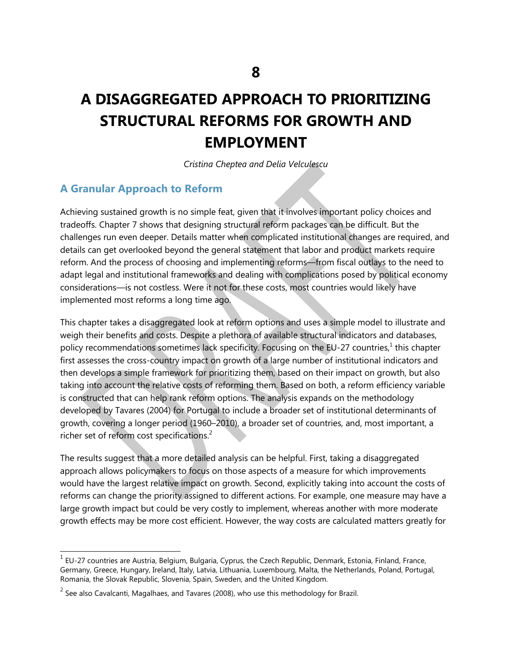*Cristina Cheptea and Delia Velculescu* 

## **A Granular Approach to Reform**

Achieving sustained growth is no simple feat, given that it involves important policy choices and tradeoffs. Chapter 7 shows that designing structural reform packages can be difficult. But the challenges run even deeper. Details matter when complicated institutional changes are required, and details can get overlooked beyond the general statement that labor and product markets require reform. And the process of choosing and implementing reforms—from fiscal outlays to the need to adapt legal and institutional frameworks and dealing with complications posed by political economy considerations—is not costless. Were it not for these costs, most countries would likely have implemented most reforms a long time ago.

This chapter takes a disaggregated look at reform options and uses a simple model to illustrate and weigh their benefits and costs. Despite a plethora of available structural indicators and databases, policy recommendations sometimes lack specificity. Focusing on the EU-27 countries, $^1$  this chapter first assesses the cross-country impact on growth of a large number of institutional indicators and then develops a simple framework for prioritizing them, based on their impact on growth, but also taking into account the relative costs of reforming them. Based on both, a reform efficiency variable is constructed that can help rank reform options. The analysis expands on the methodology developed by Tavares (2004) for Portugal to include a broader set of institutional determinants of growth, covering a longer period (1960–2010), a broader set of countries, and, most important, a richer set of reform cost specifications.<sup>2</sup>

The results suggest that a more detailed analysis can be helpful. First, taking a disaggregated approach allows policymakers to focus on those aspects of a measure for which improvements would have the largest relative impact on growth. Second, explicitly taking into account the costs of reforms can change the priority assigned to different actions. For example, one measure may have a large growth impact but could be very costly to implement, whereas another with more moderate growth effects may be more cost efficient. However, the way costs are calculated matters greatly for

 1 EU-27 countries are Austria, Belgium, Bulgaria, Cyprus, the Czech Republic, Denmark, Estonia, Finland, France, Germany, Greece, Hungary, Ireland, Italy, Latvia, Lithuania, Luxembourg, Malta, the Netherlands, Poland, Portugal, Romania, the Slovak Republic, Slovenia, Spain, Sweden, and the United Kingdom.

 $^2$  See also Cavalcanti, Magalhaes, and Tavares (2008), who use this methodology for Brazil.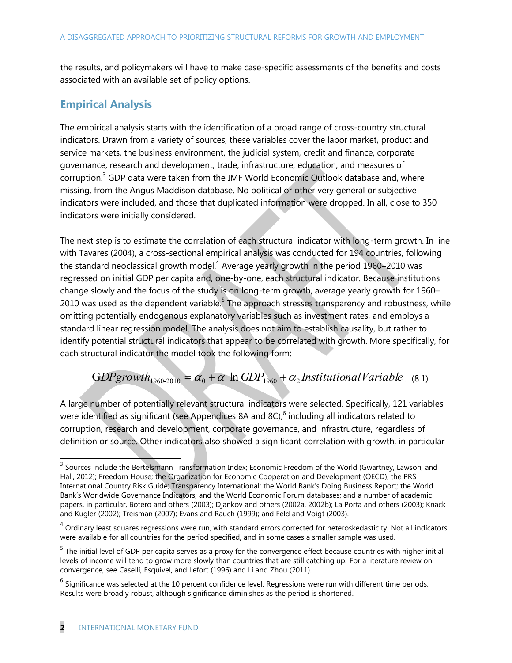the results, and policymakers will have to make case-specific assessments of the benefits and costs associated with an available set of policy options.

## **Empirical Analysis**

The empirical analysis starts with the identification of a broad range of cross-country structural indicators. Drawn from a variety of sources, these variables cover the labor market, product and service markets, the business environment, the judicial system, credit and finance, corporate governance, research and development, trade, infrastructure, education, and measures of corruption.<sup>3</sup> GDP data were taken from the IMF World Economic Outlook database and, where missing, from the Angus Maddison database. No political or other very general or subjective indicators were included, and those that duplicated information were dropped. In all, close to 350 indicators were initially considered.

The next step is to estimate the correlation of each structural indicator with long-term growth. In line with Tavares (2004), a cross-sectional empirical analysis was conducted for 194 countries, following the standard neoclassical growth model. $^4$  Average yearly growth in the period  $1960$ –2010 was regressed on initial GDP per capita and, one-by-one, each structural indicator. Because institutions change slowly and the focus of the study is on long-term growth, average yearly growth for 1960– 2010 was used as the dependent variable.<sup>5</sup> The approach stresses transparency and robustness, while omitting potentially endogenous explanatory variables such as investment rates, and employs a standard linear regression model. The analysis does not aim to establish causality, but rather to identify potential structural indicators that appear to be correlated with growth. More specifically, for each structural indicator the model took the following form:

## $GDPgrowth_{1960-2010} = \alpha_0 + \alpha_1 \ln GDP_{1960} + \alpha_2 Institute of Variable$ . (8.1)

A large number of potentially relevant structural indicators were selected. Specifically, 121 variables were identified as significant (see Appendices 8A and 8C), $^6$  including all indicators related to corruption, research and development, corporate governance, and infrastructure, regardless of definition or source. Other indicators also showed a significant correlation with growth, in particular

**Example 2.1**<br><sup>3</sup> Sources include the Bertelsmann Transformation Index; Economic Freedom of the World (Gwartney, Lawson, and Hall, 2012); Freedom House; the Organization for Economic Cooperation and Development (OECD); the PRS International Country Risk Guide; Transparency International; the World Bank's Doing Business Report; the World Bank's Worldwide Governance Indicators; and the World Economic Forum databases; and a number of academic papers, in particular, Botero and others (2003); Djankov and others (2002a, 2002b); La Porta and others (2003); Knack and Kugler (2002); Treisman (2007); Evans and Rauch (1999); and Feld and Voigt (2003).

 $^4$  Ordinary least squares regressions were run, with standard errors corrected for heteroskedasticity. Not all indicators were available for all countries for the period specified, and in some cases a smaller sample was used.

 $^5$  The initial level of GDP per capita serves as a proxy for the convergence effect because countries with higher initial levels of income will tend to grow more slowly than countries that are still catching up. For a literature review on convergence, see Caselli, Esquivel, and Lefort (1996) and Li and Zhou (2011).

 $^6$  Significance was selected at the 10 percent confidence level. Regressions were run with different time periods. Results were broadly robust, although significance diminishes as the period is shortened.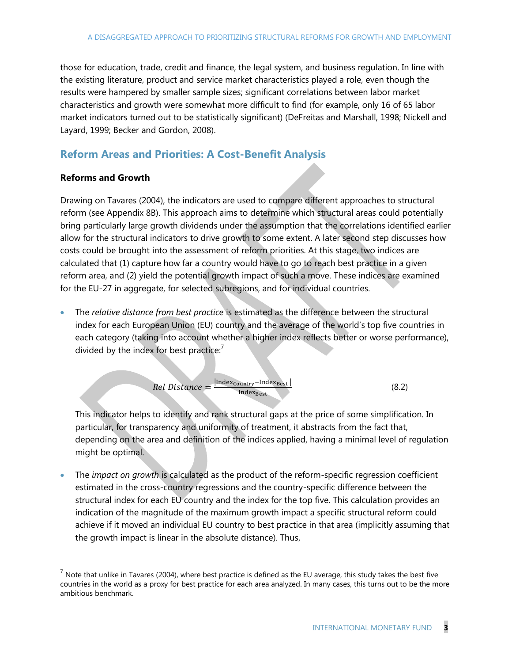those for education, trade, credit and finance, the legal system, and business regulation. In line with the existing literature, product and service market characteristics played a role, even though the results were hampered by smaller sample sizes; significant correlations between labor market characteristics and growth were somewhat more difficult to find (for example, only 16 of 65 labor market indicators turned out to be statistically significant) (DeFreitas and Marshall, 1998; Nickell and Layard, 1999; Becker and Gordon, 2008).

## **Reform Areas and Priorities: A Cost-Benefit Analysis**

#### **Reforms and Growth**

 $\overline{a}$ 

Drawing on Tavares (2004), the indicators are used to compare different approaches to structural reform (see Appendix 8B). This approach aims to determine which structural areas could potentially bring particularly large growth dividends under the assumption that the correlations identified earlier allow for the structural indicators to drive growth to some extent. A later second step discusses how costs could be brought into the assessment of reform priorities. At this stage, two indices are calculated that (1) capture how far a country would have to go to reach best practice in a given reform area, and (2) yield the potential growth impact of such a move. These indices are examined for the EU-27 in aggregate, for selected subregions, and for individual countries.

 The *relative distance from best practice* is estimated as the difference between the structural index for each European Union (EU) country and the average of the world's top five countries in each category (taking into account whether a higher index reflects better or worse performance), divided by the index for best practice: $7$ 

$$
Rel Distance = \frac{|\text{Index}_{Country} - \text{Index}_{Best}|}{\text{Index}_{Best}} \tag{8.2}
$$

This indicator helps to identify and rank structural gaps at the price of some simplification. In particular, for transparency and uniformity of treatment, it abstracts from the fact that, depending on the area and definition of the indices applied, having a minimal level of regulation might be optimal.

 The *impact on growth* is calculated as the product of the reform-specific regression coefficient estimated in the cross-country regressions and the country-specific difference between the structural index for each EU country and the index for the top five. This calculation provides an indication of the magnitude of the maximum growth impact a specific structural reform could achieve if it moved an individual EU country to best practice in that area (implicitly assuming that the growth impact is linear in the absolute distance). Thus,

 $^7$  Note that unlike in Tavares (2004), where best practice is defined as the EU average, this study takes the best five countries in the world as a proxy for best practice for each area analyzed. In many cases, this turns out to be the more ambitious benchmark.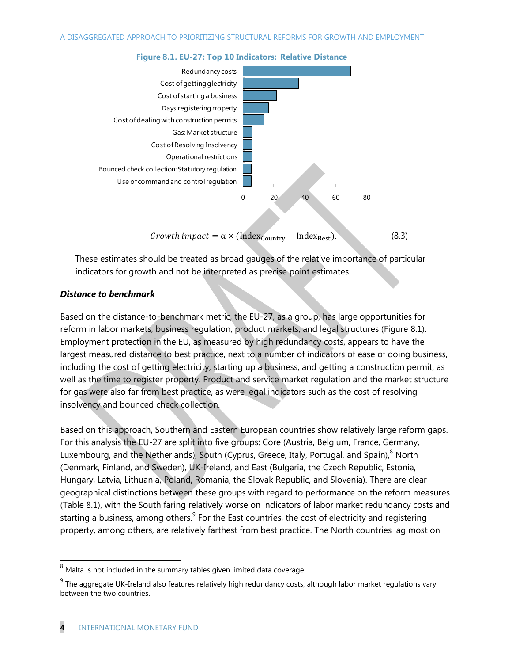

#### **Figure 8.1. EU-27: Top 10 Indicators: Relative Distance**

Growth impact =  $\alpha \times (Index_{Country} - Index_{Best})$ . (8.3)

These estimates should be treated as broad gauges of the relative importance of particular indicators for growth and not be interpreted as precise point estimates.

#### *Distance to benchmark*

Based on the distance-to-benchmark metric, the EU-27, as a group, has large opportunities for reform in labor markets, business regulation, product markets, and legal structures (Figure 8.1). Employment protection in the EU, as measured by high redundancy costs, appears to have the largest measured distance to best practice, next to a number of indicators of ease of doing business, including the cost of getting electricity, starting up a business, and getting a construction permit, as well as the time to register property. Product and service market regulation and the market structure for gas were also far from best practice, as were legal indicators such as the cost of resolving insolvency and bounced check collection.

Based on this approach, Southern and Eastern European countries show relatively large reform gaps. For this analysis the EU-27 are split into five groups: Core (Austria, Belgium, France, Germany, Luxembourg, and the Netherlands), South (Cyprus, Greece, Italy, Portugal, and Spain), <sup>8</sup> North (Denmark, Finland, and Sweden), UK-Ireland, and East (Bulgaria, the Czech Republic, Estonia, Hungary, Latvia, Lithuania, Poland, Romania, the Slovak Republic, and Slovenia). There are clear geographical distinctions between these groups with regard to performance on the reform measures (Table 8.1), with the South faring relatively worse on indicators of labor market redundancy costs and starting a business, among others.<sup>9</sup> For the East countries, the cost of electricity and registering property, among others, are relatively farthest from best practice. The North countries lag most on

and a local control of the summary tables given limited data coverage.<br>In Malta is not included in the summary tables given limited data coverage.

 $^9$  The aggregate UK-Ireland also features relatively high redundancy costs, although labor market regulations vary between the two countries.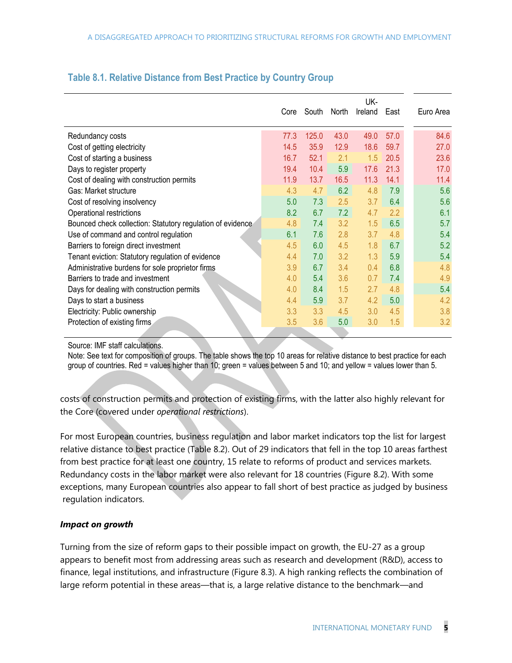|                                                            | Core | South | North | UK-<br>Ireland | East | Euro Area |
|------------------------------------------------------------|------|-------|-------|----------------|------|-----------|
| Redundancy costs                                           | 77.3 | 125.0 | 43.0  | 49.0           | 57.0 | 84.6      |
| Cost of getting electricity                                | 14.5 | 35.9  | 12.9  | 18.6           | 59.7 | 27.0      |
| Cost of starting a business                                | 16.7 | 52.1  | 2.1   | 1.5            | 20.5 | 23.6      |
| Days to register property                                  | 19.4 | 10.4  | 5.9   | 17.6           | 21.3 | 17.0      |
| Cost of dealing with construction permits                  | 11.9 | 13.7  | 16.5  | 11.3           | 14.1 | 11.4      |
| Gas: Market structure                                      | 4.3  | 4.7   | 6.2   | 4.8            | 7.9  | 5.6       |
| Cost of resolving insolvency                               | 5.0  | 7.3   | 2.5   | 3.7            | 6.4  | 5.6       |
| Operational restrictions                                   | 8.2  | 6.7   | 7.2   | 4.7            | 2.2  | 6.1       |
| Bounced check collection: Statutory regulation of evidence | 4.8  | 7.4   | 3.2   | 1.5            | 6.5  | 5.7       |
| Use of command and control regulation                      | 6.1  | 7.6   | 2.8   | 3.7            | 4.8  | 5.4       |
| Barriers to foreign direct investment                      | 4.5  | 6.0   | 4.5   | 1.8            | 6.7  | 5.2       |
| Tenant eviction: Statutory regulation of evidence          | 4.4  | 7.0   | 3.2   | 1.3            | 5.9  | 5.4       |
| Administrative burdens for sole proprietor firms           | 3.9  | 6.7   | 3.4   | 0.4            | 6.8  | 4.8       |
| Barriers to trade and investment                           | 4.0  | 5.4   | 3.6   | 0.7            | 7.4  | 4.9       |
| Days for dealing with construction permits                 | 4.0  | 8.4   | 1.5   | 2.7            | 4.8  | 5.4       |
| Days to start a business                                   | 4.4  | 5.9   | 3.7   | 4.2            | 5.0  | 4.2       |
| Electricity: Public ownership                              | 3.3  | 3.3   | 4.5   | 3.0            | 4.5  | 3.8       |
| Protection of existing firms                               | 3.5  | 3.6   | 5.0   | 3.0            | 1.5  | 3.2       |
|                                                            |      |       |       |                |      |           |

### **Table 8.1. Relative Distance from Best Practice by Country Group**

Source: IMF staff calculations.

Note: See text for composition of groups. The table shows the top 10 areas for relative distance to best practice for each group of countries. Red = values higher than 10; green = values between 5 and 10; and yellow = values lower than 5.

costs of construction permits and protection of existing firms, with the latter also highly relevant for the Core (covered under *operational restrictions*).

For most European countries, business regulation and labor market indicators top the list for largest relative distance to best practice (Table 8.2). Out of 29 indicators that fell in the top 10 areas farthest from best practice for at least one country, 15 relate to reforms of product and services markets. Redundancy costs in the labor market were also relevant for 18 countries (Figure 8.2). With some exceptions, many European countries also appear to fall short of best practice as judged by business regulation indicators.

#### *Impact on growth*

Turning from the size of reform gaps to their possible impact on growth, the EU-27 as a group appears to benefit most from addressing areas such as research and development (R&D), access to finance, legal institutions, and infrastructure (Figure 8.3). A high ranking reflects the combination of large reform potential in these areas—that is, a large relative distance to the benchmark—and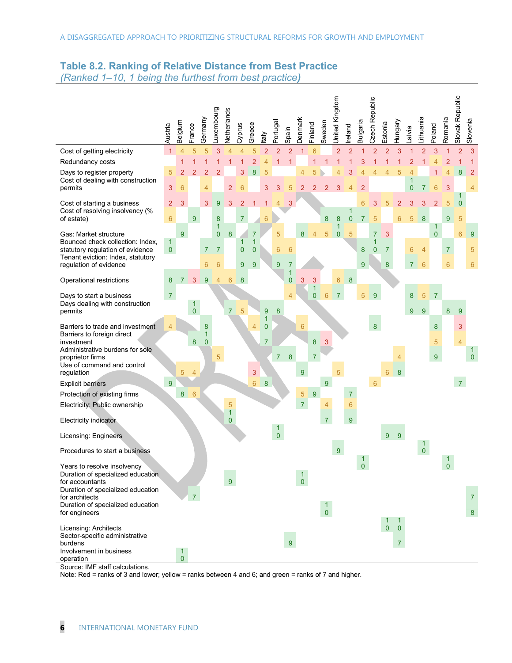| <b>Table 8.2. Ranking of Relative Distance from Best Practice</b> |  |
|-------------------------------------------------------------------|--|
| (Ranked 1-10, 1 being the furthest from best practice)            |  |

|                                                                           | Austria                   | Belgium                          | France                         | Germany             | Luxembourg                   | Netherlands                  | Cyprus           | Greece            | taly           | Portugal       | Spain            | Denmark                        | Finland         | Sweden                                | United Kingdom   | Ireland          | Bulgaria                | Czech Republic   | Estonia         | Hungary        | -atvia                   | _ithuania      | Poland              | Romania                 | Slovak Republic     | Slovenia            |
|---------------------------------------------------------------------------|---------------------------|----------------------------------|--------------------------------|---------------------|------------------------------|------------------------------|------------------|-------------------|----------------|----------------|------------------|--------------------------------|-----------------|---------------------------------------|------------------|------------------|-------------------------|------------------|-----------------|----------------|--------------------------|----------------|---------------------|-------------------------|---------------------|---------------------|
| Cost of getting electricity                                               | $\overline{1}$            | $\overline{4}$                   | 5                              | 5                   | 3                            | $\overline{4}$               | $\overline{4}$   | $\overline{5}$    | $\overline{2}$ | $\overline{2}$ | $\overline{2}$   | $\overline{1}$                 | $6\phantom{1}6$ |                                       | $\overline{2}$   | $\overline{2}$   | 1                       | $\overline{2}$   | $\overline{2}$  | 3              | $\overline{1}$           | $\overline{2}$ | 3                   | $\overline{1}$          | $\overline{2}$      | 3                   |
| Redundancy costs                                                          |                           | 1                                | 1                              | 1                   |                              | 1                            | 1                | $\overline{2}$    | $\overline{4}$ |                | $\overline{1}$   |                                |                 |                                       | 1                |                  | 3                       |                  |                 |                | $\overline{2}$           | $\overline{1}$ | $\overline{4}$      | $\overline{2}$          |                     | $\overline{1}$      |
| Days to register property<br>Cost of dealing with construction<br>permits | 5<br>$\mathbf{3}$         | $\overline{2}$<br>$6\phantom{1}$ | $\overline{2}$                 | $\overline{2}$<br>4 | $\overline{2}$               | $\overline{2}$               | 3<br>6           | 8                 | 5<br>3         | 3              | 5                | 4<br>$\overline{2}$            |                 | $\overline{2}$                        | Δ<br>3           | 3<br>4           | 4<br>$\overline{2}$     |                  |                 | 5              | 4<br>1<br>$\overline{0}$ | $\overline{7}$ | $6\phantom{1}$      | 4<br>3                  | 8                   | $\overline{2}$<br>4 |
| Cost of starting a business                                               | $\overline{c}$            | 3                                |                                | 3                   | 9                            | 3                            | $\overline{2}$   |                   |                |                | 3                |                                |                 |                                       |                  |                  | $6\phantom{1}6$         | 3                | 5               | $\overline{2}$ | 3                        | 3              | $\overline{2}$      | 5                       | 1<br>$\overline{0}$ |                     |
| Cost of resolving insolvency (%<br>of estate)                             | $6\phantom{1}6$           |                                  | 9                              |                     | 8                            |                              | $\overline{7}$   |                   | 6              |                |                  |                                |                 | 8                                     | 8                | 1<br>$\mathbf 0$ | $\overline{7}$          | 5                |                 | $6\phantom{1}$ | 5                        | 8              |                     | 9                       | 5                   |                     |
| Gas: Market structure                                                     |                           | 9                                |                                |                     | $\mathbf{1}$<br>$\mathbf{0}$ | 8                            |                  | $\overline{7}$    |                | 5              |                  | 8                              | 4               | 5                                     | 1<br>$\pmb{0}$   | 5                |                         | $\overline{7}$   | 3               |                |                          |                | 1<br>$\overline{0}$ |                         | 6                   | 9                   |
| Bounced check collection: Index,<br>statutory regulation of evidence      | $\mathbf{1}$<br>$\pmb{0}$ |                                  |                                | 7                   | 7                            |                              | 1<br>$\mathbf 0$ | 1<br>$\mathbf{0}$ |                | 6              | 6                |                                |                 |                                       |                  |                  | 8                       | 1<br>$\mathbf 0$ | 7               |                | 6                        | 4              |                     | $\overline{7}$          |                     | 5                   |
| Tenant eviction: Index, statutory<br>regulation of evidence               |                           |                                  |                                | 6                   | 6                            |                              | $9\,$            | 9                 |                | 9              | 7                |                                |                 |                                       |                  |                  | 9                       |                  | 8               |                | $\overline{7}$           | 6              |                     | 6                       |                     | 6                   |
| Operational restrictions                                                  | 8                         | 7                                | 3                              | 9                   | 4                            | $6\phantom{1}$               | 8                |                   |                |                | 1<br>$\mathbf 0$ | 3                              | 3<br>1          |                                       | $6\phantom{1}$   | 8                |                         |                  |                 |                |                          |                |                     |                         |                     |                     |
| Days to start a business                                                  | $\overline{7}$            |                                  |                                |                     |                              |                              |                  |                   |                |                | 4                |                                | $\overline{0}$  | $6\phantom{1}6$                       | $\overline{7}$   |                  | 5                       | 9                |                 |                | 8                        | 5              | $\overline{7}$      |                         |                     |                     |
| Days dealing with construction<br>permits                                 |                           |                                  | $\mathbf{1}$<br>$\overline{0}$ |                     |                              | 7                            | 5                |                   | 9              | 8              |                  |                                |                 |                                       |                  |                  |                         |                  |                 |                | 9                        | 9              |                     | 8                       | 9                   |                     |
|                                                                           |                           |                                  |                                |                     |                              |                              |                  |                   | 1              |                |                  |                                |                 |                                       |                  |                  |                         |                  |                 |                |                          |                |                     |                         |                     |                     |
| Barriers to trade and investment<br>Barriers to foreign direct            | $\overline{4}$            |                                  |                                | 8                   |                              |                              |                  | $\overline{4}$    | $\overline{0}$ |                |                  | $6\phantom{1}$                 |                 |                                       |                  |                  |                         | 8                |                 |                |                          |                | 8                   |                         | 3                   |                     |
| investment<br>Administrative burdens for sole                             |                           |                                  | 8                              | $\mathbf{0}$        |                              |                              |                  |                   | $\overline{7}$ |                |                  |                                | 8               | 3                                     |                  |                  |                         |                  |                 |                |                          |                | 5                   |                         | $\overline{4}$      | 1                   |
| proprietor firms                                                          |                           |                                  |                                |                     | 5                            |                              |                  |                   |                | $\overline{7}$ | 8                |                                | $\overline{7}$  |                                       |                  |                  |                         |                  |                 | 4              |                          |                | 9                   |                         |                     | $\overline{0}$      |
| Use of command and control<br>regulation                                  |                           | 5                                | 4                              |                     |                              |                              |                  | 3                 |                |                |                  | $\boldsymbol{9}$               |                 |                                       | 5                |                  |                         |                  | $6\phantom{1}6$ | 8              |                          |                |                     |                         |                     |                     |
| <b>Explicit barriers</b>                                                  | 9                         |                                  |                                |                     |                              |                              |                  | $6\phantom{1}$    | 8              |                |                  |                                |                 | $\overline{9}$                        |                  |                  |                         | $6\phantom{1}6$  |                 |                |                          |                |                     |                         | $\overline{7}$      |                     |
| Protection of existing firms                                              |                           | 8                                | $6\phantom{1}6$                |                     |                              |                              |                  |                   |                |                |                  | 5                              | 9               |                                       |                  | $\boldsymbol{7}$ |                         |                  |                 |                |                          |                |                     |                         |                     |                     |
| Electricity: Public ownership                                             |                           |                                  |                                |                     |                              | $\sqrt{5}$                   |                  |                   |                |                |                  | $\overline{7}$                 |                 | 4                                     |                  | $6\phantom{1}6$  |                         |                  |                 |                |                          |                |                     |                         |                     |                     |
| Electricity indicator                                                     |                           |                                  |                                |                     |                              | $\mathbf{1}$<br>$\mathbf{0}$ |                  |                   |                | 1              |                  |                                |                 | $\overline{7}$                        |                  | $\boldsymbol{9}$ |                         |                  |                 |                |                          |                |                     |                         |                     |                     |
| Licensing: Engineers                                                      |                           |                                  |                                |                     |                              |                              |                  |                   |                | $\overline{0}$ |                  |                                |                 |                                       |                  |                  |                         |                  | 9               | 9              |                          | 1              |                     |                         |                     |                     |
| Procedures to start a business                                            |                           |                                  |                                |                     |                              |                              |                  |                   |                |                |                  |                                |                 |                                       | $\boldsymbol{9}$ |                  | 1                       |                  |                 |                |                          | $\pmb{0}$      |                     | 1                       |                     |                     |
| Years to resolve insolvency                                               |                           |                                  |                                |                     |                              |                              |                  |                   |                |                |                  |                                |                 |                                       |                  |                  | $\overline{\mathbf{0}}$ |                  |                 |                |                          |                |                     | $\overline{\mathbf{0}}$ |                     |                     |
| Duration of specialized education<br>for accountants                      |                           |                                  |                                |                     |                              | $9\phantom{.}$               |                  |                   |                |                |                  | $\mathbf{1}$<br>$\overline{0}$ |                 |                                       |                  |                  |                         |                  |                 |                |                          |                |                     |                         |                     |                     |
| Duration of specialized education<br>for architects                       |                           |                                  | $\overline{7}$                 |                     |                              |                              |                  |                   |                |                |                  |                                |                 |                                       |                  |                  |                         |                  |                 |                |                          |                |                     |                         |                     | $\overline{7}$      |
| Duration of specialized education                                         |                           |                                  |                                |                     |                              |                              |                  |                   |                |                |                  |                                |                 | $\begin{array}{c} 1 \\ 0 \end{array}$ |                  |                  |                         |                  |                 |                |                          |                |                     |                         |                     |                     |
| for engineers                                                             |                           |                                  |                                |                     |                              |                              |                  |                   |                |                |                  |                                |                 |                                       |                  |                  |                         |                  | $\mathbf{1}$    | 1              |                          |                |                     |                         |                     | 8                   |
| Licensing: Architects                                                     |                           |                                  |                                |                     |                              |                              |                  |                   |                |                |                  |                                |                 |                                       |                  |                  |                         |                  | $\overline{0}$  | $\mathbf 0$    |                          |                |                     |                         |                     |                     |
| Sector-specific administrative<br>burdens                                 |                           |                                  |                                |                     |                              |                              |                  |                   |                |                | 9                |                                |                 |                                       |                  |                  |                         |                  |                 | 7              |                          |                |                     |                         |                     |                     |
| Involvement in business<br>operation                                      |                           | $\mathbf{1}$<br>$\mathbf{0}$     |                                |                     |                              |                              |                  |                   |                |                |                  |                                |                 |                                       |                  |                  |                         |                  |                 |                |                          |                |                     |                         |                     |                     |

Source: IMF staff calculations.

Note: Red = ranks of 3 and lower; yellow = ranks between 4 and 6; and green = ranks of 7 and higher.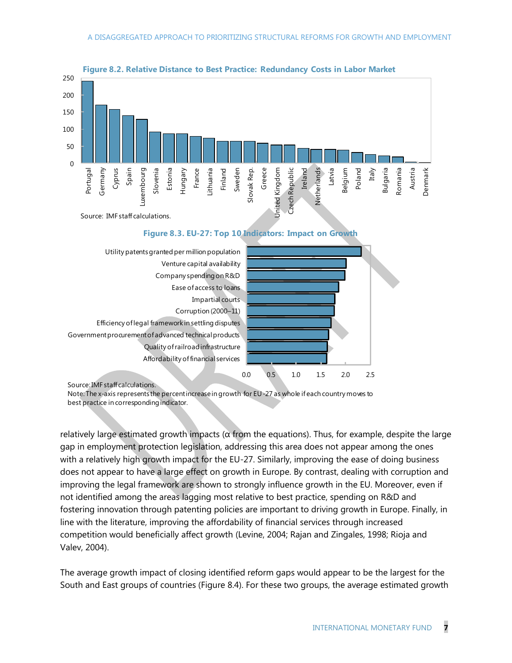

**Figure 8.2. Relative Distance to Best Practice: Redundancy Costs in Labor Market**





Source: IMF staff calculations.

Note: The x-axis represents the percent increase in growth for EU-27 as whole if each country moves to best practice in corresponding indicator.

relatively large estimated growth impacts ( $\alpha$  from the equations). Thus, for example, despite the large gap in employment protection legislation, addressing this area does not appear among the ones with a relatively high growth impact for the EU-27. Similarly, improving the ease of doing business does not appear to have a large effect on growth in Europe. By contrast, dealing with corruption and improving the legal framework are shown to strongly influence growth in the EU. Moreover, even if not identified among the areas lagging most relative to best practice, spending on R&D and fostering innovation through patenting policies are important to driving growth in Europe. Finally, in line with the literature, improving the affordability of financial services through increased competition would beneficially affect growth (Levine, 2004; Rajan and Zingales, 1998; Rioja and Valev, 2004).

The average growth impact of closing identified reform gaps would appear to be the largest for the South and East groups of countries (Figure 8.4). For these two groups, the average estimated growth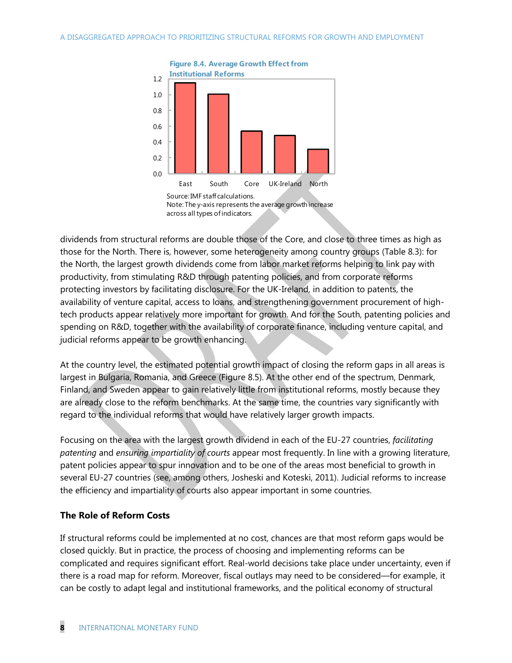

across all types of indicators.



dividends from structural reforms are double those of the Core, and close to three times as high as those for the North. There is, however, some heterogeneity among country groups (Table 8.3): for the North, the largest growth dividends come from labor market reforms helping to link pay with productivity, from stimulating R&D through patenting policies, and from corporate reforms protecting investors by facilitating disclosure. For the UK-Ireland, in addition to patents, the availability of venture capital, access to loans, and strengthening government procurement of hightech products appear relatively more important for growth. And for the South, patenting policies and spending on R&D, together with the availability of corporate finance, including venture capital, and judicial reforms appear to be growth enhancing.

At the country level, the estimated potential growth impact of closing the reform gaps in all areas is largest in Bulgaria, Romania, and Greece (Figure 8.5). At the other end of the spectrum, Denmark, Finland, and Sweden appear to gain relatively little from institutional reforms, mostly because they are already close to the reform benchmarks. At the same time, the countries vary significantly with regard to the individual reforms that would have relatively larger growth impacts.

Focusing on the area with the largest growth dividend in each of the EU-27 countries, *facilitating patenting* and *ensuring impartiality of courts* appear most frequently. In line with a growing literature, patent policies appear to spur innovation and to be one of the areas most beneficial to growth in several EU-27 countries (see, among others, Josheski and Koteski, 2011). Judicial reforms to increase the efficiency and impartiality of courts also appear important in some countries.

#### **The Role of Reform Costs**

If structural reforms could be implemented at no cost, chances are that most reform gaps would be closed quickly. But in practice, the process of choosing and implementing reforms can be complicated and requires significant effort. Real-world decisions take place under uncertainty, even if there is a road map for reform. Moreover, fiscal outlays may need to be considered—for example, it can be costly to adapt legal and institutional frameworks, and the political economy of structural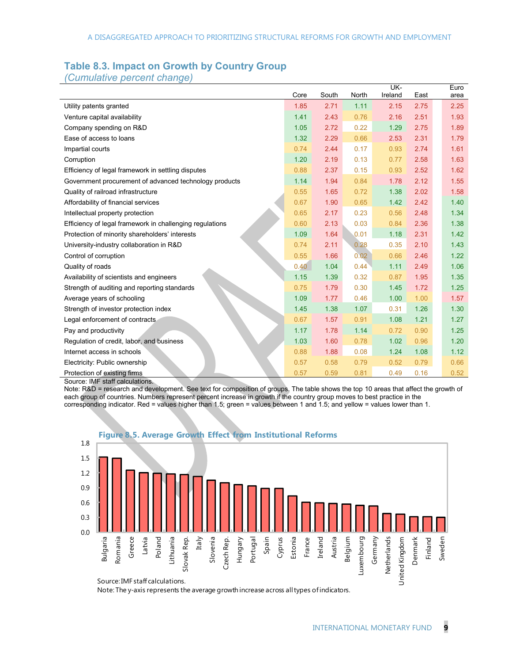### **Table 8.3. Impact on Growth by Country Group**

*(Cumulative percent change)*

|                                                          | Core | South | North | UK-<br>Ireland | East | Euro<br>area |
|----------------------------------------------------------|------|-------|-------|----------------|------|--------------|
| Utility patents granted                                  | 1.85 | 2.71  | 1.11  | 2.15           | 2.75 | 2.25         |
| Venture capital availability                             | 1.41 | 2.43  | 0.76  | 2.16           | 2.51 | 1.93         |
| Company spending on R&D                                  | 1.05 | 2.72  | 0.22  | 1.29           | 2.75 | 1.89         |
| Ease of access to loans                                  | 1.32 | 2.29  | 0.66  | 2.53           | 2.31 | 1.79         |
| Impartial courts                                         | 0.74 | 2.44  | 0.17  | 0.93           | 2.74 | 1.61         |
| Corruption                                               | 1.20 | 2.19  | 0.13  | 0.77           | 2.58 | 1.63         |
| Efficiency of legal framework in settling disputes       | 0.88 | 2.37  | 0.15  | 0.93           | 2.52 | 1.62         |
| Government procurement of advanced technology products   | 1.14 | 1.94  | 0.84  | 1.78           | 2.12 | 1.55         |
| Quality of railroad infrastructure                       | 0.55 | 1.65  | 0.72  | 1.38           | 2.02 | 1.58         |
| Affordability of financial services                      | 0.67 | 1.90  | 0.65  | 1.42           | 2.42 | 1.40         |
| Intellectual property protection                         | 0.65 | 2.17  | 0.23  | 0.56           | 2.48 | 1.34         |
| Efficiency of legal framework in challenging regulations | 0.60 | 2.13  | 0.03  | 0.84           | 2.36 | 1.38         |
| Protection of minority shareholders' interests           | 1.09 | 1.64  | 0.01  | 1.18           | 2.31 | 1.42         |
| University-industry collaboration in R&D                 | 0.74 | 2.11  | 0.28  | 0.35           | 2.10 | 1.43         |
| Control of corruption                                    | 0.55 | 1.66  | 0.02  | 0.66           | 2.46 | 1.22         |
| Quality of roads                                         | 0.40 | 1.04  | 0.44  | 1.11           | 2.49 | 1.06         |
| Availability of scientists and engineers                 | 1.15 | 1.39  | 0.32  | 0.87           | 1.95 | 1.35         |
| Strength of auditing and reporting standards             | 0.75 | 1.79  | 0.30  | 1.45           | 1.72 | 1.25         |
| Average years of schooling                               | 1.09 | 1.77  | 0.46  | 1.00           | 1.00 | 1.57         |
| Strength of investor protection index                    | 1.45 | 1.38  | 1.07  | 0.31           | 1.26 | 1.30         |
| Legal enforcement of contracts                           | 0.67 | 1.57  | 0.91  | 1.08           | 1.21 | 1.27         |
| Pay and productivity                                     | 1.17 | 1.78  | 1.14  | 0.72           | 0.90 | 1.25         |
| Regulation of credit, labor, and business                | 1.03 | 1.60  | 0.78  | 1.02           | 0.96 | 1.20         |
| Internet access in schools                               | 0.88 | 1.88  | 0.08  | 1.24           | 1.08 | 1.12         |
| Electricity: Public ownership                            | 0.57 | 0.58  | 0.79  | 0.52           | 0.79 | 0.66         |
| Protection of existing firms                             | 0.57 | 0.59  | 0.81  | 0.49           | 0.16 | 0.52         |

Source: IMF staff calculations.

Note: R&D = research and development. See text for composition of groups. The table shows the top 10 areas that affect the growth of each group of countries. Numbers represent percent increase in growth if the country group moves to best practice in the corresponding indicator. Red = values higher than 1.5; green = values between 1 and 1.5; and yellow = values lower than 1.



#### **Figure 8.5. Average Growth Effect from Institutional Reforms**

Note: The y-axis represents the average growth increase across all types of indicators.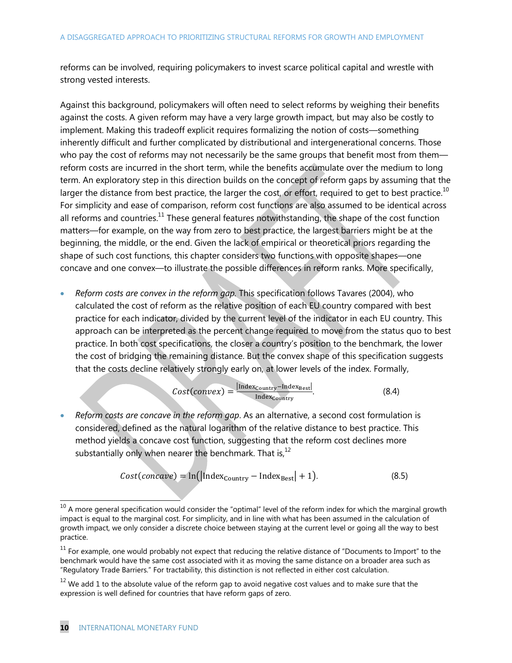reforms can be involved, requiring policymakers to invest scarce political capital and wrestle with strong vested interests.

Against this background, policymakers will often need to select reforms by weighing their benefits against the costs. A given reform may have a very large growth impact, but may also be costly to implement. Making this tradeoff explicit requires formalizing the notion of costs—something inherently difficult and further complicated by distributional and intergenerational concerns. Those who pay the cost of reforms may not necessarily be the same groups that benefit most from them reform costs are incurred in the short term, while the benefits accumulate over the medium to long term. An exploratory step in this direction builds on the concept of reform gaps by assuming that the larger the distance from best practice, the larger the cost, or effort, required to get to best practice.<sup>10</sup> For simplicity and ease of comparison, reform cost functions are also assumed to be identical across all reforms and countries.<sup>11</sup> These general features notwithstanding, the shape of the cost function matters—for example, on the way from zero to best practice, the largest barriers might be at the beginning, the middle, or the end. Given the lack of empirical or theoretical priors regarding the shape of such cost functions, this chapter considers two functions with opposite shapes—one concave and one convex—to illustrate the possible differences in reform ranks. More specifically,

 *Reform costs are convex in the reform gap.* This specification follows Tavares (2004), who calculated the cost of reform as the relative position of each EU country compared with best practice for each indicator, divided by the current level of the indicator in each EU country. This approach can be interpreted as the percent change required to move from the status quo to best practice. In both cost specifications, the closer a country's position to the benchmark, the lower the cost of bridging the remaining distance. But the convex shape of this specification suggests that the costs decline relatively strongly early on, at lower levels of the index. Formally,

$$
Cost(convex) = \frac{|\text{Index}_{Country} - \text{Index}_{Best}|}{\text{Index}_{Country}}.
$$
 (8.4)

 *Reform costs are concave in the reform gap*. As an alternative, a second cost formulation is considered, defined as the natural logarithm of the relative distance to best practice. This method yields a concave cost function, suggesting that the reform cost declines more substantially only when nearer the benchmark. That is, $^{12}$ 

$$
Cost(concave) = \ln(|Index_{Country} - Index_{Best}| + 1). \tag{8.5}
$$

 $\overline{a}$ 

 $^{10}$  A more general specification would consider the "optimal" level of the reform index for which the marginal growth impact is equal to the marginal cost. For simplicity, and in line with what has been assumed in the calculation of growth impact, we only consider a discrete choice between staying at the current level or going all the way to best practice.

 $11$  For example, one would probably not expect that reducing the relative distance of "Documents to Import" to the benchmark would have the same cost associated with it as moving the same distance on a broader area such as ―Regulatory Trade Barriers.‖ For tractability, this distinction is not reflected in either cost calculation.

 $12$  We add 1 to the absolute value of the reform gap to avoid negative cost values and to make sure that the expression is well defined for countries that have reform gaps of zero.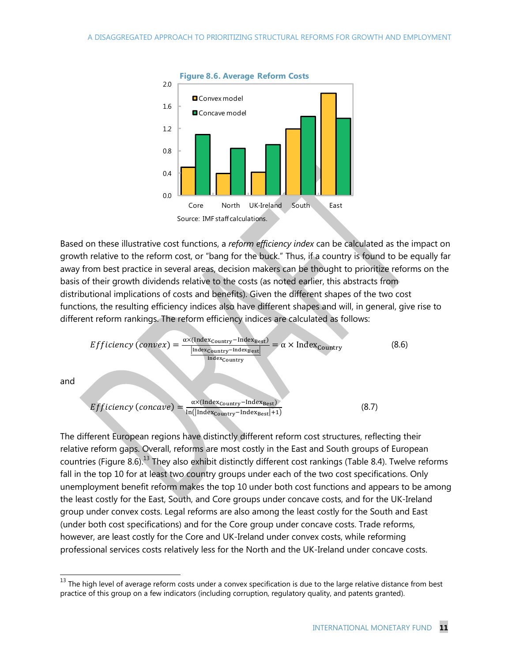

Based on these illustrative cost functions, a *reform efficiency index* can be calculated as the impact on growth relative to the reform cost, or "bang for the buck." Thus, if a country is found to be equally far away from best practice in several areas, decision makers can be thought to prioritize reforms on the basis of their growth dividends relative to the costs (as noted earlier, this abstracts from distributional implications of costs and benefits). Given the different shapes of the two cost functions, the resulting efficiency indices also have different shapes and will, in general, give rise to different reform rankings. The reform efficiency indices are calculated as follows:

$$
Efficiency (convex) = \frac{\alpha \times (\text{Index}_{Country} - \text{Index}_{Best})}{\frac{|\text{Index}_{Country} - \text{Index}_{Best}|}{\text{Index}_{Country}}}\n= \alpha \times \text{Index}_{Country}
$$
\n(8.6)

and

 $\overline{a}$ 

The different European regions have distinctly different reform cost structures, reflecting their relative reform gaps. Overall, reforms are most costly in the East and South groups of European countries (Figure 8.6).<sup>13</sup> They also exhibit distinctly different cost rankings (Table 8.4). Twelve reforms fall in the top 10 for at least two country groups under each of the two cost specifications. Only unemployment benefit reform makes the top 10 under both cost functions and appears to be among the least costly for the East, South, and Core groups under concave costs, and for the UK-Ireland group under convex costs. Legal reforms are also among the least costly for the South and East (under both cost specifications) and for the Core group under concave costs. Trade reforms, however, are least costly for the Core and UK-Ireland under convex costs, while reforming professional services costs relatively less for the North and the UK-Ireland under concave costs.

 $^{13}$  The high level of average reform costs under a convex specification is due to the large relative distance from best practice of this group on a few indicators (including corruption, regulatory quality, and patents granted).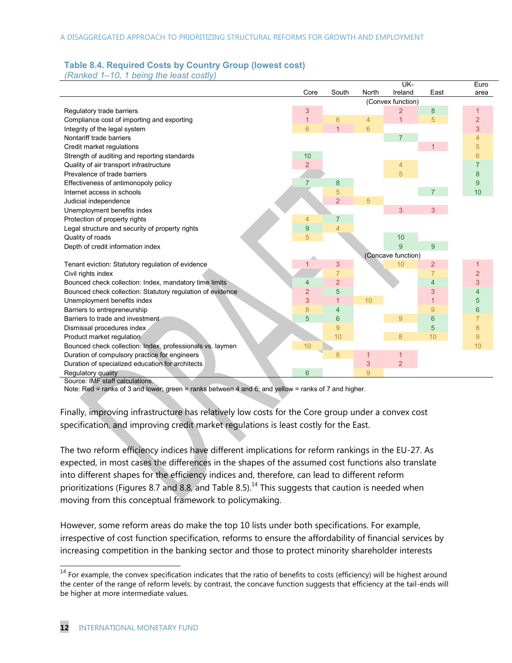## **Table 8.4. Required Costs by Country Group (lowest cost)**

*(Ranked 1–10, 1 being the least costly)*



Source: IMF staff calculations.

Note: Red = ranks of 3 and lower; green = ranks between 4 and 6; and yellow = ranks of 7 and higher.

Finally, improving infrastructure has relatively low costs for the Core group under a convex cost specification, and improving credit market regulations is least costly for the East.

The two reform efficiency indices have different implications for reform rankings in the EU-27. As expected, in most cases the differences in the shapes of the assumed cost functions also translate into different shapes for the efficiency indices and, therefore, can lead to different reform prioritizations (Figures 8.7 and 8.8, and Table 8.5).<sup>14</sup> This suggests that caution is needed when moving from this conceptual framework to policymaking.

However, some reform areas do make the top 10 lists under both specifications. For example, irrespective of cost function specification, reforms to ensure the affordability of financial services by increasing competition in the banking sector and those to protect minority shareholder interests

 $\overline{a}$ 

 $^{14}$  For example, the convex specification indicates that the ratio of benefits to costs (efficiency) will be highest around the center of the range of reform levels; by contrast, the concave function suggests that efficiency at the tail-ends will be higher at more intermediate values.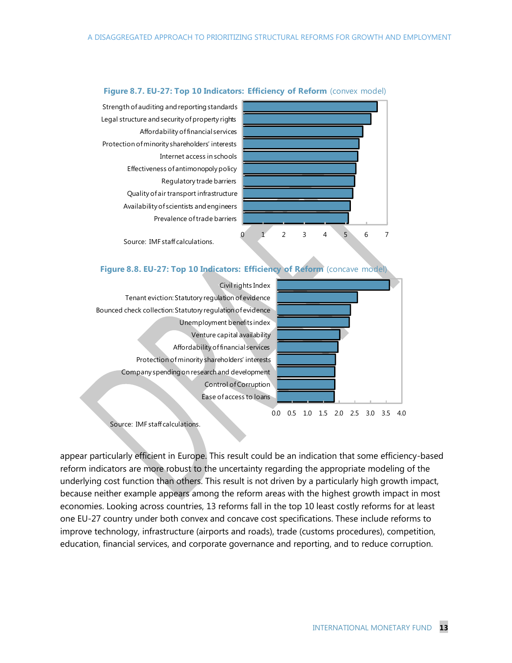

#### **Figure 8.7. EU-27: Top 10 Indicators: Efficiency of Reform** (convex model)

**Figure 8.8. EU-27: Top 10 Indicators: Efficiency of Reform** (concave model)



Source: IMF staff calculations.

appear particularly efficient in Europe. This result could be an indication that some efficiency-based reform indicators are more robust to the uncertainty regarding the appropriate modeling of the underlying cost function than others. This result is not driven by a particularly high growth impact, because neither example appears among the reform areas with the highest growth impact in most economies. Looking across countries, 13 reforms fall in the top 10 least costly reforms for at least one EU-27 country under both convex and concave cost specifications. These include reforms to improve technology, infrastructure (airports and roads), trade (customs procedures), competition, education, financial services, and corporate governance and reporting, and to reduce corruption.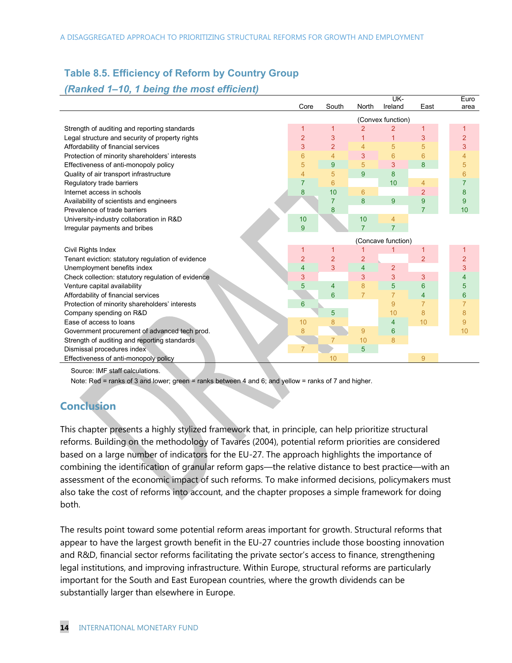## **Table 8.5. Efficiency of Reform by Country Group**

### *(Ranked 1–10, 1 being the most efficient)*

|                                                    |                |                 |                | UK-                |                | Euro |
|----------------------------------------------------|----------------|-----------------|----------------|--------------------|----------------|------|
|                                                    | Core           | South           | North          | Ireland            | East           | area |
|                                                    |                |                 |                | (Convex function)  |                |      |
| Strength of auditing and reporting standards       |                |                 | 2              |                    | 1              |      |
| Legal structure and security of property rights    | $\overline{2}$ | 3               |                |                    | 3              | 2    |
| Affordability of financial services                | 3              | $\overline{2}$  | 4              | 5                  | 5              | 3    |
| Protection of minority shareholders' interests     | 6              | 4               | 3              | 6                  | 6              |      |
| Effectiveness of anti-monopoly policy              | 5              | 9               | 5              | 3                  | 8              | 5    |
| Quality of air transport infrastructure            | 4              | 5               | 9              | 8                  |                | 6    |
| Regulatory trade barriers                          | $\overline{7}$ | $6\overline{6}$ |                | 10                 | 4              | 7    |
| Internet access in schools                         | 8              | 10              | 6              |                    | $\overline{2}$ | 8    |
| Availability of scientists and engineers           |                | $\overline{7}$  | 8              | 9                  | 9              | 9    |
| Prevalence of trade barriers                       |                | 8               |                |                    | $\overline{7}$ | 10   |
| University-industry collaboration in R&D           | 10             |                 | 10             | 4                  |                |      |
| Irregular payments and bribes                      | 9              |                 | $\overline{7}$ | $\overline{7}$     |                |      |
|                                                    |                |                 |                | (Concave function) |                |      |
| Civil Rights Index                                 | 1              |                 |                |                    | $\mathbf{1}$   |      |
| Tenant eviction: statutory regulation of evidence  | $\overline{2}$ | $\overline{2}$  | 2              |                    | $\overline{2}$ | 2    |
| Unemployment benefits index                        | 4              | 3               | 4              | 2                  |                | 3    |
| Check collection: statutory regulation of evidence | 3              |                 | 3              | 3                  | 3              |      |
| Venture capital availability                       | 5              | 4               | 8              | 5                  | 6              | 5    |
| Affordability of financial services                |                | $6\phantom{1}$  | $\overline{7}$ | $\overline{7}$     | 4              | 6    |
| Protection of minority shareholders' interests     | $6\phantom{1}$ |                 |                | 9                  | $\overline{7}$ |      |
| Company spending on R&D                            |                | 5               |                | 10                 | 8              | 8    |
| Ease of access to loans                            | 10             | 8               |                | 4                  | 10             | 9    |
| Government procurement of advanced tech prod.      | 8              |                 | 9              | 6                  |                | 10   |
| Strength of auditing and reporting standards       |                |                 | 10             | 8                  |                |      |
| Dismissal procedures index                         | $\overline{7}$ |                 | 5              |                    |                |      |
| Effectiveness of anti-monopoly policy              |                | 10              |                |                    | 9              |      |

Source: IMF staff calculations.

Note: Red = ranks of 3 and lower; green = ranks between 4 and 6; and yellow = ranks of 7 and higher.

## **Conclusion**

This chapter presents a highly stylized framework that, in principle, can help prioritize structural reforms. Building on the methodology of Tavares (2004), potential reform priorities are considered based on a large number of indicators for the EU-27. The approach highlights the importance of combining the identification of granular reform gaps—the relative distance to best practice—with an assessment of the economic impact of such reforms. To make informed decisions, policymakers must also take the cost of reforms into account, and the chapter proposes a simple framework for doing both.

The results point toward some potential reform areas important for growth. Structural reforms that appear to have the largest growth benefit in the EU-27 countries include those boosting innovation and R&D, financial sector reforms facilitating the private sector's access to finance, strengthening legal institutions, and improving infrastructure. Within Europe, structural reforms are particularly important for the South and East European countries, where the growth dividends can be substantially larger than elsewhere in Europe.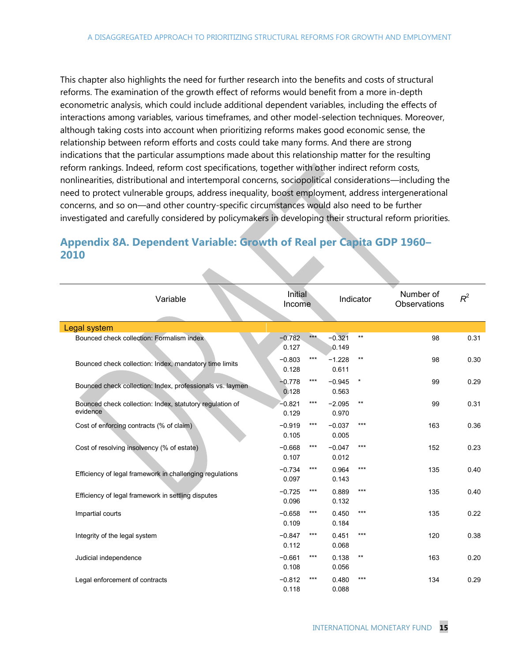This chapter also highlights the need for further research into the benefits and costs of structural reforms. The examination of the growth effect of reforms would benefit from a more in-depth econometric analysis, which could include additional dependent variables, including the effects of interactions among variables, various timeframes, and other model-selection techniques. Moreover, although taking costs into account when prioritizing reforms makes good economic sense, the relationship between reform efforts and costs could take many forms. And there are strong indications that the particular assumptions made about this relationship matter for the resulting reform rankings. Indeed, reform cost specifications, together with other indirect reform costs, nonlinearities, distributional and intertemporal concerns, sociopolitical considerations—including the need to protect vulnerable groups, address inequality, boost employment, address intergenerational concerns, and so on—and other country-specific circumstances would also need to be further investigated and carefully considered by policymakers in developing their structural reform priorities.

| Variable                                                             | Initial<br>Income |       |                   | Indicator       | Number of<br>Observations | $R^2$ |
|----------------------------------------------------------------------|-------------------|-------|-------------------|-----------------|---------------------------|-------|
|                                                                      |                   |       |                   |                 |                           |       |
| Legal system                                                         |                   |       |                   |                 |                           |       |
| Bounced check collection: Formalism index                            | $-0.782$<br>0.127 | $***$ | $-0.321$<br>0.149 | $^{\star\star}$ | 98                        | 0.31  |
| Bounced check collection: Index, mandatory time limits               | $-0.803$<br>0.128 | ***   | $-1.228$<br>0.611 | $***$           | 98                        | 0.30  |
| Bounced check collection: Index, professionals vs. laymen            | $-0.778$<br>0.128 | $***$ | $-0.945$<br>0.563 | $\star$         | 99                        | 0.29  |
| Bounced check collection: Index, statutory regulation of<br>evidence | $-0.821$<br>0.129 | $***$ | $-2.095$<br>0.970 | $***$           | 99                        | 0.31  |
| Cost of enforcing contracts (% of claim)                             | $-0.919$<br>0.105 | $***$ | $-0.037$<br>0.005 | $***$           | 163                       | 0.36  |
| Cost of resolving insolvency (% of estate)                           | $-0.668$<br>0.107 | $***$ | $-0.047$<br>0.012 | ***             | 152                       | 0.23  |
| Efficiency of legal framework in challenging regulations             | $-0.734$<br>0.097 | ***   | 0.964<br>0.143    | $***$           | 135                       | 0.40  |
| Efficiency of legal framework in settling disputes                   | $-0.725$<br>0.096 | $***$ | 0.889<br>0.132    | $***$           | 135                       | 0.40  |
| Impartial courts                                                     | $-0.658$<br>0.109 | $***$ | 0.450<br>0.184    | ***             | 135                       | 0.22  |
| Integrity of the legal system                                        | $-0.847$<br>0.112 | ***   | 0.451<br>0.068    | $***$           | 120                       | 0.38  |
| Judicial independence                                                | $-0.661$<br>0.108 | ***   | 0.138<br>0.056    | $***$           | 163                       | 0.20  |
| Legal enforcement of contracts                                       | $-0.812$<br>0.118 | ***   | 0.480<br>0.088    | $***$           | 134                       | 0.29  |

## **Appendix 8A. Dependent Variable: Growth of Real per Capita GDP 1960– 2010**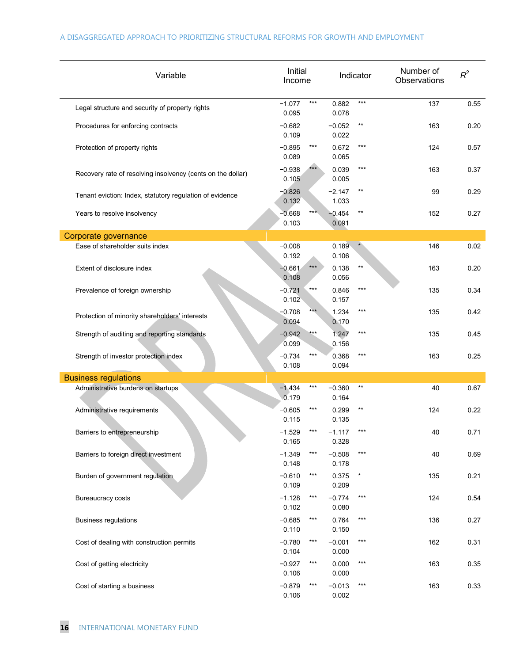| Variable                                                    | Initial<br>Income |       |                   | Indicator | Number of<br>Observations | $R^2$ |
|-------------------------------------------------------------|-------------------|-------|-------------------|-----------|---------------------------|-------|
| Legal structure and security of property rights             | $-1.077$<br>0.095 | $***$ | 0.882<br>0.078    | $***$     | 137                       | 0.55  |
| Procedures for enforcing contracts                          | $-0.682$<br>0.109 |       | $-0.052$<br>0.022 | $***$     | 163                       | 0.20  |
| Protection of property rights                               | $-0.895$<br>0.089 | ***   | 0.672<br>0.065    | $***$     | 124                       | 0.57  |
| Recovery rate of resolving insolvency (cents on the dollar) | $-0.938$<br>0.105 |       | 0.039<br>0.005    | $***$     | 163                       | 0.37  |
| Tenant eviction: Index, statutory regulation of evidence    | $-0.826$<br>0.132 |       | $-2.147$<br>1.033 | $***$     | 99                        | 0.29  |
| Years to resolve insolvency                                 | $-0.668$<br>0.103 |       | $-0.454$<br>0.091 | $***$     | 152                       | 0.27  |
| Corporate governance                                        |                   |       |                   |           |                           |       |
| Ease of shareholder suits index                             | $-0.008$<br>0.192 |       | 0.189<br>0.106    |           | 146                       | 0.02  |
| Extent of disclosure index                                  | $-0.661$<br>0.108 | $***$ | 0.138<br>0.056    | $***$     | 163                       | 0.20  |
| Prevalence of foreign ownership                             | $-0.721$<br>0.102 | $***$ | 0.846<br>0.157    | $***$     | 135                       | 0.34  |
| Protection of minority shareholders' interests              | $-0.708$<br>0.094 | ***   | 1.234<br>0.170    | ***       | 135                       | 0.42  |
| Strength of auditing and reporting standards                | $-0.942$<br>0.099 | ***   | 1.247<br>0.156    | $***$     | 135                       | 0.45  |
| Strength of investor protection index                       | $-0.734$<br>0.108 | $***$ | 0.368<br>0.094    | $***$     | 163                       | 0.25  |
| <b>Business regulations</b>                                 |                   |       |                   |           |                           |       |
| Administrative burdens on startups                          | $-1.434$<br>0.179 | $***$ | $-0.360$<br>0.164 | $***$     | 40                        | 0.67  |
| Administrative requirements                                 | $-0.605$<br>0.115 | ***   | 0.299<br>0.135    | $***$     | 124                       | 0.22  |
| Barriers to entrepreneurship                                | $-1.529$<br>0.165 |       | $-1.117$<br>0.328 | ***       | 40                        | 0.71  |
| Barriers to foreign direct investment                       | $-1.349$<br>0.148 | $***$ | $-0.508$<br>0.178 | ***       | 40                        | 0.69  |
| Burden of government regulation                             | $-0.610$<br>0.109 | $***$ | 0.375<br>0.209    | $^\star$  | 135                       | 0.21  |
| Bureaucracy costs                                           | $-1.128$<br>0.102 | ***   | $-0.774$<br>0.080 | ***       | 124                       | 0.54  |
| <b>Business regulations</b>                                 | $-0.685$<br>0.110 | ***   | 0.764<br>0.150    | $***$     | 136                       | 0.27  |
| Cost of dealing with construction permits                   | $-0.780$<br>0.104 | $***$ | $-0.001$<br>0.000 | $***$     | 162                       | 0.31  |
| Cost of getting electricity                                 | $-0.927$<br>0.106 | ***   | 0.000<br>0.000    | $***$     | 163                       | 0.35  |
| Cost of starting a business                                 | $-0.879$<br>0.106 | $***$ | $-0.013$<br>0.002 | $***$     | 163                       | 0.33  |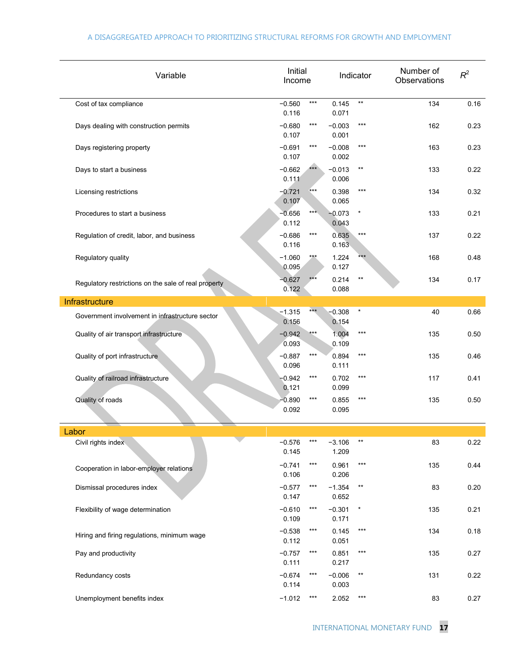| Variable                                             | Initial<br>Income |                   |                   | Indicator       | Number of<br>Observations | $R^2$ |
|------------------------------------------------------|-------------------|-------------------|-------------------|-----------------|---------------------------|-------|
| Cost of tax compliance                               | $-0.560$<br>0.116 | $\star\star\star$ | 0.145<br>0.071    | $^{\star\star}$ | 134                       | 0.16  |
| Days dealing with construction permits               | $-0.680$<br>0.107 | $***$             | $-0.003$<br>0.001 | $***$           | 162                       | 0.23  |
| Days registering property                            | $-0.691$<br>0.107 | $***$             | $-0.008$<br>0.002 | $***$           | 163                       | 0.23  |
| Days to start a business                             | $-0.662$<br>0.111 |                   | $-0.013$<br>0.006 | $***$           | 133                       | 0.22  |
| Licensing restrictions                               | $-0.721$<br>0.107 | ***               | 0.398<br>0.065    | $***$           | 134                       | 0.32  |
| Procedures to start a business                       | $-0.656$<br>0.112 | $***$             | $-0.073$<br>0.043 | $\star$         | 133                       | 0.21  |
| Regulation of credit, labor, and business            | $-0.686$<br>0.116 | $***$             | 0.635<br>0.163    | $***$           | 137                       | 0.22  |
| Regulatory quality                                   | $-1.060$<br>0.095 | $***$             | 1.224<br>0.127    | ***             | 168                       | 0.48  |
| Regulatory restrictions on the sale of real property | $-0.627$<br>0.122 |                   | 0.214<br>0.088    | $^{\star\star}$ | 134                       | 0.17  |
| Infrastructure                                       |                   |                   |                   |                 |                           |       |
| Government involvement in infrastructure sector      | $-1.315$<br>0.156 |                   | $-0.308$<br>0.154 | $\star$         | 40                        | 0.66  |
| Quality of air transport infrastructure              | $-0.942$<br>0.093 | ***               | 1.004<br>0.109    | $***$           | 135                       | 0.50  |
| Quality of port infrastructure                       | $-0.887$<br>0.096 | $***$             | 0.894<br>0.111    | $***$           | 135                       | 0.46  |
| Quality of railroad infrastructure                   | $-0.942$<br>0.121 | $***$             | 0.702<br>0.099    | $***$           | 117                       | 0.41  |
| Quality of roads                                     | $-0.890$<br>0.092 | ***               | 0.855<br>0.095    | $***$           | 135                       | 0.50  |
|                                                      |                   |                   |                   |                 |                           |       |
| Labor                                                |                   |                   |                   |                 |                           |       |
| Civil rights index                                   | $-0.576$<br>0.145 | $***$             | $-3.106$<br>1.209 | $^{\star\star}$ | 83                        | 0.22  |
| Cooperation in labor-employer relations              | $-0.741$<br>0.106 | $***$             | 0.961<br>0.206    | $***$           | 135                       | 0.44  |
| Dismissal procedures index                           | $-0.577$<br>0.147 | $***$             | $-1.354$<br>0.652 | $^{\star\star}$ | 83                        | 0.20  |
| Flexibility of wage determination                    | $-0.610$<br>0.109 | $***$             | $-0.301$<br>0.171 | $\star$         | 135                       | 0.21  |
| Hiring and firing regulations, minimum wage          | $-0.538$<br>0.112 | $***$             | 0.145<br>0.051    | $***$           | 134                       | 0.18  |
| Pay and productivity                                 | $-0.757$<br>0.111 | $***$             | 0.851<br>0.217    | $***$           | 135                       | 0.27  |
| Redundancy costs                                     | $-0.674$<br>0.114 | $***$             | $-0.006$<br>0.003 | $^{\star\star}$ | 131                       | 0.22  |
| Unemployment benefits index                          | $-1.012$          | ***               | 2.052             | $***$           | 83                        | 0.27  |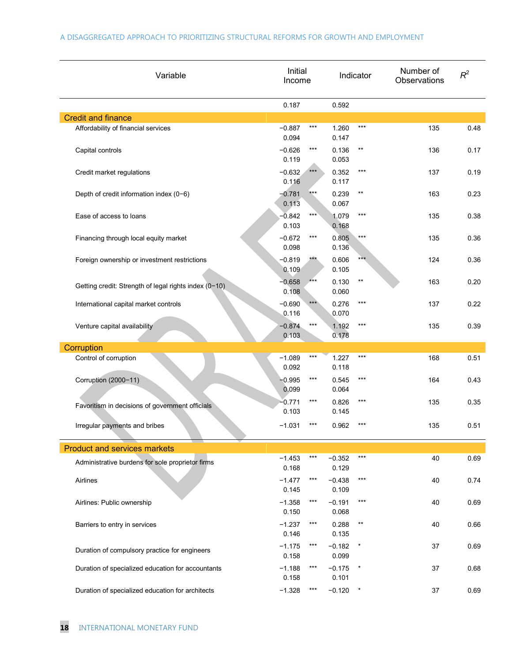| Variable                                              |                   | Initial<br>Income |                   | Indicator | Number of<br>Observations | $R^2$ |
|-------------------------------------------------------|-------------------|-------------------|-------------------|-----------|---------------------------|-------|
|                                                       | 0.187             |                   | 0.592             |           |                           |       |
| <b>Credit and finance</b>                             |                   |                   |                   |           |                           |       |
| Affordability of financial services                   | $-0.887$<br>0.094 | $***$             | 1.260<br>0.147    | $***$     | 135                       | 0.48  |
| Capital controls                                      | $-0.626$<br>0.119 | $***$             | 0.136<br>0.053    | $***$     | 136                       | 0.17  |
| Credit market regulations                             | $-0.632$<br>0.116 | ***               | 0.352<br>0.117    | $***$     | 137                       | 0.19  |
| Depth of credit information index (0-6)               | $-0.781$<br>0.113 | $***$             | 0.239<br>0.067    | $***$     | 163                       | 0.23  |
| Ease of access to loans                               | $-0.842$<br>0.103 | $***$             | 1.079<br>0.168    | $***$     | 135                       | 0.38  |
| Financing through local equity market                 | $-0.672$<br>0.098 | ***               | 0.805<br>0.136    | $***$     | 135                       | 0.36  |
| Foreign ownership or investment restrictions          | $-0.819$<br>0.109 | ***               | 0.606<br>0.105    | ***       | 124                       | 0.36  |
| Getting credit: Strength of legal rights index (0-10) | $-0.658$<br>0.108 | $***$             | 0.130<br>0.060    | $***$     | 163                       | 0.20  |
| International capital market controls                 | $-0.690$<br>0.116 | $***$             | 0.276<br>0.070    | ***       | 137                       | 0.22  |
| Venture capital availability                          | $-0.874$<br>0.103 | $***$             | 1.192<br>0.178    | $***$     | 135                       | 0.39  |
| Corruption                                            |                   |                   |                   |           |                           |       |
| Control of corruption                                 | $-1.089$<br>0.092 | $***$             | 1.227<br>0.118    | $***$     | 168                       | 0.51  |
| Corruption (2000-11)                                  | $-0.995$<br>0.099 | $***$             | 0.545<br>0.064    | $***$     | 164                       | 0.43  |
| Favoritism in decisions of government officials       | $-0.771$<br>0.103 | $***$             | 0.826<br>0.145    | $***$     | 135                       | 0.35  |
| Irregular payments and bribes                         | $-1.031$          | ***               | 0.962             | ***       | 135                       | 0.51  |
| <b>Product and services markets</b>                   |                   |                   |                   |           |                           |       |
|                                                       | $-1.453$          | $***$             | $-0.352$          | $***$     | 40                        | 0.69  |
| Administrative burdens for sole proprietor firms      | 0.168             |                   | 0.129             |           |                           |       |
| Airlines                                              | $-1.477$<br>0.145 | $***$             | $-0.438$<br>0.109 | $***$     | 40                        | 0.74  |
| Airlines: Public ownership                            | $-1.358$<br>0.150 | $***$             | $-0.191$<br>0.068 | $***$     | 40                        | 0.69  |
| Barriers to entry in services                         | $-1.237$<br>0.146 | ***               | 0.288<br>0.135    | $***$     | 40                        | 0.66  |
| Duration of compulsory practice for engineers         | $-1.175$<br>0.158 | $***$             | $-0.182$<br>0.099 | $\ast$    | 37                        | 0.69  |
| Duration of specialized education for accountants     | $-1.188$<br>0.158 | $***$             | $-0.175$<br>0.101 | $\ast$    | 37                        | 0.68  |
| Duration of specialized education for architects      | $-1.328$          | $***$             | $-0.120$          | $\ast$    | 37                        | 0.69  |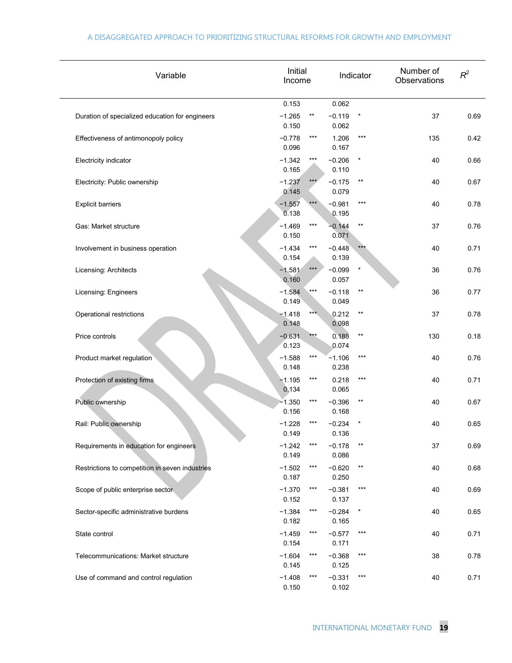| Variable                                        | Initial<br>Income |                 |                   | Indicator       | Number of<br>Observations | $R^2$ |
|-------------------------------------------------|-------------------|-----------------|-------------------|-----------------|---------------------------|-------|
|                                                 | 0.153             |                 | 0.062             |                 |                           |       |
| Duration of specialized education for engineers | $-1.265$<br>0.150 | $^{\star\star}$ | $-0.119$<br>0.062 | $\star$         | 37                        | 0.69  |
| Effectiveness of antimonopoly policy            | $-0.778$<br>0.096 | $***$           | 1.206<br>0.167    | $***$           | 135                       | 0.42  |
| Electricity indicator                           | $-1.342$<br>0.165 | $***$           | $-0.206$<br>0.110 | $^\star$        | 40                        | 0.66  |
| Electricity: Public ownership                   | $-1.237$<br>0.145 | $***$           | $-0.175$<br>0.079 | $***$           | 40                        | 0.67  |
| <b>Explicit barriers</b>                        | $-1.557$<br>0.138 | ***             | $-0.981$<br>0.195 | $***$           | 40                        | 0.78  |
| Gas: Market structure                           | $-1.469$<br>0.150 | $***$           | $-0.144$<br>0.071 | $***$           | 37                        | 0.76  |
| Involvement in business operation               | $-1.434$<br>0.154 | $***$           | $-0.448$<br>0.139 | $***$           | 40                        | 0.71  |
| Licensing: Architects                           | $-1.581$<br>0.160 | $***$           | $-0.099$<br>0.057 | $\ast$          | 36                        | 0.76  |
| Licensing: Engineers                            | $-1.584$<br>0.149 | ***             | $-0.118$<br>0.049 | $^{\star\star}$ | 36                        | 0.77  |
| Operational restrictions                        | $-1.418$<br>0.148 | ***             | 0.212<br>0.098    | $***$           | 37                        | 0.78  |
| Price controls                                  | $-0.631$<br>0.123 | $***$           | 0.188<br>0.074    | $^{\star\star}$ | 130                       | 0.18  |
| Product market regulation                       | $-1.588$<br>0.148 | $***$           | $-1.106$<br>0.238 | $***$           | 40                        | 0.76  |
| Protection of existing firms                    | $-1.195$<br>0.134 | $***$           | 0.218<br>0.065    | $***$           | 40                        | 0.71  |
| Public ownership                                | $-1.350$<br>0.156 | $***$           | $-0.396$<br>0.168 | $^{\star\star}$ | 40                        | 0.67  |
| Rail: Public ownership                          | $-1.228$<br>0.149 | ***             | $-0.234$<br>0.136 |                 | 40                        | 0.65  |
| Requirements in education for engineers         | $-1.242$<br>0.149 | $***$           | $-0.178$<br>0.086 | $***$           | 37                        | 0.69  |
| Restrictions to competition in seven industries | $-1.502$<br>0.187 | $***$           | $-0.620$<br>0.250 | $^{\star\star}$ | 40                        | 0.68  |
| Scope of public enterprise sector               | $-1.370$<br>0.152 | $***$           | $-0.381$<br>0.137 | $***$           | 40                        | 0.69  |
| Sector-specific administrative burdens          | $-1.384$<br>0.182 | $***$           | $-0.284$<br>0.165 | $^\star$        | 40                        | 0.65  |
| State control                                   | $-1.459$<br>0.154 | ***             | $-0.577$<br>0.171 | $***$           | 40                        | 0.71  |
| Telecommunications: Market structure            | $-1.604$<br>0.145 | $***$           | $-0.368$<br>0.125 | $***$           | 38                        | 0.78  |
| Use of command and control regulation           | $-1.408$<br>0.150 | $***$           | $-0.331$<br>0.102 | $***$           | 40                        | 0.71  |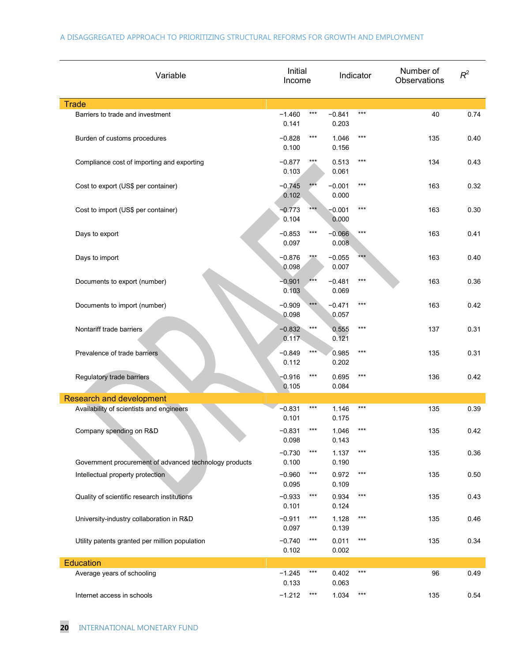| Variable                                               | Initial           | Income |                   | Indicator | Number of<br>Observations | $R^2$ |
|--------------------------------------------------------|-------------------|--------|-------------------|-----------|---------------------------|-------|
| <b>Trade</b>                                           |                   |        |                   |           |                           |       |
| Barriers to trade and investment                       | $-1.460$<br>0.141 | $***$  | $-0.841$<br>0.203 | $***$     | 40                        | 0.74  |
| Burden of customs procedures                           | $-0.828$<br>0.100 | ***    | 1.046<br>0.156    | $***$     | 135                       | 0.40  |
| Compliance cost of importing and exporting             | $-0.877$<br>0.103 | $***$  | 0.513<br>0.061    | $***$     | 134                       | 0.43  |
| Cost to export (US\$ per container)                    | $-0.745$<br>0.102 |        | $-0.001$<br>0.000 | $***$     | 163                       | 0.32  |
| Cost to import (US\$ per container)                    | $-0.773$<br>0.104 | ***    | $-0.001$<br>0.000 | $***$     | 163                       | 0.30  |
| Days to export                                         | $-0.853$<br>0.097 | $***$  | $-0.066$<br>0.008 | $***$     | 163                       | 0.41  |
| Days to import                                         | $-0.876$<br>0.098 | $***$  | $-0.055$<br>0.007 | ***       | 163                       | 0.40  |
| Documents to export (number)                           | $-0.901$<br>0.103 |        | $-0.481$<br>0.069 | $***$     | 163                       | 0.36  |
| Documents to import (number)                           | $-0.909$<br>0.098 | ***    | $-0.471$<br>0.057 | $***$     | 163                       | 0.42  |
| Nontariff trade barriers                               | $-0.832$<br>0.117 | $***$  | 0.555<br>0.121    | $***$     | 137                       | 0.31  |
| Prevalence of trade barriers                           | $-0.849$<br>0.112 | ***    | 0.985<br>0.202    | $***$     | 135                       | 0.31  |
| Regulatory trade barriers                              | $-0.916$<br>0.105 | ***    | 0.695<br>0.084    | $***$     | 136                       | 0.42  |
| <b>Research and development</b>                        |                   |        |                   |           |                           |       |
| Availability of scientists and engineers               | $-0.831$<br>0.101 | $***$  | 1.146<br>0.175    | $***$     | 135                       | 0.39  |
| Company spending on R&D                                | $-0.831$<br>0.098 | ***    | 1.046<br>0.143    | $***$     | 135                       | 0.42  |
| Government procurement of advanced technology products | $-0.730$<br>0.100 | $***$  | 1.137<br>0.190    | $***$     | 135                       | 0.36  |
| Intellectual property protection                       | $-0.960$<br>0.095 | ***    | 0.972<br>0.109    | $***$     | 135                       | 0.50  |
| Quality of scientific research institutions            | $-0.933$<br>0.101 | $***$  | 0.934<br>0.124    | $***$     | 135                       | 0.43  |
| University-industry collaboration in R&D               | $-0.911$<br>0.097 | ***    | 1.128<br>0.139    | $***$     | 135                       | 0.46  |
| Utility patents granted per million population         | $-0.740$<br>0.102 | $***$  | 0.011<br>0.002    | $***$     | 135                       | 0.34  |
| Education                                              |                   |        |                   |           |                           |       |
| Average years of schooling                             | $-1.245$<br>0.133 | $***$  | 0.402<br>0.063    | $***$     | 96                        | 0.49  |
| Internet access in schools                             | $-1.212$          | $***$  | 1.034             | $***$     | 135                       | 0.54  |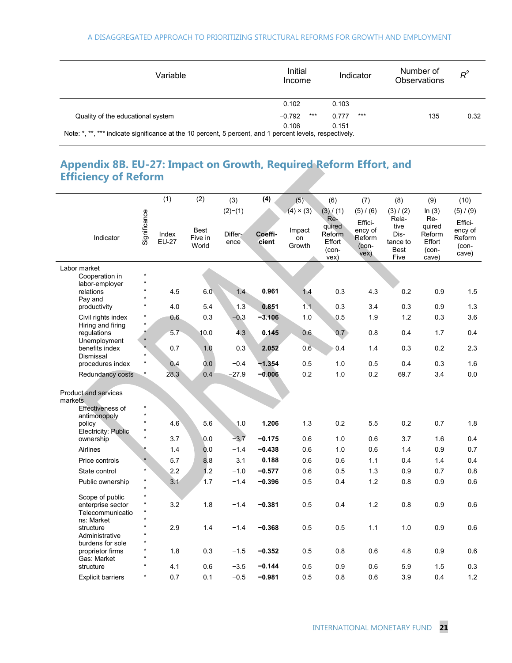| Variable                                                                                                 | Initial<br>Income | Indicator      | Number of<br>Observations | $R^2$ |
|----------------------------------------------------------------------------------------------------------|-------------------|----------------|---------------------------|-------|
|                                                                                                          | 0.102             | 0.103          |                           |       |
| Quality of the educational system                                                                        | $-0.792$<br>***   | $***$<br>0.777 | 135                       | 0.32  |
|                                                                                                          | 0.106             | 0.151          |                           |       |
| Note: *, **, *** indicate significance at the 10 percent, 5 percent, and 1 percent levels, respectively. |                   |                |                           |       |

## **Appendix 8B. EU-27: Impact on Growth, Required Reform Effort, and Efficiency of Reform**

|                                         |              | (1)          | (2)     | (3)       | (4)      | (5)              | (6)              | (7)       | (8)          | (9)              | (10)      |
|-----------------------------------------|--------------|--------------|---------|-----------|----------|------------------|------------------|-----------|--------------|------------------|-----------|
|                                         |              |              |         | $(2)-(1)$ |          | $(4) \times (3)$ | (3) / (1)        | (5) / (6) | (3) / (2)    | In $(3)$         | (5) / (9) |
|                                         | Significance |              |         |           |          |                  | Re-              | Effici-   | Rela-        | Re-              | Effici-   |
|                                         |              | Index        | Best    | Differ-   | Coeffi-  | Impact           | quired<br>Reform | ency of   | tive<br>Dis- | quired<br>Reform | ency of   |
| Indicator                               |              | <b>EU-27</b> | Five in | ence      | cient    | on               | Effort           | Reform    | tance to     | Effort           | Reform    |
|                                         |              |              | World   |           |          | Growth           | (con-            | (con-     | Best         | (con-            | (con-     |
|                                         |              |              |         |           |          |                  | vex)             | vex)      | Five         | cave)            | cave)     |
| Labor market                            |              |              |         |           |          |                  |                  |           |              |                  |           |
| Cooperation in                          |              |              |         |           |          |                  |                  |           |              |                  |           |
| labor-employer<br>relations             |              | 4.5          | 6.0     | 1.4       | 0.961    | 1.4              | 0.3              | 4.3       | 0.2          | 0.9              | 1.5       |
| Pay and                                 |              |              |         |           |          |                  |                  |           |              |                  |           |
| productivity                            | $\star$      | 4.0          | 5.4     | 1.3       | 0.851    | 1.1              | 0.3              | 3.4       | 0.3          | 0.9              | 1.3       |
| Civil rights index                      |              | 0.6          | 0.3     | $-0.3$    | $-3.106$ | 1.0              | 0.5              | 1.9       | 1.2          | 0.3              | 3.6       |
| Hiring and firing                       |              |              |         |           |          |                  |                  |           |              |                  |           |
| regulations<br>Unemployment             | $\star$      | 5.7          | 10.0    | 4.3       | 0.145    | 0.6              | 0.7)             | 0.8       | 0.4          | 1.7              | 0.4       |
| benefits index                          |              | 0.7          | 1.0     | 0.3       | 2.052    | 0.6              | 0.4              | 1.4       | 0.3          | 0.2              | 2.3       |
| Dismissal                               |              |              |         |           |          |                  |                  |           |              |                  |           |
| procedures index                        | $\star$      | 0.4          | 0.0     | $-0.4$    | $-1.354$ | 0.5              | 1.0              | 0.5       | 0.4          | 0.3              | 1.6       |
| Redundancy costs                        |              | 28.3         | 0.4     | $-27.9$   | $-0.006$ | 0.2              | 1.0              | 0.2       | 69.7         | 3.4              | 0.0       |
|                                         |              |              |         |           |          |                  |                  |           |              |                  |           |
| <b>Product and services</b><br>markets. |              |              |         |           |          |                  |                  |           |              |                  |           |
| Effectiveness of                        |              |              |         |           |          |                  |                  |           |              |                  |           |
| antimonopoly                            | $\star$      |              |         |           |          |                  |                  |           |              |                  |           |
| policy                                  |              | 4.6          | 5.6     | 1.0       | 1.206    | 1.3              | 0.2              | 5.5       | 0.2          | 0.7              | 1.8       |
| Electricity: Public<br>ownership        |              | 3.7          | 0.0     | $-3.7$    | $-0.175$ | 0.6              | 1.0              | 0.6       | 3.7          | 1.6              | 0.4       |
| Airlines                                |              | 1.4          | 0.0     | $-1.4$    | $-0.438$ | 0.6              | 1.0              | 0.6       | 1.4          | 0.9              | 0.7       |
|                                         |              |              |         |           |          |                  |                  |           |              |                  |           |
| Price controls                          |              | 5.7          | 8.8     | 3.1       | 0.188    | 0.6              | 0.6              | 1.1       | 0.4          | 1.4              | 0.4       |
| State control                           |              | 2.2          | 1.2     | $-1.0$    | $-0.577$ | 0.6              | 0.5              | 1.3       | 0.9          | 0.7              | 0.8       |
| Public ownership                        | $\star$      | 3.1          | 1.7     | $-1.4$    | $-0.396$ | 0.5              | 0.4              | $1.2$     | 0.8          | 0.9              | 0.6       |
| Scope of public                         |              |              |         |           |          |                  |                  |           |              |                  |           |
| enterprise sector                       |              | 3.2          | 1.8     | $-1.4$    | $-0.381$ | 0.5              | 0.4              | $1.2$     | 0.8          | 0.9              | 0.6       |
| Telecommunicatio                        |              |              |         |           |          |                  |                  |           |              |                  |           |
| ns: Market                              | $\star$      |              |         |           |          |                  |                  |           |              |                  |           |
| structure<br>Administrative             |              | 2.9          | 1.4     | $-1.4$    | $-0.368$ | 0.5              | 0.5              | 1.1       | 1.0          | 0.9              | 0.6       |
| burdens for sole                        |              |              |         |           |          |                  |                  |           |              |                  |           |
| proprietor firms                        | $\star$      | 1.8          | 0.3     | $-1.5$    | $-0.352$ | 0.5              | 0.8              | 0.6       | 4.8          | 0.9              | 0.6       |
| Gas: Market                             | $\star$      |              |         |           |          |                  |                  |           |              |                  |           |
| structure                               |              | 4.1          | 0.6     | $-3.5$    | $-0.144$ | 0.5              | 0.9              | 0.6       | 5.9          | 1.5              | 0.3       |
| <b>Explicit barriers</b>                | $\star$      | 0.7          | 0.1     | $-0.5$    | $-0.981$ | 0.5              | 0.8              | 0.6       | 3.9          | 0.4              | 1.2       |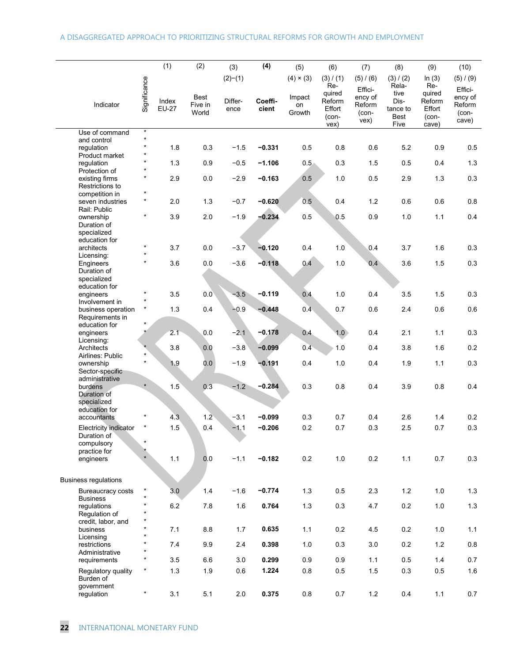|                                             |                    | (1)          | (2)              | (3)       | (4)      | (5)              | (6)              | (7)             | (8)          | (9)              | (10)            |
|---------------------------------------------|--------------------|--------------|------------------|-----------|----------|------------------|------------------|-----------------|--------------|------------------|-----------------|
|                                             |                    |              |                  | $(2)-(1)$ |          | $(4) \times (3)$ | (3) / (1)        | (5) / (6)       | (3) / (2)    | In $(3)$         | (5) / (9)       |
|                                             |                    |              |                  |           |          |                  | Re-              | Effici-         | Rela-        | Re-              | Effici-         |
|                                             | Significance       | Index        | Best             | Differ-   | Coeffi-  | Impact           | quired<br>Reform | ency of         | tive<br>Dis- | quired<br>Reform | ency of         |
| Indicator                                   |                    | <b>EU-27</b> | Five in<br>World | ence      | cient    | on<br>Growth     | Effort           | Reform<br>(con- | tance to     | Effort           | Reform<br>(con- |
|                                             |                    |              |                  |           |          |                  | (con-<br>vex)    | vex)            | Best<br>Five | (con-<br>cave)   | cave)           |
| Use of command                              | $\star$            |              |                  |           |          |                  |                  |                 |              |                  |                 |
| and control                                 | $\star$<br>*       |              |                  |           | $-0.331$ |                  |                  |                 |              |                  |                 |
| requlation<br>Product market                |                    | 1.8          | 0.3              | $-1.5$    |          | 0.5              | 0.8              | 0.6             | 5.2          | 0.9              | 0.5             |
| regulation                                  | $\star$            | 1.3          | 0.9              | $-0.5$    | $-1.106$ | 0.5              | 0.3              | 1.5             | 0.5          | 0.4              | 1.3             |
| Protection of<br>existing firms             | $\star$            | 2.9          | 0.0              | $-2.9$    | $-0.163$ | 0.5              | 1.0              | 0.5             | 2.9          | 1.3              | 0.3             |
| Restrictions to                             |                    |              |                  |           |          |                  |                  |                 |              |                  |                 |
| competition in<br>seven industries          | $\star$            | 2.0          | 1.3              | $-0.7$    | $-0.620$ | 0.5              | 0.4              | 1.2             | 0.6          | 0.6              | 0.8             |
| Rail: Public                                |                    |              |                  |           |          |                  |                  |                 |              |                  |                 |
| ownership<br>Duration of                    | *                  | 3.9          | 2.0              | $-1.9$    | $-0.234$ | 0.5              | 0.5              | 0.9             | 1.0          | 1.1              | 0.4             |
| specialized                                 |                    |              |                  |           |          |                  |                  |                 |              |                  |                 |
| education for                               | *                  |              |                  |           |          |                  |                  |                 |              |                  |                 |
| architects<br>Licensing:                    | $\star$            | 3.7          | $0.0\,$          | $-3.7$    | $-0.120$ | 0.4              | 1.0              | 0.4             | 3.7          | 1.6              | 0.3             |
| Engineers                                   | $\star$            | 3.6          | 0.0              | $-3.6$    | $-0.118$ | 0.4              | 1.0              | 0.4             | 3.6          | 1.5              | 0.3             |
| Duration of<br>specialized                  |                    |              |                  |           |          |                  |                  |                 |              |                  |                 |
| education for                               |                    |              |                  |           |          |                  |                  |                 |              |                  |                 |
| engineers<br>Involvement in                 | *                  | 3.5          | 0.0              | $-3.5$    | $-0.119$ | 0.4              | 1.0              | 0.4             | 3.5          | 1.5              | 0.3             |
| business operation                          | $\star$            | 1.3          | 0.4              | $-0.9$    | $-0.448$ | 0.4              | 0.7              | 0.6             | 2.4          | 0.6              | 0.6             |
| Requirements in                             |                    |              |                  |           |          |                  |                  |                 |              |                  |                 |
| education for<br>engineers                  |                    | 2.1          | 0.0              | $-2.1$    | $-0.178$ | 0.4              | 1.0              | 0.4             | 2.1          | 1.1              | 0.3             |
| Licensing:                                  |                    |              |                  |           |          |                  |                  |                 |              |                  |                 |
| Architects<br>Airlines: Public              |                    | 3.8          | 0.0              | $-3.8$    | $-0.099$ | 0.4              | 1.0              | 0.4             | 3.8          | 1.6              | 0.2             |
| ownership                                   |                    | 1.9          | 0.0              | $-1.9$    | $-0.191$ | 0.4              | 1.0              | 0.4             | 1.9          | 1.1              | 0.3             |
| Sector-specific<br>administrative           |                    |              |                  |           |          |                  |                  |                 |              |                  |                 |
| burdens                                     | $\star$            | 1.5          | 0.3              | $-1.2$    | $-0.284$ | 0.3              | 0.8              | 0.4             | 3.9          | 0.8              | 0.4             |
| Duration of<br>specialized                  |                    |              |                  |           |          |                  |                  |                 |              |                  |                 |
| education for                               |                    |              |                  |           |          |                  |                  |                 |              |                  |                 |
| accountants                                 |                    | 4.3          | 1.2              | $-3.1$    | $-0.099$ | 0.3              | 0.7              | 0.4             | 2.6          | 1.4              | 0.2             |
| <b>Electricity indicator</b><br>Duration of |                    | 1.5          | 0.4              | $-1.1$    | $-0.206$ | 0.2              | 0.7              | 0.3             | 2.5          | 0.7              | 0.3             |
| compulsory                                  | $\star$            |              |                  |           |          |                  |                  |                 |              |                  |                 |
| practice for<br>engineers                   | $\star$            | 1.1          | 0.0              | $-1.1$    | $-0.182$ | 0.2              | 1.0              | 0.2             | $1.1$        | 0.7              | 0.3             |
|                                             |                    |              |                  |           |          |                  |                  |                 |              |                  |                 |
| <b>Business regulations</b>                 |                    |              |                  |           |          |                  |                  |                 |              |                  |                 |
| Bureaucracy costs                           | $\star$            | 3.0          | 1.4              | $-1.6$    | $-0.774$ | $1.3$            | 0.5              | 2.3             | $1.2$        | 1.0              | 1.3             |
| <b>Business</b>                             | $\star$<br>$\star$ |              |                  |           |          |                  |                  |                 |              |                  |                 |
| regulations<br>Regulation of                | $\star$            | 6.2          | 7.8              | 1.6       | 0.764    | 1.3              | 0.3              | 4.7             | 0.2          | 1.0              | 1.3             |
| credit, labor, and                          | *                  |              |                  |           |          |                  |                  |                 |              |                  |                 |
| business<br>Licensing                       | *<br>*             | 7.1          | 8.8              | 1.7       | 0.635    | 1.1              | 0.2              | 4.5             | 0.2          | 1.0              | 1.1             |
| restrictions                                | $\star$            | 7.4          | 9.9              | 2.4       | 0.398    | 1.0              | 0.3              | 3.0             | 0.2          | 1.2              | 0.8             |
| Administrative<br>requirements              | *<br>$\star$       | 3.5          | 6.6              | 3.0       | 0.299    | 0.9              | 0.9              | 1.1             | 0.5          | 1.4              | 0.7             |
| Regulatory quality                          | $\star$            | 1.3          | 1.9              | 0.6       | 1.224    | 0.8              | 0.5              | 1.5             | 0.3          | 0.5              | 1.6             |
| Burden of                                   |                    |              |                  |           |          |                  |                  |                 |              |                  |                 |
| government<br>regulation                    | *                  | 3.1          | 5.1              | 2.0       | 0.375    | 0.8              | 0.7              | $1.2$           | 0.4          | 1.1              | 0.7             |
|                                             |                    |              |                  |           |          |                  |                  |                 |              |                  |                 |
|                                             |                    |              |                  |           |          |                  |                  |                 |              |                  |                 |
| 22<br><b>INTERNATIONAL MONETARY FUND</b>    |                    |              |                  |           |          |                  |                  |                 |              |                  |                 |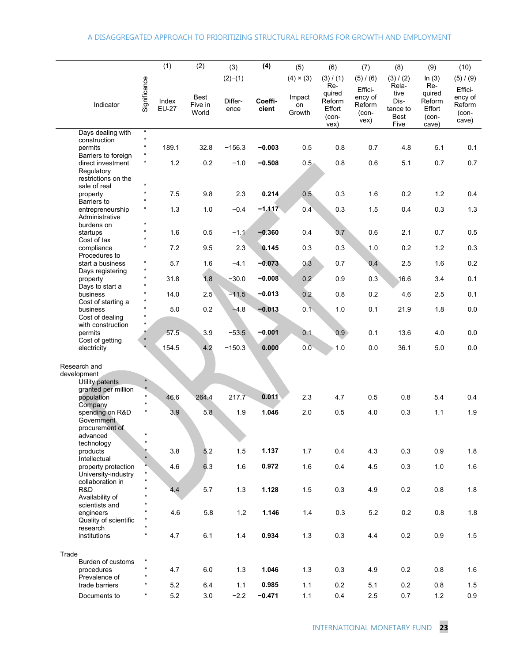|                                            |              | (1)          | (2)     | (3)       | (4)      | (5)              | (6)       | (7)       | (8)       | (9)    | (10)      |
|--------------------------------------------|--------------|--------------|---------|-----------|----------|------------------|-----------|-----------|-----------|--------|-----------|
|                                            |              |              |         | $(2)-(1)$ |          | $(4) \times (3)$ | (3) / (1) | (5) / (6) | (3) / (2) | ln(3)  | (5) / (9) |
|                                            | Significance |              |         |           |          |                  | Re-       |           | Rela-     | Re-    |           |
|                                            |              |              |         |           |          |                  | quired    | Effici-   | tive      | quired | Effici-   |
|                                            |              | Index        | Best    | Differ-   | Coeffi-  | Impact           | Reform    | ency of   | Dis-      | Reform | ency of   |
| Indicator                                  |              | <b>EU-27</b> | Five in | ence      | cient    | on               | Effort    | Reform    | tance to  | Effort | Reform    |
|                                            |              |              | World   |           |          | Growth           | (con-     | (con-     | Best      | (con-  | (con-     |
|                                            |              |              |         |           |          |                  | vex)      | vex)      | Five      | cave)  | cave)     |
| Days dealing with                          | $\star$      |              |         |           |          |                  |           |           |           |        |           |
| construction                               | $\star$      |              |         |           |          |                  |           |           |           |        |           |
| permits                                    | $\star$      | 189.1        | 32.8    | $-156.3$  | $-0.003$ | 0.5              | 0.8       | 0.7       | 4.8       | 5.1    | 0.1       |
| Barriers to foreign                        | $\star$      |              |         |           |          |                  |           |           |           |        |           |
| direct investment                          | $\star$      | 1.2          | 0.2     | $-1.0$    | $-0.508$ | 0.5              | 0.8       | 0.6       | 5.1       | 0.7    | 0.7       |
| Regulatory                                 |              |              |         |           |          |                  |           |           |           |        |           |
| restrictions on the                        |              |              |         |           |          |                  |           |           |           |        |           |
| sale of real                               |              |              |         |           |          |                  |           |           |           |        |           |
| property                                   | $\star$      | 7.5          | 9.8     | 2.3       | 0.214    | 0.5              | 0.3       | 1.6       | 0.2       | 1.2    | 0.4       |
| Barriers to                                | $\star$      |              |         |           |          |                  |           |           |           |        |           |
| entrepreneurship                           |              | 1.3          | 1.0     | $-0.4$    | $-1.117$ | 0.4              | 0.3       | 1.5       | 0.4       | 0.3    | 1.3       |
| Administrative<br>burdens on               |              |              |         |           |          |                  |           |           |           |        |           |
| startups                                   | $\star$      | 1.6          | 0.5     | $-1.1$    | $-0.360$ | 0.4              | 0,7       | 0.6       | 2.1       | 0.7    | 0.5       |
| Cost of tax                                |              |              |         |           |          |                  |           |           |           |        |           |
| compliance                                 | $\star$      | 7.2          | 9.5     | 2.3       | 0.145    | 0.3              | 0.3       | 1.0       | 0.2       | 1.2    | 0.3       |
| Procedures to                              |              |              |         |           |          |                  |           |           |           |        |           |
| start a business                           | $\star$      | 5.7          | 1.6     | $-4.1$    | $-0.073$ | 0.3              | 0.7       | 0.4       | 2.5       | 1.6    | 0.2       |
| Days registering                           | $^\star$     |              |         |           |          |                  |           |           |           |        |           |
| property                                   | $\star$      | 31.8         | 1.8     | $-30.0$   | $-0.008$ | 0.2              | 0.9       | 0.3       | 16.6      | 3.4    | 0.1       |
| Days to start a                            |              |              |         |           |          |                  |           |           |           |        |           |
| business                                   |              | 14.0         | 2.5     | $-11.5$   | $-0.013$ | 0.2              | 0.8       | 0.2       | 4.6       | 2.5    | 0.1       |
| Cost of starting a                         |              |              |         |           |          |                  |           |           |           |        |           |
| business                                   | $\star$      | 5.0          | 0.2     | $-4.8$    | $-0.013$ | 0.1              | 1.0       | 0.1       | 21.9      | 1.8    | 0.0       |
| Cost of dealing                            |              |              |         |           |          |                  |           |           |           |        |           |
| with construction<br>permits               |              | 57.5         | 3.9     | $-53.5$   | $-0.001$ | 0.1              | 0.9       |           | 13.6      | 4.0    | 0.0       |
| Cost of getting                            | $\star$      |              |         |           |          |                  |           | 0.1       |           |        |           |
| electricity                                |              | 154.5        | 4.2     | $-150.3$  | 0.000    | 0.0              | $1.0$     | 0.0       | 36.1      | 5.0    | 0.0       |
|                                            |              |              |         |           |          |                  |           |           |           |        |           |
| Research and                               |              |              |         |           |          |                  |           |           |           |        |           |
| development                                |              |              |         |           |          |                  |           |           |           |        |           |
| Utility patents                            |              |              |         |           |          |                  |           |           |           |        |           |
| granted per million                        |              |              |         |           |          |                  |           |           |           |        |           |
| population                                 | $\star$      | 46.6         | 264.4   | 217.7     | 0.011    | 2.3              | 4.7       | 0.5       | 0.8       | 5.4    | 0.4       |
| Company                                    | $^\star$     |              |         |           |          |                  |           |           |           |        |           |
| spending on R&D                            | *            | 3.9          | 5.8     | 1.9       | 1.046    | 2.0              | 0.5       | 4.0       | 0.3       | 1.1    | 1.9       |
| Government                                 |              |              |         |           |          |                  |           |           |           |        |           |
| procurement of                             |              |              |         |           |          |                  |           |           |           |        |           |
| advanced                                   |              |              |         |           |          |                  |           |           |           |        |           |
| technology                                 | $\star$      |              |         |           |          |                  |           |           |           |        |           |
| products                                   | $\star$      | $3.8\,$      | 5.2     | 1.5       | 1.137    | 1.7              | 0.4       | 4.3       | 0.3       | 0.9    | 1.8       |
| Intellectual                               |              |              | 6.3     |           | 0.972    | 1.6              | 0.4       |           |           |        | 1.6       |
| property protection<br>University-industry | $\star$      | 4.6          |         | 1.6       |          |                  |           | 4.5       | 0.3       | 1.0    |           |
| collaboration in                           | *            |              |         |           |          |                  |           |           |           |        |           |
| R&D                                        | $\star$      | 4,4          | 5.7     | 1.3       | 1.128    | 1.5              | 0.3       | 4.9       | 0.2       | 0.8    | 1.8       |
| Availability of                            | *            |              |         |           |          |                  |           |           |           |        |           |
| scientists and                             | ¥            |              |         |           |          |                  |           |           |           |        |           |
| engineers                                  | $^\star$     | 4.6          | 5.8     | $1.2$     | 1.146    | 1.4              | 0.3       | 5.2       | 0.2       | 0.8    | 1.8       |
| Quality of scientific                      | $\star$      |              |         |           |          |                  |           |           |           |        |           |
| research                                   | $\star$      |              |         |           |          |                  |           |           |           |        |           |
| institutions                               | $^{\star}$   | 4.7          | 6.1     | 1.4       | 0.934    | 1.3              | 0.3       | 4.4       | 0.2       | 0.9    | 1.5       |
|                                            |              |              |         |           |          |                  |           |           |           |        |           |
| Trade                                      |              |              |         |           |          |                  |           |           |           |        |           |
| Burden of customs                          | $\star$      |              |         |           |          |                  |           |           |           |        |           |
| procedures                                 | $\star$      | 4.7          | 6.0     | 1.3       | 1.046    | 1.3              | 0.3       | 4.9       | 0.2       | 0.8    | 1.6       |
| Prevalence of                              | *            |              |         |           |          |                  |           |           |           |        |           |
| trade barriers                             | $\star$      | 5.2          | 6.4     | 1.1       | 0.985    | 1.1              | 0.2       | 5.1       | 0.2       | 0.8    | 1.5       |
| Documents to                               | $\star$      | $5.2\,$      | 3.0     | $-2.2$    | $-0.471$ | 1.1              | 0.4       | 2.5       | $0.7\,$   | $1.2$  | 0.9       |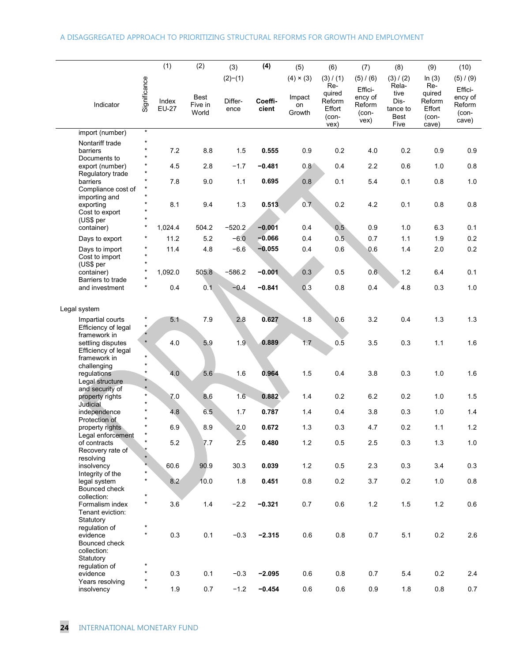|                                          |                       | (1)          | (2)     | (3)       | (4)      | (5)              | (6)              | (7)           | (8)          | (9)              | (10)           |
|------------------------------------------|-----------------------|--------------|---------|-----------|----------|------------------|------------------|---------------|--------------|------------------|----------------|
|                                          |                       |              |         | $(2)-(1)$ |          | $(4) \times (3)$ | (3) / (1)        | (5) / (6)     | (3) / (2)    | In $(3)$         | (5) / (9)      |
|                                          |                       |              |         |           |          |                  | Re-              | Effici-       | Rela-        | Re-              | Effici-        |
|                                          | Significance          | Index        | Best    | Differ-   | Coeffi-  | Impact           | quired<br>Reform | ency of       | tive<br>Dis- | quired<br>Reform | ency of        |
| Indicator                                |                       | <b>EU-27</b> | Five in | ence      | cient    | on               | Effort           | Reform        | tance to     | Effort           | Reform         |
|                                          |                       |              | World   |           |          | Growth           | (con-            | (con-<br>vex) | Best         | (con-            | (con-<br>cave) |
| import (number)                          | $\star$               |              |         |           |          |                  | vex)             |               | Five         | cave)            |                |
| Nontariff trade                          | *                     |              |         |           |          |                  |                  |               |              |                  |                |
| barriers                                 | $^{\star}$            | 7.2          | 8.8     | 1.5       | 0.555    | 0.9              | 0.2              | 4.0           | 0.2          | 0.9              | 0.9            |
| Documents to<br>export (number)          | $\star$               | 4.5          | 2.8     | $-1.7$    | $-0.481$ | 0.8              | 0.4              | 2.2           | 0.6          | 1.0              | 0.8            |
| Regulatory trade                         |                       |              |         |           |          |                  |                  |               |              |                  |                |
| barriers                                 |                       | 7.8          | 9.0     | $1.1$     | 0.695    | 0.8              | 0.1              | 5.4           | 0.1          | 0.8              | 1.0            |
| Compliance cost of<br>importing and      |                       |              |         |           |          |                  |                  |               |              |                  |                |
| exporting                                | $^{\star}$            | 8.1          | 9.4     | 1.3       | 0.513    | 0.7              | 0.2              | 4.2           | 0.1          | 0.8              | 0.8            |
| Cost to export<br>(US\$ per              | $\star$               |              |         |           |          |                  |                  |               |              |                  |                |
| container)                               | $\star$               | 1,024.4      | 504.2   | $-520.2$  | $-0.001$ | 0.4              | 0.5              | 0.9           | 1.0          | 6.3              | 0.1            |
| Days to export                           |                       | 11.2         | 5.2     | $-6.0$    | $-0.066$ | 0.4              | 0.5              | 0.7           | 1.1          | 1.9              | 0.2            |
| Days to import                           | *                     | 11.4         | 4.8     | $-6.6$    | $-0.055$ | 0.4              | 0.6              | 0.6           | 1.4          | 2.0              | 0.2            |
| Cost to import                           | $\star$               |              |         |           |          |                  |                  |               |              |                  |                |
| (US\$ per<br>container)                  | *                     | 1,092.0      | 505.8   | $-586.2$  | $-0.001$ | 0.3              | 0.5              | 0.6           | 1.2          | 6.4              | 0.1            |
| Barriers to trade                        |                       |              |         |           |          |                  |                  |               |              |                  |                |
| and investment                           | *                     | 0.4          | 0.1     | $-0.4$    | $-0.841$ | 0.3              | 0.8              | 0.4           | 4.8          | 0.3              | $1.0$          |
|                                          |                       |              |         |           |          |                  |                  |               |              |                  |                |
| Legal system<br>Impartial courts         | *                     | 5.1          | 7.9     | 2.8       | 0.627    | 1.8              | 0.6              | 3.2           | 0.4          | 1.3              | $1.3$          |
| Efficiency of legal                      | $\star$               |              |         |           |          |                  |                  |               |              |                  |                |
| framework in                             | $\star$               |              |         |           |          |                  |                  |               |              |                  |                |
| settling disputes<br>Efficiency of legal |                       | 4.0          | 5.9     | 1.9       | 0.889    | 1.7              | 0.5              | 3.5           | 0.3          | 1.1              | 1.6            |
| framework in                             | $\star$               |              |         |           |          |                  |                  |               |              |                  |                |
| challenging<br>regulations               | *<br>$\star$          | 4.0          | 5.6     | 1.6       | 0.964    | 1.5              | 0.4              | 3.8           | 0.3          | 1.0              | 1.6            |
| Legal structure                          | $\star$               |              |         |           |          |                  |                  |               |              |                  |                |
| and security of                          | $\star$<br>$\star$    | 7.0          | 8.6     | 1.6       | 0.882    | 1.4              | 0.2              | 6.2           | 0.2          | 1.0              | 1.5            |
| property rights<br>Judicial              |                       |              |         |           |          |                  |                  |               |              |                  |                |
| independence                             |                       | 4.8          | 6.5     | 1.7       | 0.787    | 1.4              | 0.4              | 3.8           | 0.3          | 1.0              | 1.4            |
| Protection of<br>property rights         |                       | 6.9          | 8.9     | 2.0       | 0.672    | 1.3              | 0.3              | 4.7           | 0.2          | 1.1              | 1.2            |
| Legal enforcement                        |                       |              |         |           |          |                  |                  |               |              |                  |                |
| of contracts<br>Recovery rate of         | $\star$               | 5.2          | 7.7     | 2.5       | 0.480    | $1.2$            | $0.5\,$          | 2.5           | 0.3          | 1.3              | $1.0$          |
| resolving                                | $\star$               |              |         |           |          |                  |                  |               |              |                  |                |
| insolvency                               | $\star$<br>$^{\star}$ | 60.6         | 90.9    | 30.3      | 0.039    | 1.2              | $0.5\,$          | $2.3\,$       | 0.3          | 3.4              | 0.3            |
| Integrity of the<br>legal system         | $\star$               | 8.2          | 10.0    | 1.8       | 0.451    | 0.8              | 0.2              | 3.7           | 0.2          | 1.0              | $0.8\,$        |
| Bounced check                            | $\star$               |              |         |           |          |                  |                  |               |              |                  |                |
| collection:<br>Formalism index           | $\star$               | 3.6          | 1.4     | $-2.2$    | $-0.321$ | 0.7              | 0.6              | 1.2           | 1.5          | $1.2$            | 0.6            |
| Tenant eviction:                         |                       |              |         |           |          |                  |                  |               |              |                  |                |
| Statutory<br>regulation of               | *                     |              |         |           |          |                  |                  |               |              |                  |                |
| evidence                                 | $\star$               | 0.3          | 0.1     | $-0.3$    | $-2.315$ | 0.6              | 0.8              | 0.7           | 5.1          | 0.2              | 2.6            |
| Bounced check                            |                       |              |         |           |          |                  |                  |               |              |                  |                |
| collection:<br>Statutory                 |                       |              |         |           |          |                  |                  |               |              |                  |                |
| regulation of                            | $\star$               |              |         |           |          |                  |                  |               |              |                  |                |
| evidence<br>Years resolving              | $\star$<br>$\star$    | 0.3          | 0.1     | $-0.3$    | $-2.095$ | 0.6              | 0.8              | 0.7           | 5.4          | 0.2              | $2.4\,$        |
|                                          | $\star$               | 1.9          | 0.7     | $-1.2$    | $-0.454$ | 0.6              | 0.6              | 0.9           | 1.8          | 0.8              | 0.7            |
| insolvency                               |                       |              |         |           |          |                  |                  |               |              |                  |                |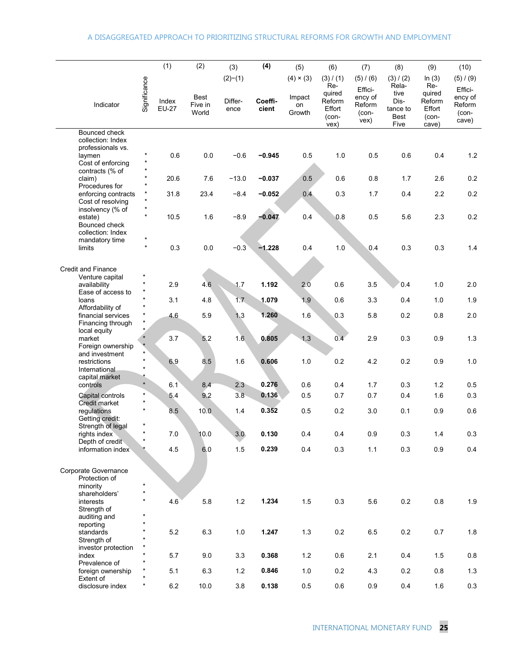|                                         |              | (1)                   | (2)     | (3)              | (4)              | (5)              | (6)              | (7)       | (8)              | (9)              | (10)      |
|-----------------------------------------|--------------|-----------------------|---------|------------------|------------------|------------------|------------------|-----------|------------------|------------------|-----------|
|                                         |              |                       |         | $(2)-(1)$        |                  | $(4) \times (3)$ | (3) / (1)        | (5) / (6) | (3) / (2)        | In $(3)$         | (5) / (9) |
|                                         | Significance |                       |         |                  |                  |                  | Re-              | Effici-   | Rela-            | Re-              | Effici-   |
|                                         |              |                       | Best    |                  |                  | Impact           | quired           | ency of   | tive             | quired           | ency of   |
| Indicator                               |              | Index<br><b>EU-27</b> | Five in | Differ-<br>ence  | Coeffi-<br>cient | on               | Reform<br>Effort | Reform    | Dis-<br>tance to | Reform<br>Effort | Reform    |
|                                         |              |                       | World   |                  |                  | Growth           | (con-            | (con-     | Best             | (con-            | (con-     |
|                                         |              |                       |         |                  |                  |                  | vex)             | vex)      | Five             | cave)            | cave)     |
| Bounced check                           |              |                       |         |                  |                  |                  |                  |           |                  |                  |           |
| collection: Index                       |              |                       |         |                  |                  |                  |                  |           |                  |                  |           |
| professionals vs.                       | $\star$      |                       |         |                  |                  |                  |                  |           |                  |                  |           |
| laymen<br>Cost of enforcing             | $\star$      | 0.6                   | 0.0     | $-0.6$           | $-0.945$         | 0.5              | 1.0              | 0.5       | 0.6              | 0.4              | 1.2       |
| contracts (% of                         |              |                       |         |                  |                  |                  |                  |           |                  |                  |           |
| claim)                                  | $\star$      | 20.6                  | 7.6     | $-13.0$          | $-0.037$         | 0.5              | 0.6              | 0.8       | 1.7              | 2.6              | 0.2       |
| Procedures for                          |              |                       |         |                  |                  |                  |                  |           |                  |                  |           |
| enforcing contracts                     | $\star$      | 31.8                  | 23.4    | $-8.4$           | $-0.052$         | 0.4              | 0.3              | 1.7       | 0.4              | 2.2              | 0.2       |
| Cost of resolving                       | $\star$      |                       |         |                  |                  |                  |                  |           |                  |                  |           |
| insolvency (% of                        | $\star$      |                       |         | $-8.9$           | $-0.047$         | 0.4              | 0.8              | 0.5       |                  |                  | 0.2       |
| estate)<br>Bounced check                |              | 10.5                  | 1.6     |                  |                  |                  |                  |           | 5.6              | 2.3              |           |
| collection: Index                       |              |                       |         |                  |                  |                  |                  |           |                  |                  |           |
| mandatory time                          |              |                       |         |                  |                  |                  |                  |           |                  |                  |           |
| limits                                  | $\star$      | 0.3                   | 0.0     | $-0.3$           | $-1.228$         | 0.4              | 1.0              | 0.4       | 0.3              | 0.3              | 1.4       |
|                                         |              |                       |         |                  |                  |                  |                  |           |                  |                  |           |
| <b>Credit and Finance</b>               |              |                       |         |                  |                  |                  |                  |           |                  |                  |           |
| Venture capital                         |              |                       |         |                  |                  |                  |                  |           |                  |                  |           |
| availability                            | $\star$      | 2.9                   | 4.6     | 1.7              | 1.192            | 2.0              | 0.6              | 3.5       | 0.4              | 1.0              | 2.0       |
| Ease of access to                       |              |                       |         |                  |                  |                  |                  |           |                  |                  |           |
| loans                                   |              | 3.1                   | 4.8     | 1.7              | 1.079            | 1,9              | 0.6              | 3.3       | 0.4              | 1.0              | 1.9       |
| Affordability of                        |              |                       |         |                  | 1.260            |                  |                  |           | 0.2              |                  | 2.0       |
| financial services<br>Financing through |              | 4.6                   | 5.9     | 1.3              |                  | 1.6              | 0.3              | 5.8       |                  | 0.8              |           |
| local equity                            |              |                       |         |                  |                  |                  |                  |           |                  |                  |           |
| market                                  |              | 3.7                   | 5.2     | $1.\overline{6}$ | 0.805            | 1.3              | 0.4              | 2.9       | 0.3              | 0.9              | 1.3       |
| Foreign ownership                       |              |                       |         |                  |                  |                  |                  |           |                  |                  |           |
| and investment                          | *<br>$\star$ |                       |         |                  |                  |                  |                  |           |                  |                  |           |
| restrictions                            | $\star$      | 6.9                   | 8.5     | 1.6              | 0.606            | 1.0              | 0.2              | 4.2       | 0.2              | 0.9              | 1.0       |
| International<br>capital market         |              |                       |         |                  |                  |                  |                  |           |                  |                  |           |
| controls                                | $\star$      | 6.1                   | 8.4     | 2.3              | 0.276            | 0.6              | 0.4              | 1.7       | 0.3              | 1.2              | 0.5       |
| Capital controls                        | $\star$      | 5.4                   | 9.2     | 3.8              | 0.136            | 0.5              | 0.7              | 0.7       | 0.4              | 1.6              | 0.3       |
| Credit market                           | *            |                       |         |                  |                  |                  |                  |           |                  |                  |           |
| regulations                             | $\star$      | 8.5                   | 10.0    | 1.4              | 0.352            | 0.5              | 0.2              | 3.0       | 0.1              | 0.9              | 0.6       |
| Getting credit:                         |              |                       |         |                  |                  |                  |                  |           |                  |                  |           |
| Strength of legal                       |              |                       |         |                  |                  |                  |                  |           |                  |                  |           |
| rights index                            |              | 7.0                   | 10.0    | 3.0              | 0.130            | 0.4              | 0.4              | 0.9       | 0.3              | $1.4$            | 0.3       |
| Depth of credit<br>information index    |              | 4.5                   | 6.0     | 1.5              | 0.239            | 0.4              | 0.3              | 1.1       | 0.3              | 0.9              | 0.4       |
|                                         |              |                       |         |                  |                  |                  |                  |           |                  |                  |           |
|                                         |              |                       |         |                  |                  |                  |                  |           |                  |                  |           |
| Corporate Governance                    |              |                       |         |                  |                  |                  |                  |           |                  |                  |           |
| Protection of<br>minority               | $^\star$     |                       |         |                  |                  |                  |                  |           |                  |                  |           |
| shareholders'                           | $\star$      |                       |         |                  |                  |                  |                  |           |                  |                  |           |
| interests                               | $\star$      | 4.6                   | 5.8     | $1.2$            | 1.234            | 1.5              | 0.3              | 5.6       | 0.2              | $0.8\,$          | 1.9       |
| Strength of                             |              |                       |         |                  |                  |                  |                  |           |                  |                  |           |
| auditing and                            |              |                       |         |                  |                  |                  |                  |           |                  |                  |           |
| reporting                               | *            |                       |         |                  |                  |                  |                  |           |                  |                  |           |
| standards                               |              | 5.2                   | 6.3     | 1.0              | 1.247            | $1.3$            | 0.2              | 6.5       | 0.2              | 0.7              | 1.8       |
| Strength of<br>investor protection      |              |                       |         |                  |                  |                  |                  |           |                  |                  |           |
| index                                   |              | 5.7                   | 9.0     | 3.3              | 0.368            | $1.2$            | 0.6              | 2.1       | 0.4              | 1.5              | $0.8\,$   |
| Prevalence of                           |              |                       |         |                  |                  |                  |                  |           |                  |                  |           |
| foreign ownership                       | $^{\star}$   | 5.1                   | 6.3     | $1.2$            | 0.846            | 1.0              | 0.2              | 4.3       | 0.2              | 0.8              | 1.3       |
| Extent of                               |              |                       |         |                  |                  |                  |                  |           |                  |                  |           |
| disclosure index                        | $^{\star}$   | $6.2\,$               | 10.0    | $3.8\,$          | 0.138            | 0.5              | 0.6              | 0.9       | 0.4              | 1.6              | 0.3       |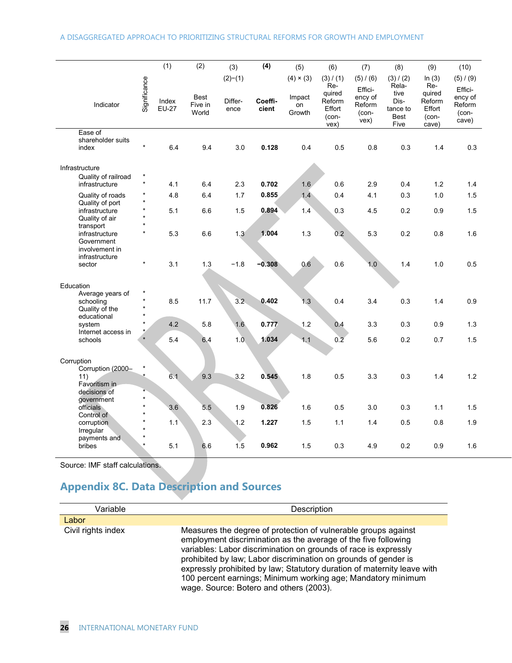|                                                  |              | (1)                   |         |           | (4)              |                                                                 |                  |           |                                                                         |                  |           |
|--------------------------------------------------|--------------|-----------------------|---------|-----------|------------------|-----------------------------------------------------------------|------------------|-----------|-------------------------------------------------------------------------|------------------|-----------|
|                                                  |              |                       | (2)     | (3)       |                  | (5)                                                             | (6)              | (7)       | (8)                                                                     | (9)              | (10)      |
|                                                  |              |                       |         | $(2)-(1)$ |                  | $(4) \times (3)$                                                | (3) / (1)        | (5) / (6) | (3) / (2)                                                               | In $(3)$         | (5) / (9) |
|                                                  | Significance |                       |         |           |                  |                                                                 | Re-              | Effici-   | Rela-                                                                   | Re-              | Effici-   |
|                                                  |              |                       | Best    |           |                  | Impact                                                          | quired           | ency of   | tive                                                                    | quired           | ency of   |
| Indicator                                        |              | Index<br><b>EU-27</b> | Five in | Differ-   | Coeffi-<br>cient | on                                                              | Reform<br>Effort | Reform    | Dis-<br>tance to                                                        | Reform<br>Effort | Reform    |
|                                                  |              |                       | World   | ence      |                  | Growth                                                          | (con-            | (con-     | Best                                                                    | (con-            | (con-     |
|                                                  |              |                       |         |           |                  |                                                                 | vex)             | vex)      | Five                                                                    | cave)            | cave)     |
| Ease of                                          |              |                       |         |           |                  |                                                                 |                  |           |                                                                         |                  |           |
| shareholder suits                                |              |                       |         |           |                  |                                                                 |                  |           |                                                                         |                  |           |
| index                                            | $\star$      | 6.4                   | 9.4     | 3.0       | 0.128            | 0.4                                                             | 0.5              | 0.8       | 0.3                                                                     | 1.4              | 0.3       |
|                                                  |              |                       |         |           |                  |                                                                 |                  |           |                                                                         |                  |           |
| Infrastructure                                   |              |                       |         |           |                  |                                                                 |                  |           |                                                                         |                  |           |
| Quality of railroad                              | $\star$      |                       |         |           |                  |                                                                 |                  |           |                                                                         |                  |           |
| infrastructure                                   | $\star$      | 4.1                   | 6.4     | 2.3       | 0.702            | 1.6                                                             | 0.6              | 2.9       | 0.4                                                                     | 1.2              | 1.4       |
| Quality of roads                                 |              | 4.8                   | 6.4     | 1.7       | 0.855            | 1.4                                                             | 0.4              | 4.1       | 0.3                                                                     | 1.0              | 1.5       |
| Quality of port                                  | $\star$      |                       |         |           |                  |                                                                 |                  |           |                                                                         |                  |           |
| infrastructure                                   |              | 5.1                   | 6.6     | 1.5       | 0.894            | 1.4                                                             | 0.3              | 4.5       | 0.2                                                                     | 0.9              | 1.5       |
| Quality of air                                   |              |                       |         |           |                  |                                                                 |                  |           |                                                                         |                  |           |
| transport                                        |              |                       |         |           |                  |                                                                 |                  |           |                                                                         |                  |           |
| infrastructure                                   | $\star$      | 5.3                   | 6.6     | 1.3       | 1.004            | 1.3                                                             | 0.2              | 5.3       | 0.2                                                                     | 0.8              | 1.6       |
| Government                                       |              |                       |         |           |                  |                                                                 |                  |           |                                                                         |                  |           |
| involvement in                                   |              |                       |         |           |                  |                                                                 |                  |           |                                                                         |                  |           |
| infrastructure                                   |              |                       |         |           |                  |                                                                 |                  |           |                                                                         |                  |           |
| sector                                           | $\star$      | 3.1                   | 1.3     | $-1.8$    | $-0.308$         | 0.6                                                             | 0.6              | 1.0       | 1.4                                                                     | 1.0              | 0.5       |
|                                                  |              |                       |         |           |                  |                                                                 |                  |           |                                                                         |                  |           |
| Education                                        |              |                       |         |           |                  |                                                                 |                  |           |                                                                         |                  |           |
| Average years of                                 | $\star$      |                       |         |           |                  |                                                                 |                  |           |                                                                         |                  |           |
| schooling                                        |              | 8.5                   | 11.7    | 3.2       | 0.402            | 1,3                                                             | 0.4              | 3.4       | 0.3                                                                     | 1.4              | 0.9       |
| Quality of the                                   |              |                       |         |           |                  |                                                                 |                  |           |                                                                         |                  |           |
| educational                                      |              |                       |         |           |                  |                                                                 |                  |           |                                                                         |                  |           |
| system                                           |              | 4.2                   | 5.8     | 1.6       | 0.777            | 1.2                                                             | 0.4              | 3.3       | 0.3                                                                     | 0.9              | 1.3       |
| Internet access in                               |              |                       |         |           |                  |                                                                 |                  |           |                                                                         |                  |           |
| schools                                          |              | 5.4                   | 6.4     | 1.0       | 1.034            | 1.1                                                             | 0.2              | 5.6       | 0.2                                                                     | 0.7              | 1.5       |
|                                                  |              |                       |         |           |                  |                                                                 |                  |           |                                                                         |                  |           |
| Corruption                                       |              |                       |         |           |                  |                                                                 |                  |           |                                                                         |                  |           |
| Corruption (2000-                                |              |                       |         |           |                  |                                                                 |                  |           |                                                                         |                  |           |
| 11)                                              |              | 6.1                   | 9.3     | 3.2       | 0.545            | 1.8                                                             | 0.5              | 3.3       | 0.3                                                                     | 1.4              | 1.2       |
| Favoritism in                                    |              |                       |         |           |                  |                                                                 |                  |           |                                                                         |                  |           |
| decisions of                                     |              |                       |         |           |                  |                                                                 |                  |           |                                                                         |                  |           |
| government                                       |              |                       |         |           |                  |                                                                 |                  |           |                                                                         |                  |           |
| officials                                        |              | 3.6                   | 5.5     | 1.9       | 0.826            | 1.6                                                             | 0.5              | 3.0       | 0.3                                                                     | 1.1              | 1.5       |
| Control of                                       |              |                       |         |           |                  |                                                                 |                  |           |                                                                         |                  |           |
| corruption                                       |              | 1.1                   | 2.3     | 1.2       | 1.227            | 1.5                                                             | 1.1              | 1.4       | 0.5                                                                     | 0.8              | 1.9       |
| Irregular                                        |              |                       |         |           |                  |                                                                 |                  |           |                                                                         |                  |           |
| payments and                                     |              |                       |         |           |                  |                                                                 |                  |           |                                                                         |                  |           |
| bribes                                           |              | 5.1                   | 6.6     | 1.5       | 0.962            | 1.5                                                             | 0.3              | 4.9       | 0.2                                                                     | 0.9              | 1.6       |
|                                                  |              |                       |         |           |                  |                                                                 |                  |           |                                                                         |                  |           |
| Source: IMF staff calculations.                  |              |                       |         |           |                  |                                                                 |                  |           |                                                                         |                  |           |
|                                                  |              |                       |         |           |                  |                                                                 |                  |           |                                                                         |                  |           |
| <b>Appendix 8C. Data Description and Sources</b> |              |                       |         |           |                  |                                                                 |                  |           |                                                                         |                  |           |
|                                                  |              |                       |         |           |                  |                                                                 |                  |           |                                                                         |                  |           |
|                                                  |              |                       |         |           |                  |                                                                 |                  |           |                                                                         |                  |           |
| Variable                                         |              |                       |         |           |                  | Description                                                     |                  |           |                                                                         |                  |           |
| Labor                                            |              |                       |         |           |                  |                                                                 |                  |           |                                                                         |                  |           |
| Civil rights index                               |              |                       |         |           |                  |                                                                 |                  |           | Measures the degree of protection of vulnerable groups against          |                  |           |
|                                                  |              |                       |         |           |                  |                                                                 |                  |           |                                                                         |                  |           |
|                                                  |              |                       |         |           |                  | employment discrimination as the average of the five following  |                  |           |                                                                         |                  |           |
|                                                  |              |                       |         |           |                  | variables: Labor discrimination on grounds of race is expressly |                  |           |                                                                         |                  |           |
|                                                  |              |                       |         |           |                  | prohibited by law; Labor discrimination on grounds of gender is |                  |           |                                                                         |                  |           |
|                                                  |              |                       |         |           |                  |                                                                 |                  |           | expressly prohibited by law; Statutory duration of maternity leave with |                  |           |
|                                                  |              |                       |         |           |                  |                                                                 |                  |           | 100 percent earnings; Minimum working age; Mandatory minimum            |                  |           |
|                                                  |              |                       |         |           |                  |                                                                 |                  |           |                                                                         |                  |           |
|                                                  |              |                       |         |           |                  | wage. Source: Botero and others (2003).                         |                  |           |                                                                         |                  |           |
|                                                  |              |                       |         |           |                  |                                                                 |                  |           |                                                                         |                  |           |
|                                                  |              |                       |         |           |                  |                                                                 |                  |           |                                                                         |                  |           |
|                                                  |              |                       |         |           |                  |                                                                 |                  |           |                                                                         |                  |           |
| <b>INTERNATIONAL MONETARY FUND</b><br>26         |              |                       |         |           |                  |                                                                 |                  |           |                                                                         |                  |           |

## **Appendix 8C. Data Description and Sources**

| Variable           | Description                                                                                                                                                                                                                                                                                                                                                                                                                                                  |
|--------------------|--------------------------------------------------------------------------------------------------------------------------------------------------------------------------------------------------------------------------------------------------------------------------------------------------------------------------------------------------------------------------------------------------------------------------------------------------------------|
| Labor              |                                                                                                                                                                                                                                                                                                                                                                                                                                                              |
| Civil rights index | Measures the degree of protection of vulnerable groups against<br>employment discrimination as the average of the five following<br>variables: Labor discrimination on grounds of race is expressly<br>prohibited by law; Labor discrimination on grounds of gender is<br>expressly prohibited by law; Statutory duration of maternity leave with<br>100 percent earnings; Minimum working age; Mandatory minimum<br>wage. Source: Botero and others (2003). |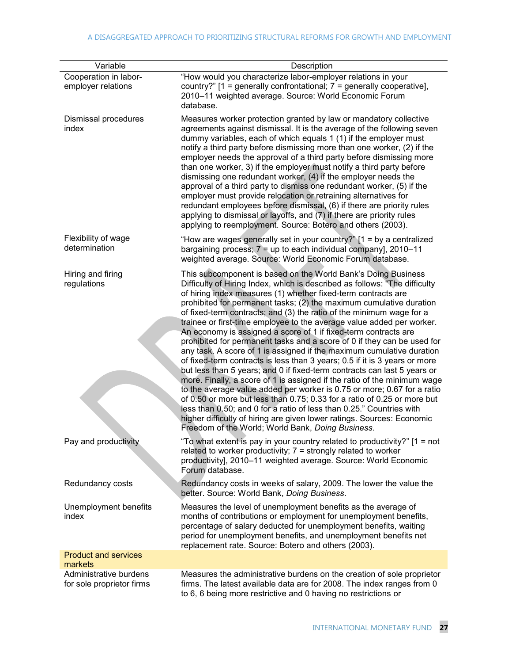| Variable                                            | Description                                                                                                                                                                                                                                                                                                                                                                                                                                                                                                                                                                                                                                                                                                                                                                                                                                                                                                                                                                                                                                                                                                                                                                                                                                                     |
|-----------------------------------------------------|-----------------------------------------------------------------------------------------------------------------------------------------------------------------------------------------------------------------------------------------------------------------------------------------------------------------------------------------------------------------------------------------------------------------------------------------------------------------------------------------------------------------------------------------------------------------------------------------------------------------------------------------------------------------------------------------------------------------------------------------------------------------------------------------------------------------------------------------------------------------------------------------------------------------------------------------------------------------------------------------------------------------------------------------------------------------------------------------------------------------------------------------------------------------------------------------------------------------------------------------------------------------|
| Cooperation in labor-<br>employer relations         | "How would you characterize labor-employer relations in your<br>country?" [1 = generally confrontational; 7 = generally cooperative],<br>2010-11 weighted average. Source: World Economic Forum<br>database.                                                                                                                                                                                                                                                                                                                                                                                                                                                                                                                                                                                                                                                                                                                                                                                                                                                                                                                                                                                                                                                    |
| Dismissal procedures<br>index                       | Measures worker protection granted by law or mandatory collective<br>agreements against dismissal. It is the average of the following seven<br>dummy variables, each of which equals 1 (1) if the employer must<br>notify a third party before dismissing more than one worker, (2) if the<br>employer needs the approval of a third party before dismissing more<br>than one worker, 3) if the employer must notify a third party before<br>dismissing one redundant worker, (4) if the employer needs the<br>approval of a third party to dismiss one redundant worker, (5) if the<br>employer must provide relocation or retraining alternatives for<br>redundant employees before dismissal, (6) if there are priority rules<br>applying to dismissal or layoffs, and (7) if there are priority rules<br>applying to reemployment. Source: Botero and others (2003).                                                                                                                                                                                                                                                                                                                                                                                        |
| Flexibility of wage<br>determination                | "How are wages generally set in your country?" [1 = by a centralized<br>bargaining process; $7 = up$ to each individual company], 2010-11<br>weighted average. Source: World Economic Forum database.                                                                                                                                                                                                                                                                                                                                                                                                                                                                                                                                                                                                                                                                                                                                                                                                                                                                                                                                                                                                                                                           |
| Hiring and firing<br>regulations                    | This subcomponent is based on the World Bank's Doing Business<br>Difficulty of Hiring Index, which is described as follows: "The difficulty<br>of hiring index measures (1) whether fixed-term contracts are<br>prohibited for permanent tasks; (2) the maximum cumulative duration<br>of fixed-term contracts; and (3) the ratio of the minimum wage for a<br>trainee or first-time employee to the average value added per worker.<br>An economy is assigned a score of 1 if fixed-term contracts are<br>prohibited for permanent tasks and a score of 0 if they can be used for<br>any task. A score of 1 is assigned if the maximum cumulative duration<br>of fixed-term contracts is less than 3 years; 0.5 if it is 3 years or more<br>but less than 5 years; and 0 if fixed-term contracts can last 5 years or<br>more. Finally, a score of 1 is assigned if the ratio of the minimum wage<br>to the average value added per worker is 0.75 or more; 0.67 for a ratio<br>of 0.50 or more but less than 0.75; 0.33 for a ratio of 0.25 or more but<br>less than 0.50; and 0 for a ratio of less than 0.25." Countries with<br>higher difficulty of hiring are given lower ratings. Sources: Economic<br>Freedom of the World; World Bank, Doing Business. |
| Pay and productivity                                | "To what extent is pay in your country related to productivity?" $[1 = not$<br>related to worker productivity; $7 =$ strongly related to worker<br>productivity], 2010-11 weighted average. Source: World Economic<br>Forum database.                                                                                                                                                                                                                                                                                                                                                                                                                                                                                                                                                                                                                                                                                                                                                                                                                                                                                                                                                                                                                           |
| Redundancy costs                                    | Redundancy costs in weeks of salary, 2009. The lower the value the<br>better. Source: World Bank, Doing Business.                                                                                                                                                                                                                                                                                                                                                                                                                                                                                                                                                                                                                                                                                                                                                                                                                                                                                                                                                                                                                                                                                                                                               |
| Unemployment benefits<br>index                      | Measures the level of unemployment benefits as the average of<br>months of contributions or employment for unemployment benefits,<br>percentage of salary deducted for unemployment benefits, waiting<br>period for unemployment benefits, and unemployment benefits net<br>replacement rate. Source: Botero and others (2003).                                                                                                                                                                                                                                                                                                                                                                                                                                                                                                                                                                                                                                                                                                                                                                                                                                                                                                                                 |
| <b>Product and services</b><br>markets              |                                                                                                                                                                                                                                                                                                                                                                                                                                                                                                                                                                                                                                                                                                                                                                                                                                                                                                                                                                                                                                                                                                                                                                                                                                                                 |
| Administrative burdens<br>for sole proprietor firms | Measures the administrative burdens on the creation of sole proprietor<br>firms. The latest available data are for 2008. The index ranges from 0<br>to 6, 6 being more restrictive and 0 having no restrictions or                                                                                                                                                                                                                                                                                                                                                                                                                                                                                                                                                                                                                                                                                                                                                                                                                                                                                                                                                                                                                                              |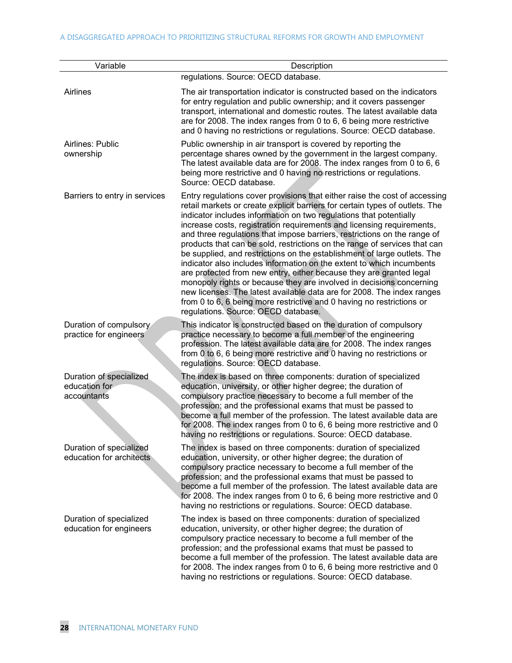| Variable                                                | Description                                                                                                                                                                                                                                                                                                                                                                                                                                                                                                                                                                                                                                                                                                                                                                                                                                                                                                                                                      |
|---------------------------------------------------------|------------------------------------------------------------------------------------------------------------------------------------------------------------------------------------------------------------------------------------------------------------------------------------------------------------------------------------------------------------------------------------------------------------------------------------------------------------------------------------------------------------------------------------------------------------------------------------------------------------------------------------------------------------------------------------------------------------------------------------------------------------------------------------------------------------------------------------------------------------------------------------------------------------------------------------------------------------------|
|                                                         | regulations. Source: OECD database.                                                                                                                                                                                                                                                                                                                                                                                                                                                                                                                                                                                                                                                                                                                                                                                                                                                                                                                              |
| Airlines                                                | The air transportation indicator is constructed based on the indicators<br>for entry regulation and public ownership; and it covers passenger<br>transport, international and domestic routes. The latest available data<br>are for 2008. The index ranges from 0 to 6, 6 being more restrictive<br>and 0 having no restrictions or regulations. Source: OECD database.                                                                                                                                                                                                                                                                                                                                                                                                                                                                                                                                                                                          |
| Airlines: Public<br>ownership                           | Public ownership in air transport is covered by reporting the<br>percentage shares owned by the government in the largest company.<br>The latest available data are for 2008. The index ranges from 0 to 6, 6<br>being more restrictive and 0 having no restrictions or regulations.<br>Source: OECD database.                                                                                                                                                                                                                                                                                                                                                                                                                                                                                                                                                                                                                                                   |
| Barriers to entry in services                           | Entry regulations cover provisions that either raise the cost of accessing<br>retail markets or create explicit barriers for certain types of outlets. The<br>indicator includes information on two regulations that potentially<br>increase costs, registration requirements and licensing requirements,<br>and three regulations that impose barriers, restrictions on the range of<br>products that can be sold, restrictions on the range of services that can<br>be supplied, and restrictions on the establishment of large outlets. The<br>indicator also includes information on the extent to which incumbents<br>are protected from new entry, either because they are granted legal<br>monopoly rights or because they are involved in decisions concerning<br>new licenses. The latest available data are for 2008. The index ranges<br>from 0 to 6, 6 being more restrictive and 0 having no restrictions or<br>regulations. Source: OECD database. |
| Duration of compulsory<br>practice for engineers        | This indicator is constructed based on the duration of compulsory<br>practice necessary to become a full member of the engineering<br>profession. The latest available data are for 2008. The index ranges<br>from 0 to 6, 6 being more restrictive and 0 having no restrictions or<br>regulations. Source: OECD database.                                                                                                                                                                                                                                                                                                                                                                                                                                                                                                                                                                                                                                       |
| Duration of specialized<br>education for<br>accountants | The index is based on three components: duration of specialized<br>education, university, or other higher degree; the duration of<br>compulsory practice necessary to become a full member of the<br>profession; and the professional exams that must be passed to<br>become a full member of the profession. The latest available data are<br>for 2008. The index ranges from 0 to 6, 6 being more restrictive and 0<br>having no restrictions or regulations. Source: OECD database.                                                                                                                                                                                                                                                                                                                                                                                                                                                                           |
| Duration of specialized<br>education for architects     | The index is based on three components: duration of specialized<br>education, university, or other higher degree; the duration of<br>compulsory practice necessary to become a full member of the<br>profession; and the professional exams that must be passed to<br>become a full member of the profession. The latest available data are<br>for 2008. The index ranges from 0 to 6, 6 being more restrictive and 0<br>having no restrictions or regulations. Source: OECD database.                                                                                                                                                                                                                                                                                                                                                                                                                                                                           |
| Duration of specialized<br>education for engineers      | The index is based on three components: duration of specialized<br>education, university, or other higher degree; the duration of<br>compulsory practice necessary to become a full member of the<br>profession; and the professional exams that must be passed to<br>become a full member of the profession. The latest available data are<br>for 2008. The index ranges from 0 to 6, 6 being more restrictive and 0<br>having no restrictions or regulations. Source: OECD database.                                                                                                                                                                                                                                                                                                                                                                                                                                                                           |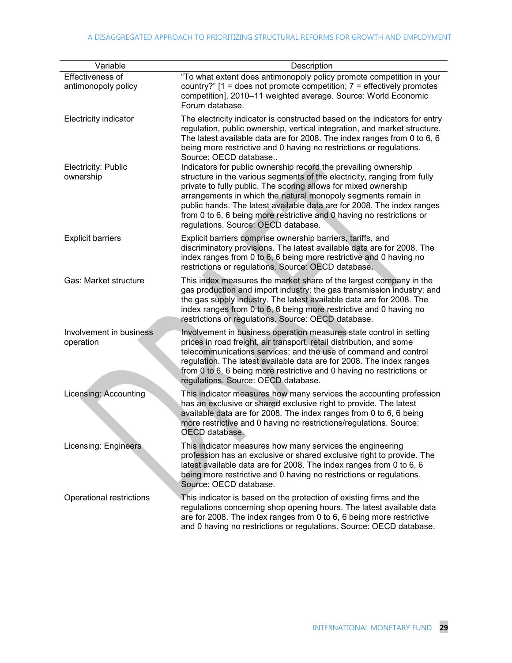| Variable                                | Description                                                                                                                                                                                                                                                                                                                                                                                                                                                                                        |
|-----------------------------------------|----------------------------------------------------------------------------------------------------------------------------------------------------------------------------------------------------------------------------------------------------------------------------------------------------------------------------------------------------------------------------------------------------------------------------------------------------------------------------------------------------|
| Effectiveness of<br>antimonopoly policy | "To what extent does antimonopoly policy promote competition in your<br>country?" $[1 =$ does not promote competition; $7 =$ effectively promotes<br>competition], 2010-11 weighted average. Source: World Economic<br>Forum database.                                                                                                                                                                                                                                                             |
| Electricity indicator                   | The electricity indicator is constructed based on the indicators for entry<br>regulation, public ownership, vertical integration, and market structure.<br>The latest available data are for 2008. The index ranges from 0 to 6, 6<br>being more restrictive and 0 having no restrictions or regulations.                                                                                                                                                                                          |
| <b>Electricity: Public</b><br>ownership | Source: OECD database<br>Indicators for public ownership record the prevailing ownership<br>structure in the various segments of the electricity, ranging from fully<br>private to fully public. The scoring allows for mixed ownership<br>arrangements in which the natural monopoly segments remain in<br>public hands. The latest available data are for 2008. The index ranges<br>from 0 to 6, 6 being more restrictive and 0 having no restrictions or<br>regulations. Source: OECD database. |
| <b>Explicit barriers</b>                | Explicit barriers comprise ownership barriers, tariffs, and<br>discriminatory provisions. The latest available data are for 2008. The<br>index ranges from 0 to 6, 6 being more restrictive and 0 having no<br>restrictions or regulations. Source: OECD database.                                                                                                                                                                                                                                 |
| <b>Gas: Market structure</b>            | This index measures the market share of the largest company in the<br>gas production and import industry; the gas transmission industry; and<br>the gas supply industry. The latest available data are for 2008. The<br>index ranges from 0 to 6, 6 being more restrictive and 0 having no<br>restrictions or regulations. Source: OECD database.                                                                                                                                                  |
| Involvement in business<br>operation    | Involvement in business operation measures state control in setting<br>prices in road freight, air transport, retail distribution, and some<br>telecommunications services; and the use of command and control<br>regulation. The latest available data are for 2008. The index ranges<br>from 0 to 6, 6 being more restrictive and 0 having no restrictions or<br>regulations. Source: OECD database.                                                                                             |
| Licensing: Accounting                   | This indicator measures how many services the accounting profession<br>has an exclusive or shared exclusive right to provide. The latest<br>available data are for 2008. The index ranges from 0 to 6, 6 being<br>more restrictive and 0 having no restrictions/regulations. Source:<br>OECD database.                                                                                                                                                                                             |
| Licensing: Engineers                    | This indicator measures how many services the engineering<br>profession has an exclusive or shared exclusive right to provide. The<br>latest available data are for 2008. The index ranges from 0 to 6, 6<br>being more restrictive and 0 having no restrictions or regulations.<br>Source: OECD database.                                                                                                                                                                                         |
| Operational restrictions                | This indicator is based on the protection of existing firms and the<br>regulations concerning shop opening hours. The latest available data<br>are for 2008. The index ranges from 0 to 6, 6 being more restrictive<br>and 0 having no restrictions or regulations. Source: OECD database.                                                                                                                                                                                                         |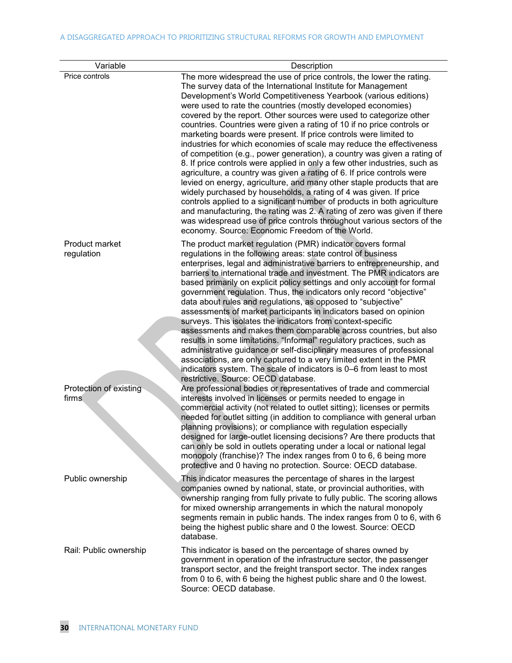| Variable                        | Description                                                                                                                                                                                                                                                                                                                                                                                                                                                                                                                                                                                                                                                                                                                                                                                                                                                                                                                                                                                                                                                                                                                                                                                                                                 |
|---------------------------------|---------------------------------------------------------------------------------------------------------------------------------------------------------------------------------------------------------------------------------------------------------------------------------------------------------------------------------------------------------------------------------------------------------------------------------------------------------------------------------------------------------------------------------------------------------------------------------------------------------------------------------------------------------------------------------------------------------------------------------------------------------------------------------------------------------------------------------------------------------------------------------------------------------------------------------------------------------------------------------------------------------------------------------------------------------------------------------------------------------------------------------------------------------------------------------------------------------------------------------------------|
| Price controls                  | The more widespread the use of price controls, the lower the rating.<br>The survey data of the International Institute for Management<br>Development's World Competitiveness Yearbook (various editions)<br>were used to rate the countries (mostly developed economies)<br>covered by the report. Other sources were used to categorize other<br>countries. Countries were given a rating of 10 if no price controls or<br>marketing boards were present. If price controls were limited to<br>industries for which economies of scale may reduce the effectiveness<br>of competition (e.g., power generation), a country was given a rating of<br>8. If price controls were applied in only a few other industries, such as<br>agriculture, a country was given a rating of 6. If price controls were<br>levied on energy, agriculture, and many other staple products that are<br>widely purchased by households, a rating of 4 was given. If price<br>controls applied to a significant number of products in both agriculture<br>and manufacturing, the rating was 2. A rating of zero was given if there<br>was widespread use of price controls throughout various sectors of the<br>economy. Source: Economic Freedom of the World. |
| Product market<br>regulation    | The product market regulation (PMR) indicator covers formal<br>regulations in the following areas: state control of business<br>enterprises, legal and administrative barriers to entrepreneurship, and<br>barriers to international trade and investment. The PMR indicators are<br>based primarily on explicit policy settings and only account for formal<br>government regulation. Thus, the indicators only record "objective"<br>data about rules and regulations, as opposed to "subjective"<br>assessments of market participants in indicators based on opinion<br>surveys. This isolates the indicators from context-specific<br>assessments and makes them comparable across countries, but also<br>results in some limitations. "Informal" regulatory practices, such as<br>administrative guidance or self-disciplinary measures of professional<br>associations, are only captured to a very limited extent in the PMR<br>indicators system. The scale of indicators is 0-6 from least to most<br>restrictive. Source: OECD database.                                                                                                                                                                                         |
| Protection of existing<br>firms | Are professional bodies or representatives of trade and commercial<br>interests involved in licenses or permits needed to engage in<br>commercial activity (not related to outlet sitting); licenses or permits<br>needed for outlet sitting (in addition to compliance with general urban<br>planning provisions); or compliance with regulation especially<br>designed for large-outlet licensing decisions? Are there products that<br>can only be sold in outlets operating under a local or national legal<br>monopoly (franchise)? The index ranges from 0 to 6, 6 being more<br>protective and 0 having no protection. Source: OECD database.                                                                                                                                                                                                                                                                                                                                                                                                                                                                                                                                                                                        |
| Public ownership                | This indicator measures the percentage of shares in the largest<br>companies owned by national, state, or provincial authorities, with<br>ownership ranging from fully private to fully public. The scoring allows<br>for mixed ownership arrangements in which the natural monopoly<br>segments remain in public hands. The index ranges from 0 to 6, with 6<br>being the highest public share and 0 the lowest. Source: OECD<br>database.                                                                                                                                                                                                                                                                                                                                                                                                                                                                                                                                                                                                                                                                                                                                                                                                 |
| Rail: Public ownership          | This indicator is based on the percentage of shares owned by<br>government in operation of the infrastructure sector, the passenger<br>transport sector, and the freight transport sector. The index ranges<br>from 0 to 6, with 6 being the highest public share and 0 the lowest.<br>Source: OECD database.                                                                                                                                                                                                                                                                                                                                                                                                                                                                                                                                                                                                                                                                                                                                                                                                                                                                                                                               |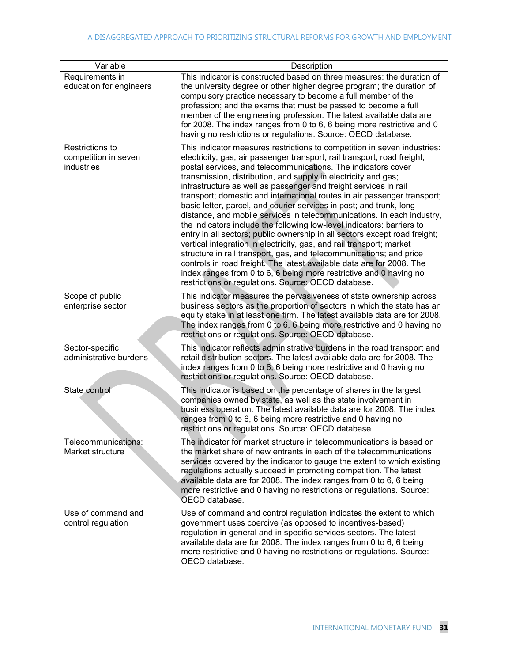| Variable                                              | Description                                                                                                                                                                                                                                                                                                                                                                                                                                                                                                                                                                                                                                                                                                                                                                                                                                                                                                                                                                                                                                                                                           |
|-------------------------------------------------------|-------------------------------------------------------------------------------------------------------------------------------------------------------------------------------------------------------------------------------------------------------------------------------------------------------------------------------------------------------------------------------------------------------------------------------------------------------------------------------------------------------------------------------------------------------------------------------------------------------------------------------------------------------------------------------------------------------------------------------------------------------------------------------------------------------------------------------------------------------------------------------------------------------------------------------------------------------------------------------------------------------------------------------------------------------------------------------------------------------|
| Requirements in<br>education for engineers            | This indicator is constructed based on three measures: the duration of<br>the university degree or other higher degree program; the duration of<br>compulsory practice necessary to become a full member of the<br>profession; and the exams that must be passed to become a full<br>member of the engineering profession. The latest available data are<br>for 2008. The index ranges from 0 to 6, 6 being more restrictive and 0<br>having no restrictions or regulations. Source: OECD database.                                                                                                                                                                                                                                                                                                                                                                                                                                                                                                                                                                                                   |
| Restrictions to<br>competition in seven<br>industries | This indicator measures restrictions to competition in seven industries:<br>electricity, gas, air passenger transport, rail transport, road freight,<br>postal services, and telecommunications. The indicators cover<br>transmission, distribution, and supply in electricity and gas;<br>infrastructure as well as passenger and freight services in rail<br>transport; domestic and international routes in air passenger transport;<br>basic letter, parcel, and courier services in post; and trunk, long<br>distance, and mobile services in telecommunications. In each industry,<br>the indicators include the following low-level indicators: barriers to<br>entry in all sectors; public ownership in all sectors except road freight;<br>vertical integration in electricity, gas, and rail transport; market<br>structure in rail transport, gas, and telecommunications; and price<br>controls in road freight. The latest available data are for 2008. The<br>index ranges from 0 to 6, 6 being more restrictive and 0 having no<br>restrictions or regulations. Source: OECD database. |
| Scope of public<br>enterprise sector                  | This indicator measures the pervasiveness of state ownership across<br>business sectors as the proportion of sectors in which the state has an<br>equity stake in at least one firm. The latest available data are for 2008.<br>The index ranges from 0 to 6, 6 being more restrictive and 0 having no<br>restrictions or regulations. Source: OECD database.                                                                                                                                                                                                                                                                                                                                                                                                                                                                                                                                                                                                                                                                                                                                         |
| Sector-specific<br>administrative burdens             | This indicator reflects administrative burdens in the road transport and<br>retail distribution sectors. The latest available data are for 2008. The<br>index ranges from 0 to 6, 6 being more restrictive and 0 having no<br>restrictions or regulations. Source: OECD database.                                                                                                                                                                                                                                                                                                                                                                                                                                                                                                                                                                                                                                                                                                                                                                                                                     |
| State control                                         | This indicator is based on the percentage of shares in the largest<br>companies owned by state, as well as the state involvement in<br>business operation. The latest available data are for 2008. The index<br>ranges from 0 to 6, 6 being more restrictive and 0 having no<br>restrictions or regulations. Source: OECD database                                                                                                                                                                                                                                                                                                                                                                                                                                                                                                                                                                                                                                                                                                                                                                    |
| Telecommunications:<br>Market structure               | The indicator for market structure in telecommunications is based on<br>the market share of new entrants in each of the telecommunications<br>services covered by the indicator to gauge the extent to which existing<br>regulations actually succeed in promoting competition. The latest<br>available data are for 2008. The index ranges from 0 to 6, 6 being<br>more restrictive and 0 having no restrictions or regulations. Source:<br>OECD database.                                                                                                                                                                                                                                                                                                                                                                                                                                                                                                                                                                                                                                           |
| Use of command and<br>control regulation              | Use of command and control regulation indicates the extent to which<br>government uses coercive (as opposed to incentives-based)<br>regulation in general and in specific services sectors. The latest<br>available data are for 2008. The index ranges from 0 to 6, 6 being<br>more restrictive and 0 having no restrictions or regulations. Source:                                                                                                                                                                                                                                                                                                                                                                                                                                                                                                                                                                                                                                                                                                                                                 |

OECD database.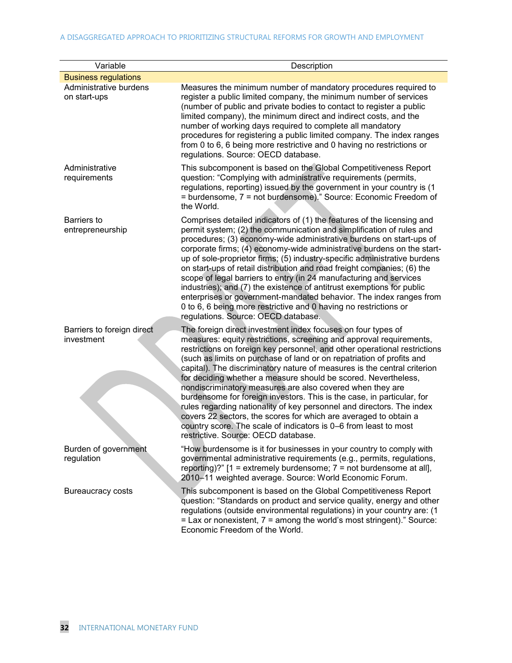| Variable                                 | Description                                                                                                                                                                                                                                                                                                                                                                                                                                                                                                                                                                                                                                                                                                                                                                                                                            |
|------------------------------------------|----------------------------------------------------------------------------------------------------------------------------------------------------------------------------------------------------------------------------------------------------------------------------------------------------------------------------------------------------------------------------------------------------------------------------------------------------------------------------------------------------------------------------------------------------------------------------------------------------------------------------------------------------------------------------------------------------------------------------------------------------------------------------------------------------------------------------------------|
| <b>Business regulations</b>              |                                                                                                                                                                                                                                                                                                                                                                                                                                                                                                                                                                                                                                                                                                                                                                                                                                        |
| Administrative burdens<br>on start-ups   | Measures the minimum number of mandatory procedures required to<br>register a public limited company, the minimum number of services<br>(number of public and private bodies to contact to register a public<br>limited company), the minimum direct and indirect costs, and the<br>number of working days required to complete all mandatory<br>procedures for registering a public limited company. The index ranges<br>from 0 to 6, 6 being more restrictive and 0 having no restrictions or<br>regulations. Source: OECD database.                                                                                                                                                                                                                                                                                                 |
| Administrative<br>requirements           | This subcomponent is based on the Global Competitiveness Report<br>question: "Complying with administrative requirements (permits,<br>regulations, reporting) issued by the government in your country is (1<br>= burdensome, 7 = not burdensome)." Source: Economic Freedom of<br>the World.                                                                                                                                                                                                                                                                                                                                                                                                                                                                                                                                          |
| Barriers to<br>entrepreneurship          | Comprises detailed indicators of (1) the features of the licensing and<br>permit system; (2) the communication and simplification of rules and<br>procedures; (3) economy-wide administrative burdens on start-ups of<br>corporate firms; (4) economy-wide administrative burdens on the start-<br>up of sole-proprietor firms; (5) industry-specific administrative burdens<br>on start-ups of retail distribution and road freight companies; (6) the<br>scope of legal barriers to entry (in 24 manufacturing and services<br>industries); and (7) the existence of antitrust exemptions for public<br>enterprises or government-mandated behavior. The index ranges from<br>0 to 6, 6 being more restrictive and 0 having no restrictions or<br>regulations. Source: OECD database.                                                |
| Barriers to foreign direct<br>investment | The foreign direct investment index focuses on four types of<br>measures: equity restrictions, screening and approval requirements,<br>restrictions on foreign key personnel, and other operational restrictions<br>(such as limits on purchase of land or on repatriation of profits and<br>capital). The discriminatory nature of measures is the central criterion<br>for deciding whether a measure should be scored. Nevertheless,<br>nondiscriminatory measures are also covered when they are<br>burdensome for foreign investors. This is the case, in particular, for<br>rules regarding nationality of key personnel and directors. The index<br>covers 22 sectors, the scores for which are averaged to obtain a<br>country score. The scale of indicators is 0-6 from least to most<br>restrictive. Source: OECD database. |
| Burden of government<br>regulation       | "How burdensome is it for businesses in your country to comply with<br>governmental administrative requirements (e.g., permits, regulations,<br>reporting)?" $[1 =$ extremely burdensome; $7 =$ not burdensome at all],<br>2010-11 weighted average. Source: World Economic Forum.                                                                                                                                                                                                                                                                                                                                                                                                                                                                                                                                                     |
| <b>Bureaucracy costs</b>                 | This subcomponent is based on the Global Competitiveness Report<br>question: "Standards on product and service quality, energy and other<br>regulations (outside environmental regulations) in your country are: (1<br>$=$ Lax or nonexistent, $7 =$ among the world's most stringent)." Source:<br>Economic Freedom of the World.                                                                                                                                                                                                                                                                                                                                                                                                                                                                                                     |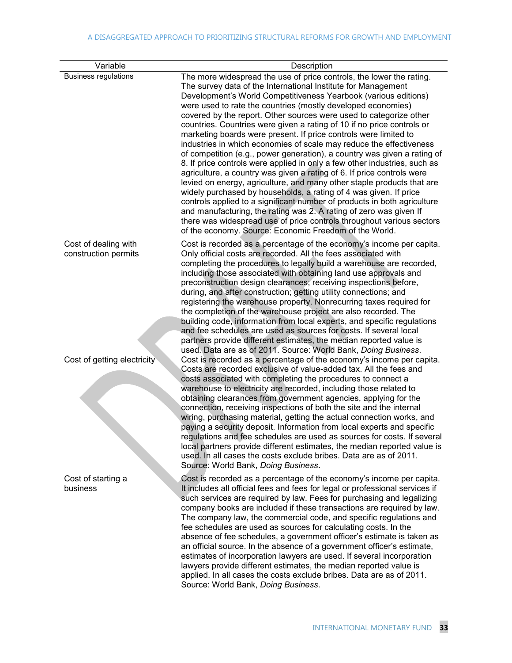| Variable<br><b>Business regulations</b>      | Description<br>The more widespread the use of price controls, the lower the rating.                                                                                                                                                                                                                                                                                                                                                                                                                                                                                                                                                                                                                                                                                                                                                                                                                                                                                                                                                                                                                                                                                |
|----------------------------------------------|--------------------------------------------------------------------------------------------------------------------------------------------------------------------------------------------------------------------------------------------------------------------------------------------------------------------------------------------------------------------------------------------------------------------------------------------------------------------------------------------------------------------------------------------------------------------------------------------------------------------------------------------------------------------------------------------------------------------------------------------------------------------------------------------------------------------------------------------------------------------------------------------------------------------------------------------------------------------------------------------------------------------------------------------------------------------------------------------------------------------------------------------------------------------|
|                                              | The survey data of the International Institute for Management<br>Development's World Competitiveness Yearbook (various editions)<br>were used to rate the countries (mostly developed economies)<br>covered by the report. Other sources were used to categorize other<br>countries. Countries were given a rating of 10 if no price controls or<br>marketing boards were present. If price controls were limited to<br>industries in which economies of scale may reduce the effectiveness<br>of competition (e.g., power generation), a country was given a rating of<br>8. If price controls were applied in only a few other industries, such as<br>agriculture, a country was given a rating of 6. If price controls were<br>levied on energy, agriculture, and many other staple products that are<br>widely purchased by households, a rating of 4 was given. If price<br>controls applied to a significant number of products in both agriculture<br>and manufacturing, the rating was 2. A rating of zero was given If<br>there was widespread use of price controls throughout various sectors<br>of the economy. Source: Economic Freedom of the World. |
| Cost of dealing with<br>construction permits | Cost is recorded as a percentage of the economy's income per capita.<br>Only official costs are recorded. All the fees associated with<br>completing the procedures to legally build a warehouse are recorded,<br>including those associated with obtaining land use approvals and<br>preconstruction design clearances; receiving inspections before,<br>during, and after construction; getting utility connections; and<br>registering the warehouse property. Nonrecurring taxes required for<br>the completion of the warehouse project are also recorded. The<br>building code, information from local experts, and specific regulations<br>and fee schedules are used as sources for costs. If several local<br>partners provide different estimates, the median reported value is<br>used. Data are as of 2011. Source: World Bank, Doing Business.                                                                                                                                                                                                                                                                                                        |
| Cost of getting electricity                  | Cost is recorded as a percentage of the economy's income per capita.<br>Costs are recorded exclusive of value-added tax. All the fees and<br>costs associated with completing the procedures to connect a<br>warehouse to electricity are recorded, including those related to<br>obtaining clearances from government agencies, applying for the<br>connection, receiving inspections of both the site and the internal<br>wiring, purchasing material, getting the actual connection works, and<br>paying a security deposit. Information from local experts and specific<br>regulations and fee schedules are used as sources for costs. If several<br>local partners provide different estimates, the median reported value is<br>used. In all cases the costs exclude bribes. Data are as of 2011.<br>Source: World Bank, Doing Business.                                                                                                                                                                                                                                                                                                                     |
| Cost of starting a<br>business               | Cost is recorded as a percentage of the economy's income per capita.<br>It includes all official fees and fees for legal or professional services if<br>such services are required by law. Fees for purchasing and legalizing<br>company books are included if these transactions are required by law.<br>The company law, the commercial code, and specific regulations and<br>fee schedules are used as sources for calculating costs. In the<br>absence of fee schedules, a government officer's estimate is taken as<br>an official source. In the absence of a government officer's estimate,<br>estimates of incorporation lawyers are used. If several incorporation<br>lawyers provide different estimates, the median reported value is<br>applied. In all cases the costs exclude bribes. Data are as of 2011.<br>Source: World Bank, Doing Business.                                                                                                                                                                                                                                                                                                    |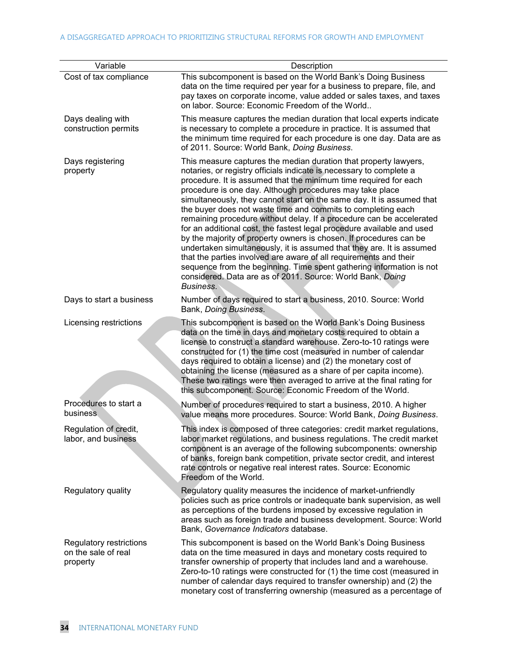| Variable                                                   | Description                                                                                                                                                                                                                                                                                                                                                                                                                                                                                                                                                                                                                                                                                                                                                                                                                                                                                                                               |
|------------------------------------------------------------|-------------------------------------------------------------------------------------------------------------------------------------------------------------------------------------------------------------------------------------------------------------------------------------------------------------------------------------------------------------------------------------------------------------------------------------------------------------------------------------------------------------------------------------------------------------------------------------------------------------------------------------------------------------------------------------------------------------------------------------------------------------------------------------------------------------------------------------------------------------------------------------------------------------------------------------------|
| Cost of tax compliance                                     | This subcomponent is based on the World Bank's Doing Business<br>data on the time required per year for a business to prepare, file, and<br>pay taxes on corporate income, value added or sales taxes, and taxes<br>on labor. Source: Economic Freedom of the World                                                                                                                                                                                                                                                                                                                                                                                                                                                                                                                                                                                                                                                                       |
| Days dealing with<br>construction permits                  | This measure captures the median duration that local experts indicate<br>is necessary to complete a procedure in practice. It is assumed that<br>the minimum time required for each procedure is one day. Data are as<br>of 2011. Source: World Bank, Doing Business.                                                                                                                                                                                                                                                                                                                                                                                                                                                                                                                                                                                                                                                                     |
| Days registering<br>property                               | This measure captures the median duration that property lawyers,<br>notaries, or registry officials indicate is necessary to complete a<br>procedure. It is assumed that the minimum time required for each<br>procedure is one day. Although procedures may take place<br>simultaneously, they cannot start on the same day. It is assumed that<br>the buyer does not waste time and commits to completing each<br>remaining procedure without delay. If a procedure can be accelerated<br>for an additional cost, the fastest legal procedure available and used<br>by the majority of property owners is chosen. If procedures can be<br>undertaken simultaneously, it is assumed that they are. It is assumed<br>that the parties involved are aware of all requirements and their<br>sequence from the beginning. Time spent gathering information is not<br>considered. Data are as of 2011. Source: World Bank, Doing<br>Business. |
| Days to start a business                                   | Number of days required to start a business, 2010. Source: World<br>Bank, Doing Business.                                                                                                                                                                                                                                                                                                                                                                                                                                                                                                                                                                                                                                                                                                                                                                                                                                                 |
| Licensing restrictions                                     | This subcomponent is based on the World Bank's Doing Business<br>data on the time in days and monetary costs required to obtain a<br>license to construct a standard warehouse. Zero-to-10 ratings were<br>constructed for (1) the time cost (measured in number of calendar<br>days required to obtain a license) and (2) the monetary cost of<br>obtaining the license (measured as a share of per capita income).<br>These two ratings were then averaged to arrive at the final rating for<br>this subcomponent. Source: Economic Freedom of the World.                                                                                                                                                                                                                                                                                                                                                                               |
| Procedures to start a<br>business                          | Number of procedures required to start a business, 2010. A higher<br>value means more procedures. Source: World Bank, Doing Business.                                                                                                                                                                                                                                                                                                                                                                                                                                                                                                                                                                                                                                                                                                                                                                                                     |
| Regulation of credit.<br>labor, and business               | This index is composed of three categories: credit market regulations,<br>labor market regulations, and business regulations. The credit market<br>component is an average of the following subcomponents: ownership<br>of banks, foreign bank competition, private sector credit, and interest<br>rate controls or negative real interest rates. Source: Economic<br>Freedom of the World.                                                                                                                                                                                                                                                                                                                                                                                                                                                                                                                                               |
| Regulatory quality                                         | Regulatory quality measures the incidence of market-unfriendly<br>policies such as price controls or inadequate bank supervision, as well<br>as perceptions of the burdens imposed by excessive regulation in<br>areas such as foreign trade and business development. Source: World<br>Bank, Governance Indicators database.                                                                                                                                                                                                                                                                                                                                                                                                                                                                                                                                                                                                             |
| Regulatory restrictions<br>on the sale of real<br>property | This subcomponent is based on the World Bank's Doing Business<br>data on the time measured in days and monetary costs required to<br>transfer ownership of property that includes land and a warehouse.<br>Zero-to-10 ratings were constructed for (1) the time cost (measured in<br>number of calendar days required to transfer ownership) and (2) the<br>monetary cost of transferring ownership (measured as a percentage of                                                                                                                                                                                                                                                                                                                                                                                                                                                                                                          |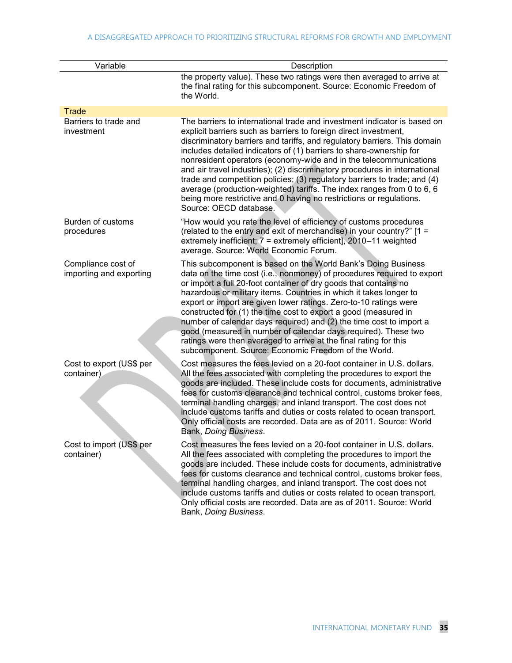| Variable                                      | Description                                                                                                                                                                                                                                                                                                                                                                                                                                                                                                                                                                                                                                                                                                 |
|-----------------------------------------------|-------------------------------------------------------------------------------------------------------------------------------------------------------------------------------------------------------------------------------------------------------------------------------------------------------------------------------------------------------------------------------------------------------------------------------------------------------------------------------------------------------------------------------------------------------------------------------------------------------------------------------------------------------------------------------------------------------------|
|                                               | the property value). These two ratings were then averaged to arrive at<br>the final rating for this subcomponent. Source: Economic Freedom of<br>the World.                                                                                                                                                                                                                                                                                                                                                                                                                                                                                                                                                 |
| Trade                                         |                                                                                                                                                                                                                                                                                                                                                                                                                                                                                                                                                                                                                                                                                                             |
| Barriers to trade and<br>investment           | The barriers to international trade and investment indicator is based on<br>explicit barriers such as barriers to foreign direct investment,<br>discriminatory barriers and tariffs, and regulatory barriers. This domain<br>includes detailed indicators of (1) barriers to share-ownership for<br>nonresident operators (economy-wide and in the telecommunications<br>and air travel industries); (2) discriminatory procedures in international<br>trade and competition policies; (3) regulatory barriers to trade; and (4)<br>average (production-weighted) tariffs. The index ranges from 0 to 6, 6<br>being more restrictive and 0 having no restrictions or regulations.<br>Source: OECD database. |
| Burden of customs<br>procedures               | "How would you rate the level of efficiency of customs procedures<br>(related to the entry and exit of merchandise) in your country?" [1 =<br>extremely inefficient; 7 = extremely efficient], 2010-11 weighted<br>average. Source: World Economic Forum.                                                                                                                                                                                                                                                                                                                                                                                                                                                   |
| Compliance cost of<br>importing and exporting | This subcomponent is based on the World Bank's Doing Business<br>data on the time cost (i.e., nonmoney) of procedures required to export<br>or import a full 20-foot container of dry goods that contains no<br>hazardous or military items. Countries in which it takes longer to<br>export or import are given lower ratings. Zero-to-10 ratings were<br>constructed for (1) the time cost to export a good (measured in<br>number of calendar days required) and (2) the time cost to import a<br>good (measured in number of calendar days required). These two<br>ratings were then averaged to arrive at the final rating for this<br>subcomponent. Source: Economic Freedom of the World.            |
| Cost to export (US\$ per<br>container)        | Cost measures the fees levied on a 20-foot container in U.S. dollars.<br>All the fees associated with completing the procedures to export the<br>goods are included. These include costs for documents, administrative<br>fees for customs clearance and technical control, customs broker fees,<br>terminal handling charges, and inland transport. The cost does not<br>include customs tariffs and duties or costs related to ocean transport.<br>Only official costs are recorded. Data are as of 2011. Source: World<br>Bank, Doing Business.                                                                                                                                                          |
| Cost to import (US\$ per<br>container)        | Cost measures the fees levied on a 20-foot container in U.S. dollars.<br>All the fees associated with completing the procedures to import the<br>goods are included. These include costs for documents, administrative<br>fees for customs clearance and technical control, customs broker fees,<br>terminal handling charges, and inland transport. The cost does not<br>include customs tariffs and duties or costs related to ocean transport.<br>Only official costs are recorded. Data are as of 2011. Source: World<br>Bank, Doing Business.                                                                                                                                                          |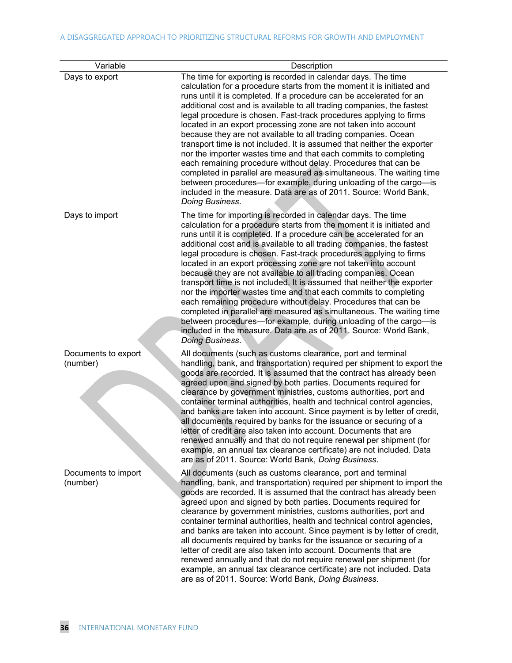| Variable                        | Description                                                                                                                                                                                                                                                                                                                                                                                                                                                                                                                                                                                                                                                                                                                                                                                                                                                                                                                                               |
|---------------------------------|-----------------------------------------------------------------------------------------------------------------------------------------------------------------------------------------------------------------------------------------------------------------------------------------------------------------------------------------------------------------------------------------------------------------------------------------------------------------------------------------------------------------------------------------------------------------------------------------------------------------------------------------------------------------------------------------------------------------------------------------------------------------------------------------------------------------------------------------------------------------------------------------------------------------------------------------------------------|
| Days to export                  | The time for exporting is recorded in calendar days. The time<br>calculation for a procedure starts from the moment it is initiated and<br>runs until it is completed. If a procedure can be accelerated for an<br>additional cost and is available to all trading companies, the fastest<br>legal procedure is chosen. Fast-track procedures applying to firms<br>located in an export processing zone are not taken into account<br>because they are not available to all trading companies. Ocean<br>transport time is not included. It is assumed that neither the exporter<br>nor the importer wastes time and that each commits to completing<br>each remaining procedure without delay. Procedures that can be<br>completed in parallel are measured as simultaneous. The waiting time<br>between procedures—for example, during unloading of the cargo—is<br>included in the measure. Data are as of 2011. Source: World Bank,<br>Doing Business. |
| Days to import                  | The time for importing is recorded in calendar days. The time<br>calculation for a procedure starts from the moment it is initiated and<br>runs until it is completed. If a procedure can be accelerated for an<br>additional cost and is available to all trading companies, the fastest<br>legal procedure is chosen. Fast-track procedures applying to firms<br>located in an export processing zone are not taken into account<br>because they are not available to all trading companies. Ocean<br>transport time is not included. It is assumed that neither the exporter<br>nor the importer wastes time and that each commits to completing<br>each remaining procedure without delay. Procedures that can be<br>completed in parallel are measured as simultaneous. The waiting time<br>between procedures—for example, during unloading of the cargo—is<br>included in the measure. Data are as of 2011. Source: World Bank,<br>Doing Business. |
| Documents to export<br>(number) | All documents (such as customs clearance, port and terminal<br>handling, bank, and transportation) required per shipment to export the<br>goods are recorded. It is assumed that the contract has already been<br>agreed upon and signed by both parties. Documents required for<br>clearance by government ministries, customs authorities, port and<br>container terminal authorities, health and technical control agencies,<br>and banks are taken into account. Since payment is by letter of credit,<br>all documents required by banks for the issuance or securing of a<br>letter of credit are also taken into account. Documents that are<br>renewed annually and that do not require renewal per shipment (for<br>example, an annual tax clearance certificate) are not included. Data<br>are as of 2011. Source: World Bank, Doing Business.                                                                                                  |
| Documents to import<br>(number) | All documents (such as customs clearance, port and terminal<br>handling, bank, and transportation) required per shipment to import the<br>goods are recorded. It is assumed that the contract has already been<br>agreed upon and signed by both parties. Documents required for<br>clearance by government ministries, customs authorities, port and<br>container terminal authorities, health and technical control agencies,<br>and banks are taken into account. Since payment is by letter of credit,<br>all documents required by banks for the issuance or securing of a<br>letter of credit are also taken into account. Documents that are<br>renewed annually and that do not require renewal per shipment (for<br>example, an annual tax clearance certificate) are not included. Data<br>are as of 2011. Source: World Bank, Doing Business.                                                                                                  |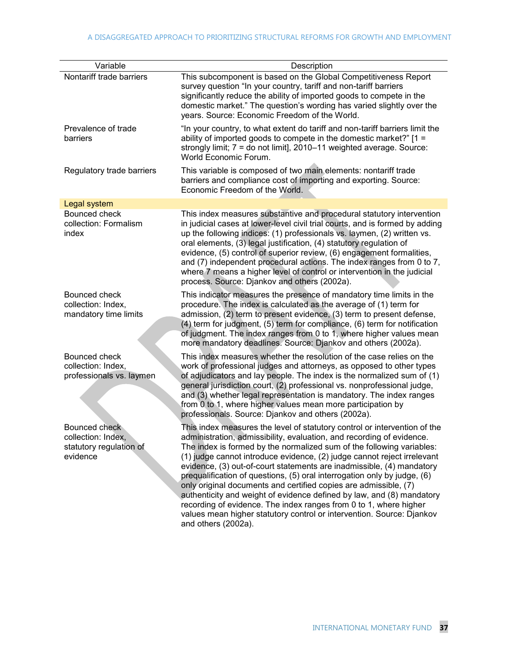| Variable                                                                          | Description                                                                                                                                                                                                                                                                                                                                                                                                                                                                                                                                                                                                                                                                                                                                                                   |
|-----------------------------------------------------------------------------------|-------------------------------------------------------------------------------------------------------------------------------------------------------------------------------------------------------------------------------------------------------------------------------------------------------------------------------------------------------------------------------------------------------------------------------------------------------------------------------------------------------------------------------------------------------------------------------------------------------------------------------------------------------------------------------------------------------------------------------------------------------------------------------|
| Nontariff trade barriers                                                          | This subcomponent is based on the Global Competitiveness Report<br>survey question "In your country, tariff and non-tariff barriers<br>significantly reduce the ability of imported goods to compete in the<br>domestic market." The question's wording has varied slightly over the<br>years. Source: Economic Freedom of the World.                                                                                                                                                                                                                                                                                                                                                                                                                                         |
| Prevalence of trade<br>barriers                                                   | "In your country, to what extent do tariff and non-tariff barriers limit the<br>ability of imported goods to compete in the domestic market?" [1 =<br>strongly limit; 7 = do not limit], 2010–11 weighted average. Source:<br>World Economic Forum.                                                                                                                                                                                                                                                                                                                                                                                                                                                                                                                           |
| Regulatory trade barriers                                                         | This variable is composed of two main elements: nontariff trade<br>barriers and compliance cost of importing and exporting. Source:<br>Economic Freedom of the World.                                                                                                                                                                                                                                                                                                                                                                                                                                                                                                                                                                                                         |
| Legal system                                                                      |                                                                                                                                                                                                                                                                                                                                                                                                                                                                                                                                                                                                                                                                                                                                                                               |
| Bounced check<br>collection: Formalism<br>index                                   | This index measures substantive and procedural statutory intervention<br>in judicial cases at lower-level civil trial courts, and is formed by adding<br>up the following indices: (1) professionals vs. laymen, (2) written vs.<br>oral elements, (3) legal justification, (4) statutory regulation of<br>evidence, (5) control of superior review, (6) engagement formalities,<br>and (7) independent procedural actions. The index ranges from 0 to 7,<br>where 7 means a higher level of control or intervention in the judicial<br>process. Source: Djankov and others (2002a).                                                                                                                                                                                          |
| Bounced check<br>collection: Index,<br>mandatory time limits                      | This indicator measures the presence of mandatory time limits in the<br>procedure. The index is calculated as the average of (1) term for<br>admission, (2) term to present evidence, (3) term to present defense,<br>(4) term for judgment, (5) term for compliance, (6) term for notification<br>of judgment. The index ranges from 0 to 1, where higher values mean<br>more mandatory deadlines. Source: Djankov and others (2002a).                                                                                                                                                                                                                                                                                                                                       |
| Bounced check<br>collection: Index,<br>professionals vs. laymen                   | This index measures whether the resolution of the case relies on the<br>work of professional judges and attorneys, as opposed to other types<br>of adjudicators and lay people. The index is the normalized sum of (1)<br>general jurisdiction court, (2) professional vs. nonprofessional judge,<br>and (3) whether legal representation is mandatory. The index ranges<br>from 0 to 1, where higher values mean more participation by<br>professionals. Source: Djankov and others (2002a).                                                                                                                                                                                                                                                                                 |
| <b>Bounced check</b><br>collection: Index,<br>statutory regulation of<br>evidence | This index measures the level of statutory control or intervention of the<br>administration, admissibility, evaluation, and recording of evidence.<br>The index is formed by the normalized sum of the following variables:<br>(1) judge cannot introduce evidence, (2) judge cannot reject irrelevant<br>evidence, (3) out-of-court statements are inadmissible, (4) mandatory<br>prequalification of questions, (5) oral interrogation only by judge, (6)<br>only original documents and certified copies are admissible, (7)<br>authenticity and weight of evidence defined by law, and (8) mandatory<br>recording of evidence. The index ranges from 0 to 1, where higher<br>values mean higher statutory control or intervention. Source: Djankov<br>and others (2002a). |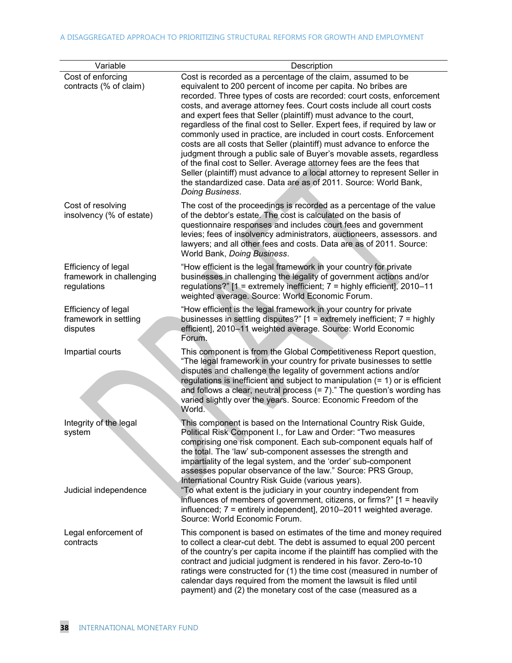| Variable                                                       | Description                                                                                                                                                                                                                                                                                                                                                                                                                                                                                                                                                                                                                                                                                                                                                                                                                                                                                               |
|----------------------------------------------------------------|-----------------------------------------------------------------------------------------------------------------------------------------------------------------------------------------------------------------------------------------------------------------------------------------------------------------------------------------------------------------------------------------------------------------------------------------------------------------------------------------------------------------------------------------------------------------------------------------------------------------------------------------------------------------------------------------------------------------------------------------------------------------------------------------------------------------------------------------------------------------------------------------------------------|
| Cost of enforcing<br>contracts (% of claim)                    | Cost is recorded as a percentage of the claim, assumed to be<br>equivalent to 200 percent of income per capita. No bribes are<br>recorded. Three types of costs are recorded: court costs, enforcement<br>costs, and average attorney fees. Court costs include all court costs<br>and expert fees that Seller (plaintiff) must advance to the court,<br>regardless of the final cost to Seller. Expert fees, if required by law or<br>commonly used in practice, are included in court costs. Enforcement<br>costs are all costs that Seller (plaintiff) must advance to enforce the<br>judgment through a public sale of Buyer's movable assets, regardless<br>of the final cost to Seller. Average attorney fees are the fees that<br>Seller (plaintiff) must advance to a local attorney to represent Seller in<br>the standardized case. Data are as of 2011. Source: World Bank,<br>Doing Business. |
| Cost of resolving<br>insolvency (% of estate)                  | The cost of the proceedings is recorded as a percentage of the value<br>of the debtor's estate. The cost is calculated on the basis of<br>questionnaire responses and includes court fees and government<br>levies; fees of insolvency administrators, auctioneers, assessors. and<br>lawyers; and all other fees and costs. Data are as of 2011. Source:<br>World Bank, Doing Business.                                                                                                                                                                                                                                                                                                                                                                                                                                                                                                                  |
| Efficiency of legal<br>framework in challenging<br>regulations | "How efficient is the legal framework in your country for private<br>businesses in challenging the legality of government actions and/or<br>regulations?" [1 = extremely inefficient; 7 = highly efficient], 2010-11<br>weighted average. Source: World Economic Forum.                                                                                                                                                                                                                                                                                                                                                                                                                                                                                                                                                                                                                                   |
| Efficiency of legal<br>framework in settling<br>disputes       | "How efficient is the legal framework in your country for private<br>businesses in settling disputes?" $[1 =$ extremely inefficient; $7 =$ highly<br>efficient], 2010-11 weighted average. Source: World Economic<br>Forum.                                                                                                                                                                                                                                                                                                                                                                                                                                                                                                                                                                                                                                                                               |
| Impartial courts                                               | This component is from the Global Competitiveness Report question,<br>"The legal framework in your country for private businesses to settle<br>disputes and challenge the legality of government actions and/or<br>regulations is inefficient and subject to manipulation $(= 1)$ or is efficient<br>and follows a clear, neutral process $(= 7)$ ." The question's wording has<br>varied slightly over the years. Source: Economic Freedom of the<br>World.                                                                                                                                                                                                                                                                                                                                                                                                                                              |
| Integrity of the legal<br>system                               | This component is based on the International Country Risk Guide,<br>Political Risk Component I., for Law and Order: "Two measures<br>comprising one risk component. Each sub-component equals half of<br>the total. The 'law' sub-component assesses the strength and<br>impartiality of the legal system, and the 'order' sub-component<br>assesses popular observance of the law." Source: PRS Group,<br>International Country Risk Guide (various years).                                                                                                                                                                                                                                                                                                                                                                                                                                              |
| Judicial independence                                          | "To what extent is the judiciary in your country independent from<br>influences of members of government, citizens, or firms?" [1 = heavily<br>influenced; 7 = entirely independent], 2010–2011 weighted average.<br>Source: World Economic Forum.                                                                                                                                                                                                                                                                                                                                                                                                                                                                                                                                                                                                                                                        |
| Legal enforcement of<br>contracts                              | This component is based on estimates of the time and money required<br>to collect a clear-cut debt. The debt is assumed to equal 200 percent<br>of the country's per capita income if the plaintiff has complied with the<br>contract and judicial judgment is rendered in his favor. Zero-to-10<br>ratings were constructed for (1) the time cost (measured in number of<br>calendar days required from the moment the lawsuit is filed until<br>payment) and (2) the monetary cost of the case (measured as a                                                                                                                                                                                                                                                                                                                                                                                           |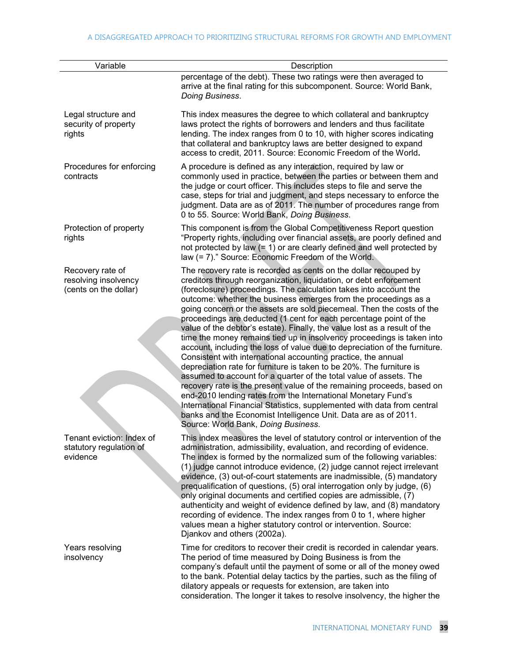| Variable                                                          | Description                                                                                                                                                                                                                                                                                                                                                                                                                                                                                                                                                                                                                                                                                                                                                                                                                                                                                                                                                                                                                                                                                                                                                                                                      |
|-------------------------------------------------------------------|------------------------------------------------------------------------------------------------------------------------------------------------------------------------------------------------------------------------------------------------------------------------------------------------------------------------------------------------------------------------------------------------------------------------------------------------------------------------------------------------------------------------------------------------------------------------------------------------------------------------------------------------------------------------------------------------------------------------------------------------------------------------------------------------------------------------------------------------------------------------------------------------------------------------------------------------------------------------------------------------------------------------------------------------------------------------------------------------------------------------------------------------------------------------------------------------------------------|
|                                                                   | percentage of the debt). These two ratings were then averaged to<br>arrive at the final rating for this subcomponent. Source: World Bank,<br>Doing Business.                                                                                                                                                                                                                                                                                                                                                                                                                                                                                                                                                                                                                                                                                                                                                                                                                                                                                                                                                                                                                                                     |
| Legal structure and<br>security of property<br>rights             | This index measures the degree to which collateral and bankruptcy<br>laws protect the rights of borrowers and lenders and thus facilitate<br>lending. The index ranges from 0 to 10, with higher scores indicating<br>that collateral and bankruptcy laws are better designed to expand<br>access to credit, 2011. Source: Economic Freedom of the World.                                                                                                                                                                                                                                                                                                                                                                                                                                                                                                                                                                                                                                                                                                                                                                                                                                                        |
| Procedures for enforcing<br>contracts                             | A procedure is defined as any interaction, required by law or<br>commonly used in practice, between the parties or between them and<br>the judge or court officer. This includes steps to file and serve the<br>case, steps for trial and judgment, and steps necessary to enforce the<br>judgment. Data are as of 2011. The number of procedures range from<br>0 to 55. Source: World Bank, Doing Business.                                                                                                                                                                                                                                                                                                                                                                                                                                                                                                                                                                                                                                                                                                                                                                                                     |
| Protection of property<br>rights                                  | This component is from the Global Competitiveness Report question<br>"Property rights, including over financial assets, are poorly defined and<br>not protected by law (= 1) or are clearly defined and well protected by<br>law (= 7)." Source: Economic Freedom of the World.                                                                                                                                                                                                                                                                                                                                                                                                                                                                                                                                                                                                                                                                                                                                                                                                                                                                                                                                  |
| Recovery rate of<br>resolving insolvency<br>(cents on the dollar) | The recovery rate is recorded as cents on the dollar recouped by<br>creditors through reorganization, liquidation, or debt enforcement<br>(foreclosure) proceedings. The calculation takes into account the<br>outcome: whether the business emerges from the proceedings as a<br>going concern or the assets are sold piecemeal. Then the costs of the<br>proceedings are deducted (1 cent for each percentage point of the<br>value of the debtor's estate). Finally, the value lost as a result of the<br>time the money remains tied up in insolvency proceedings is taken into<br>account, including the loss of value due to depreciation of the furniture.<br>Consistent with international accounting practice, the annual<br>depreciation rate for furniture is taken to be 20%. The furniture is<br>assumed to account for a quarter of the total value of assets. The<br>recovery rate is the present value of the remaining proceeds, based on<br>end-2010 lending rates from the International Monetary Fund's<br>International Financial Statistics, supplemented with data from central<br>banks and the Economist Intelligence Unit. Data are as of 2011.<br>Source: World Bank, Doing Business. |
| Tenant eviction: Index of<br>statutory regulation of<br>evidence  | This index measures the level of statutory control or intervention of the<br>administration, admissibility, evaluation, and recording of evidence.<br>The index is formed by the normalized sum of the following variables:<br>(1) judge cannot introduce evidence, (2) judge cannot reject irrelevant<br>evidence, (3) out-of-court statements are inadmissible, (5) mandatory<br>prequalification of questions, (5) oral interrogation only by judge, (6)<br>only original documents and certified copies are admissible, (7)<br>authenticity and weight of evidence defined by law, and (8) mandatory<br>recording of evidence. The index ranges from 0 to 1, where higher<br>values mean a higher statutory control or intervention. Source:<br>Djankov and others (2002a).                                                                                                                                                                                                                                                                                                                                                                                                                                  |
| Years resolving<br>insolvency                                     | Time for creditors to recover their credit is recorded in calendar years.<br>The period of time measured by Doing Business is from the<br>company's default until the payment of some or all of the money owed<br>to the bank. Potential delay tactics by the parties, such as the filing of                                                                                                                                                                                                                                                                                                                                                                                                                                                                                                                                                                                                                                                                                                                                                                                                                                                                                                                     |

dilatory appeals or requests for extension, are taken into

consideration. The longer it takes to resolve insolvency, the higher the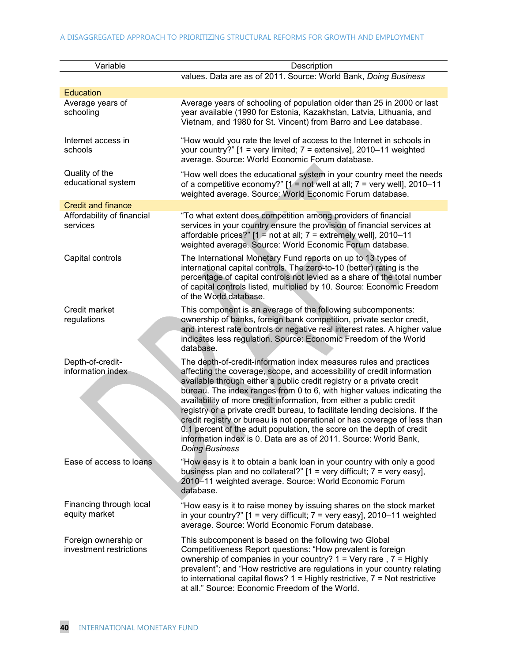| Variable                                        | Description                                                                                                                                                                                                                                                                                                                                                                                                                                                                                                                                                                                                                                                                                                 |
|-------------------------------------------------|-------------------------------------------------------------------------------------------------------------------------------------------------------------------------------------------------------------------------------------------------------------------------------------------------------------------------------------------------------------------------------------------------------------------------------------------------------------------------------------------------------------------------------------------------------------------------------------------------------------------------------------------------------------------------------------------------------------|
|                                                 | values. Data are as of 2011. Source: World Bank, Doing Business                                                                                                                                                                                                                                                                                                                                                                                                                                                                                                                                                                                                                                             |
| <b>Education</b>                                |                                                                                                                                                                                                                                                                                                                                                                                                                                                                                                                                                                                                                                                                                                             |
| Average years of<br>schooling                   | Average years of schooling of population older than 25 in 2000 or last<br>year available (1990 for Estonia, Kazakhstan, Latvia, Lithuania, and<br>Vietnam, and 1980 for St. Vincent) from Barro and Lee database.                                                                                                                                                                                                                                                                                                                                                                                                                                                                                           |
| Internet access in<br>schools                   | "How would you rate the level of access to the Internet in schools in<br>your country?" $[1 = \text{very limited}; 7 = \text{extensive}$ ], 2010-11 weighted<br>average. Source: World Economic Forum database.                                                                                                                                                                                                                                                                                                                                                                                                                                                                                             |
| Quality of the<br>educational system            | "How well does the educational system in your country meet the needs<br>of a competitive economy?" $[1 = not well at all; 7 = very well]$ , 2010-11<br>weighted average. Source: World Economic Forum database.                                                                                                                                                                                                                                                                                                                                                                                                                                                                                             |
| <b>Credit and finance</b>                       |                                                                                                                                                                                                                                                                                                                                                                                                                                                                                                                                                                                                                                                                                                             |
| Affordability of financial<br>services          | "To what extent does competition among providers of financial<br>services in your country ensure the provision of financial services at<br>affordable prices?" [1 = not at all; 7 = extremely well], 2010-11<br>weighted average. Source: World Economic Forum database.                                                                                                                                                                                                                                                                                                                                                                                                                                    |
| Capital controls                                | The International Monetary Fund reports on up to 13 types of<br>international capital controls. The zero-to-10 (better) rating is the<br>percentage of capital controls not levied as a share of the total number<br>of capital controls listed, multiplied by 10. Source: Economic Freedom<br>of the World database.                                                                                                                                                                                                                                                                                                                                                                                       |
| Credit market<br>regulations                    | This component is an average of the following subcomponents:<br>ownership of banks, foreign bank competition, private sector credit,<br>and interest rate controls or negative real interest rates. A higher value<br>indicates less regulation. Source: Economic Freedom of the World<br>database.                                                                                                                                                                                                                                                                                                                                                                                                         |
| Depth-of-credit-<br>information index           | The depth-of-credit-information index measures rules and practices<br>affecting the coverage, scope, and accessibility of credit information<br>available through either a public credit registry or a private credit<br>bureau. The index ranges from 0 to 6, with higher values indicating the<br>availability of more credit information, from either a public credit<br>registry or a private credit bureau, to facilitate lending decisions. If the<br>credit registry or bureau is not operational or has coverage of less than<br>0.1 percent of the adult population, the score on the depth of credit<br>information index is 0. Data are as of 2011. Source: World Bank,<br><b>Doing Business</b> |
| Ease of access to loans                         | "How easy is it to obtain a bank loan in your country with only a good<br>business plan and no collateral?" $[1 = \text{very difficult}; 7 = \text{very easy}],$<br>2010-11 weighted average. Source: World Economic Forum<br>database.                                                                                                                                                                                                                                                                                                                                                                                                                                                                     |
| Financing through local<br>equity market        | "How easy is it to raise money by issuing shares on the stock market<br>in your country?" $[1 = \text{very difficult}; 7 = \text{very easy}]$ , 2010-11 weighted<br>average. Source: World Economic Forum database.                                                                                                                                                                                                                                                                                                                                                                                                                                                                                         |
| Foreign ownership or<br>investment restrictions | This subcomponent is based on the following two Global<br>Competitiveness Report questions: "How prevalent is foreign<br>ownership of companies in your country? $1 = \text{Very rare}$ , $7 = \text{Highly}$<br>prevalent"; and "How restrictive are regulations in your country relating<br>to international capital flows? $1 =$ Highly restrictive, $7 =$ Not restrictive<br>at all." Source: Economic Freedom of the World.                                                                                                                                                                                                                                                                            |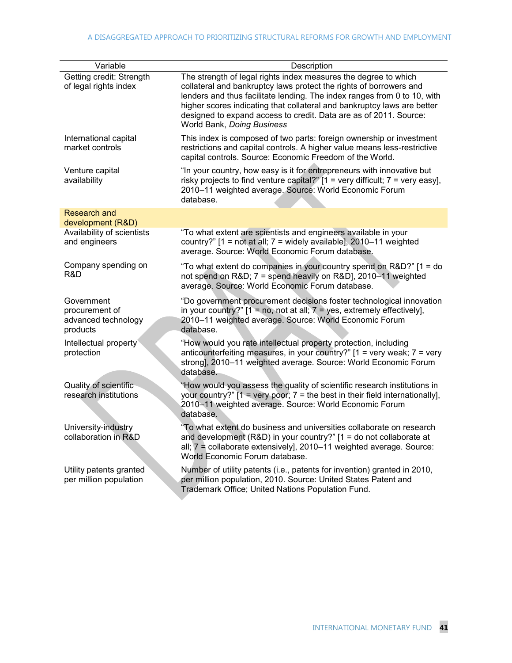| Variable                                                        | Description                                                                                                                                                                                                                                                                                                                                                                                     |
|-----------------------------------------------------------------|-------------------------------------------------------------------------------------------------------------------------------------------------------------------------------------------------------------------------------------------------------------------------------------------------------------------------------------------------------------------------------------------------|
| Getting credit: Strength<br>of legal rights index               | The strength of legal rights index measures the degree to which<br>collateral and bankruptcy laws protect the rights of borrowers and<br>lenders and thus facilitate lending. The index ranges from 0 to 10, with<br>higher scores indicating that collateral and bankruptcy laws are better<br>designed to expand access to credit. Data are as of 2011. Source:<br>World Bank, Doing Business |
| International capital<br>market controls                        | This index is composed of two parts: foreign ownership or investment<br>restrictions and capital controls. A higher value means less-restrictive<br>capital controls. Source: Economic Freedom of the World.                                                                                                                                                                                    |
| Venture capital<br>availability                                 | "In your country, how easy is it for entrepreneurs with innovative but<br>risky projects to find venture capital?" $[1 = \text{very difficult}; 7 = \text{very easy}]$ ,<br>2010-11 weighted average. Source: World Economic Forum<br>database.                                                                                                                                                 |
| Research and<br>development (R&D)                               |                                                                                                                                                                                                                                                                                                                                                                                                 |
| Availability of scientists<br>and engineers                     | "To what extent are scientists and engineers available in your<br>country?" $[1 = not at all; 7 = widely available]$ , 2010-11 weighted<br>average. Source: World Economic Forum database.                                                                                                                                                                                                      |
| Company spending on<br>R&D                                      | "To what extent do companies in your country spend on R&D?" [1 = do<br>not spend on R&D 7 = spend heavily on R&D], 2010-11 weighted<br>average. Source: World Economic Forum database.                                                                                                                                                                                                          |
| Government<br>procurement of<br>advanced technology<br>products | "Do government procurement decisions foster technological innovation<br>in your country?" $[1 = no$ , not at all; $7 = yes$ , extremely effectively],<br>2010-11 weighted average. Source: World Economic Forum<br>database.                                                                                                                                                                    |
| Intellectual property<br>protection                             | "How would you rate intellectual property protection, including<br>anticounterfeiting measures, in your country?" $[1 = \text{very weak}; 7 = \text{very}$<br>strong], 2010-11 weighted average. Source: World Economic Forum<br>database.                                                                                                                                                      |
| Quality of scientific<br>research institutions                  | "How would you assess the quality of scientific research institutions in<br>your country?" $[1 = \text{very poor}; 7 = \text{the best in their field internationally}]$<br>2010-11 weighted average. Source: World Economic Forum<br>database.                                                                                                                                                  |
| University-industry<br>collaboration in R&D                     | "To what extent do business and universities collaborate on research<br>and development (R&D) in your country?" $[1 =$ do not collaborate at<br>all; 7 = collaborate extensively], 2010-11 weighted average. Source:<br>World Economic Forum database.                                                                                                                                          |
| Utility patents granted<br>per million population               | Number of utility patents (i.e., patents for invention) granted in 2010,<br>per million population, 2010. Source: United States Patent and<br>Trademark Office; United Nations Population Fund.                                                                                                                                                                                                 |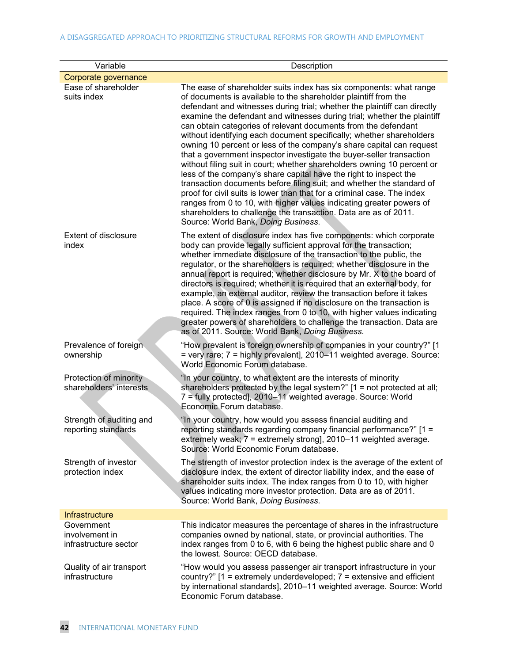| Variable                                              | Description                                                                                                                                                                                                                                                                                                                                                                                                                                                                                                                                                                                                                                                                                                                                                                                                                                                                                                                                                                                                                                                                  |
|-------------------------------------------------------|------------------------------------------------------------------------------------------------------------------------------------------------------------------------------------------------------------------------------------------------------------------------------------------------------------------------------------------------------------------------------------------------------------------------------------------------------------------------------------------------------------------------------------------------------------------------------------------------------------------------------------------------------------------------------------------------------------------------------------------------------------------------------------------------------------------------------------------------------------------------------------------------------------------------------------------------------------------------------------------------------------------------------------------------------------------------------|
| Corporate governance                                  |                                                                                                                                                                                                                                                                                                                                                                                                                                                                                                                                                                                                                                                                                                                                                                                                                                                                                                                                                                                                                                                                              |
| Ease of shareholder<br>suits index                    | The ease of shareholder suits index has six components: what range<br>of documents is available to the shareholder plaintiff from the<br>defendant and witnesses during trial; whether the plaintiff can directly<br>examine the defendant and witnesses during trial; whether the plaintiff<br>can obtain categories of relevant documents from the defendant<br>without identifying each document specifically; whether shareholders<br>owning 10 percent or less of the company's share capital can request<br>that a government inspector investigate the buyer-seller transaction<br>without filing suit in court; whether shareholders owning 10 percent or<br>less of the company's share capital have the right to inspect the<br>transaction documents before filing suit; and whether the standard of<br>proof for civil suits is lower than that for a criminal case. The index<br>ranges from 0 to 10, with higher values indicating greater powers of<br>shareholders to challenge the transaction. Data are as of 2011.<br>Source: World Bank, Doing Business. |
| <b>Extent of disclosure</b><br>index                  | The extent of disclosure index has five components: which corporate<br>body can provide legally sufficient approval for the transaction;<br>whether immediate disclosure of the transaction to the public, the<br>regulator, or the shareholders is required; whether disclosure in the<br>annual report is required; whether disclosure by Mr. X to the board of<br>directors is required; whether it is required that an external body, for<br>example, an external auditor, review the transaction before it takes<br>place. A score of 0 is assigned if no disclosure on the transaction is<br>required. The index ranges from 0 to 10, with higher values indicating<br>greater powers of shareholders to challenge the transaction. Data are<br>as of 2011. Source: World Bank, Doing Business.                                                                                                                                                                                                                                                                        |
| Prevalence of foreign<br>ownership                    | "How prevalent is foreign ownership of companies in your country?" [1<br>= very rare; 7 = highly prevalent], 2010-11 weighted average. Source:<br>World Economic Forum database.                                                                                                                                                                                                                                                                                                                                                                                                                                                                                                                                                                                                                                                                                                                                                                                                                                                                                             |
| Protection of minority<br>shareholders' interests     | "In your country, to what extent are the interests of minority<br>shareholders protected by the legal system?" [1 = not protected at all;<br>7 = fully protected], 2010-11 weighted average. Source: World<br>Economic Forum database.                                                                                                                                                                                                                                                                                                                                                                                                                                                                                                                                                                                                                                                                                                                                                                                                                                       |
| Strength of auditing and<br>reporting standards       | "In your country, how would you assess financial auditing and<br>reporting standards regarding company financial performance?" [1 =<br>extremely weak; 7 = extremely strong], 2010–11 weighted average.<br>Source: World Economic Forum database.                                                                                                                                                                                                                                                                                                                                                                                                                                                                                                                                                                                                                                                                                                                                                                                                                            |
| Strength of investor<br>protection index              | The strength of investor protection index is the average of the extent of<br>disclosure index, the extent of director liability index, and the ease of<br>shareholder suits index. The index ranges from 0 to 10, with higher<br>values indicating more investor protection. Data are as of 2011.<br>Source: World Bank, Doing Business.                                                                                                                                                                                                                                                                                                                                                                                                                                                                                                                                                                                                                                                                                                                                     |
| <b>Infrastructure</b>                                 |                                                                                                                                                                                                                                                                                                                                                                                                                                                                                                                                                                                                                                                                                                                                                                                                                                                                                                                                                                                                                                                                              |
| Government<br>involvement in<br>infrastructure sector | This indicator measures the percentage of shares in the infrastructure<br>companies owned by national, state, or provincial authorities. The<br>index ranges from 0 to 6, with 6 being the highest public share and 0<br>the lowest. Source: OECD database.                                                                                                                                                                                                                                                                                                                                                                                                                                                                                                                                                                                                                                                                                                                                                                                                                  |
| Quality of air transport<br>infrastructure            | "How would you assess passenger air transport infrastructure in your<br>country?" $[1 =$ extremely underdeveloped; $7 =$ extensive and efficient<br>by international standards], 2010-11 weighted average. Source: World<br>Economic Forum database.                                                                                                                                                                                                                                                                                                                                                                                                                                                                                                                                                                                                                                                                                                                                                                                                                         |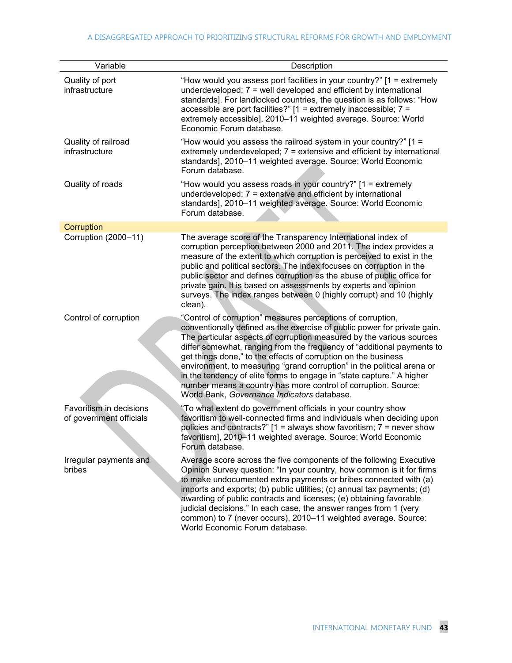| Variable                                           | Description                                                                                                                                                                                                                                                                                                                                                                                                                                                                                                                                                                                                                     |
|----------------------------------------------------|---------------------------------------------------------------------------------------------------------------------------------------------------------------------------------------------------------------------------------------------------------------------------------------------------------------------------------------------------------------------------------------------------------------------------------------------------------------------------------------------------------------------------------------------------------------------------------------------------------------------------------|
| Quality of port<br>infrastructure                  | "How would you assess port facilities in your country?" [1 = extremely<br>underdeveloped; $7$ = well developed and efficient by international<br>standards]. For landlocked countries, the question is as follows: "How<br>accessible are port facilities?" [1 = extremely inaccessible; 7 =<br>extremely accessible], 2010-11 weighted average. Source: World<br>Economic Forum database.                                                                                                                                                                                                                                      |
| Quality of railroad<br>infrastructure              | "How would you assess the railroad system in your country?" [1 =<br>extremely underdeveloped; 7 = extensive and efficient by international<br>standards], 2010-11 weighted average. Source: World Economic<br>Forum database.                                                                                                                                                                                                                                                                                                                                                                                                   |
| Quality of roads                                   | "How would you assess roads in your country?" [1 = extremely<br>underdeveloped; 7 = extensive and efficient by international<br>standards], 2010-11 weighted average. Source: World Economic<br>Forum database.                                                                                                                                                                                                                                                                                                                                                                                                                 |
| Corruption                                         |                                                                                                                                                                                                                                                                                                                                                                                                                                                                                                                                                                                                                                 |
| Corruption (2000-11)                               | The average score of the Transparency International index of<br>corruption perception between 2000 and 2011. The index provides a<br>measure of the extent to which corruption is perceived to exist in the<br>public and political sectors. The index focuses on corruption in the<br>public sector and defines corruption as the abuse of public office for<br>private gain. It is based on assessments by experts and opinion<br>surveys. The index ranges between 0 (highly corrupt) and 10 (highly<br>clean).                                                                                                              |
| Control of corruption                              | "Control of corruption" measures perceptions of corruption,<br>conventionally defined as the exercise of public power for private gain.<br>The particular aspects of corruption measured by the various sources<br>differ somewhat, ranging from the frequency of "additional payments to<br>get things done," to the effects of corruption on the business<br>environment, to measuring "grand corruption" in the political arena or<br>in the tendency of elite forms to engage in "state capture." A higher<br>number means a country has more control of corruption. Source:<br>World Bank, Governance Indicators database. |
| Favoritism in decisions<br>of government officials | "To what extent do government officials in your country show<br>favoritism to well-connected firms and individuals when deciding upon<br>policies and contracts?" $[1 =$ always show favoritism; $7 =$ never show<br>favoritism], 2010-11 weighted average. Source: World Economic<br>Forum database.                                                                                                                                                                                                                                                                                                                           |
| Irregular payments and<br>bribes                   | Average score across the five components of the following Executive<br>Opinion Survey question: "In your country, how common is it for firms<br>to make undocumented extra payments or bribes connected with (a)<br>imports and exports; (b) public utilities; (c) annual tax payments; (d)<br>awarding of public contracts and licenses; (e) obtaining favorable<br>judicial decisions." In each case, the answer ranges from 1 (very<br>common) to 7 (never occurs), 2010-11 weighted average. Source:<br>World Economic Forum database.                                                                                      |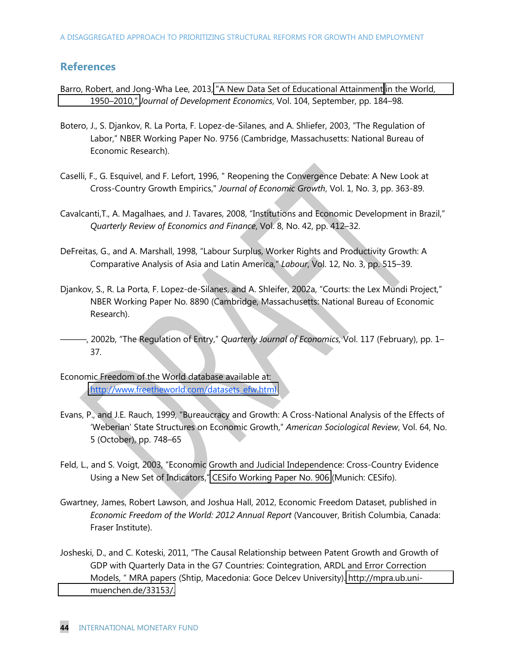### **References**

- Barro, Robert, and Jong-Wha Lee, 2013, ["A New Data Set of Educational Attainment in the World,](http://www.sciencedirect.com/science/article/pii/S0304387812000855)  1950–[2010,"](http://www.sciencedirect.com/science/article/pii/S0304387812000855) *Journal of Development Economics*, Vol. 104, September, pp. 184–98.
- Botero, J., S. Djankov, R. La Porta, F. Lopez-de-Silanes, and A. Shliefer, 2003, "The Regulation of Labor," NBER Working Paper No. 9756 (Cambridge, Massachusetts: National Bureau of Economic Research).
- Caselli, F., G. Esquivel, and F. Lefort, 1996, " Reopening the Convergence Debate: A New Look at Cross-Country Growth Empirics," *Journal of Economic Growth*, Vol. 1, No. 3, pp. 363-89.
- Cavalcanti, T., A. Magalhaes, and J. Tavares, 2008, "Institutions and Economic Development in Brazil," *Quarterly Review of Economics and Finance*, Vol. 8, No. 42, pp. 412–32.
- DeFreitas, G., and A. Marshall, 1998, "Labour Surplus, Worker Rights and Productivity Growth: A Comparative Analysis of Asia and Latin America," *Labour*, Vol. 12, No. 3, pp. 515–39.
- Djankov, S., R. La Porta, F. Lopez-de-Silanes, and A. Shleifer, 2002a, "Courts: the Lex Mundi Project," NBER Working Paper No. 8890 (Cambridge, Massachusetts: National Bureau of Economic Research).
- ——, 2002b, "The Regulation of Entry," *Quarterly Journal of Economics*, Vol. 117 (February), pp. 1– 37.
- Economic Freedom of the World database available at: [http://www.freetheworld.com/datasets\\_efw.html](http://www.freetheworld.com/datasets_efw.html)
- Evans, P., and J.E. Rauch, 1999, "Bureaucracy and Growth: A Cross-National Analysis of the Effects of ‗Weberian' State Structures on Economic Growth,‖ *American Sociological Review*, Vol. 64, No. 5 (October), pp. 748–65
- Feld, L., and S. Voigt, 2003, "Economic Growth and Judicial Independence: Cross-Country Evidence Using a New Set of Indicators," [CESifo Working Paper No. 906](javascript:WinOpen(254971);) (Munich: CESifo).
- Gwartney, James, Robert Lawson, and Joshua Hall, 2012, Economic Freedom Dataset, published in *Economic Freedom of the World: 2012 Annual Report* (Vancouver, British Columbia, Canada: Fraser Institute).
- Josheski, D., and C. Koteski, 2011, "The Causal Relationship between Patent Growth and Growth of GDP with Quarterly Data in the G7 Countries: Cointegration, ARDL and Error Correction Models, " MRA papers (Shtip, Macedonia: Goce Delcev University). [http://mpra.ub.uni](http://mpra.ub.uni-muenchen.de/33153/)[muenchen.de/33153/.](http://mpra.ub.uni-muenchen.de/33153/)